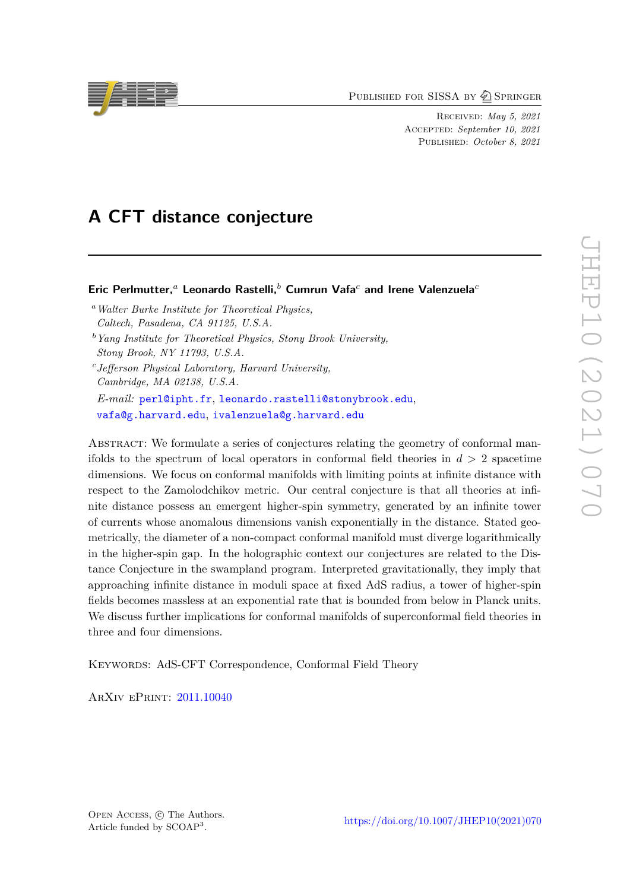PUBLISHED FOR SISSA BY 2 SPRINGER

Received: *May 5, 2021* ACCEPTED: *September 10, 2021* Published: *October 8, 2021*

# **A CFT distance conjecture**

### **Eric Perlmutter,***<sup>a</sup>* **Leonardo Rastelli,***<sup>b</sup>* **Cumrun Vafa***<sup>c</sup>* **and Irene Valenzuela***<sup>c</sup>*

- *<sup>a</sup>Walter Burke Institute for Theoretical Physics, Caltech, Pasadena, CA 91125, U.S.A.*
- *<sup>b</sup>Yang Institute for Theoretical Physics, Stony Brook University, Stony Brook, NY 11793, U.S.A.*
- *<sup>c</sup>Jefferson Physical Laboratory, Harvard University, Cambridge, MA 02138, U.S.A.*

*E-mail:* [perl@ipht.fr](mailto:perl@ipht.fr), [leonardo.rastelli@stonybrook.edu](mailto:leonardo.rastelli@stonybrook.edu), [vafa@g.harvard.edu](mailto:vafa@g.harvard.edu), [ivalenzuela@g.harvard.edu](mailto:ivalenzuela@g.harvard.edu)

ABSTRACT: We formulate a series of conjectures relating the geometry of conformal manifolds to the spectrum of local operators in conformal field theories in *d >* 2 spacetime dimensions. We focus on conformal manifolds with limiting points at infinite distance with respect to the Zamolodchikov metric. Our central conjecture is that all theories at infinite distance possess an emergent higher-spin symmetry, generated by an infinite tower of currents whose anomalous dimensions vanish exponentially in the distance. Stated geometrically, the diameter of a non-compact conformal manifold must diverge logarithmically in the higher-spin gap. In the holographic context our conjectures are related to the Distance Conjecture in the swampland program. Interpreted gravitationally, they imply that approaching infinite distance in moduli space at fixed AdS radius, a tower of higher-spin fields becomes massless at an exponential rate that is bounded from below in Planck units. We discuss further implications for conformal manifolds of superconformal field theories in three and four dimensions.

KEYWORDS: AdS-CFT Correspondence, Conformal Field Theory

ArXiv ePrint: [2011.10040](https://arxiv.org/abs/2011.10040)

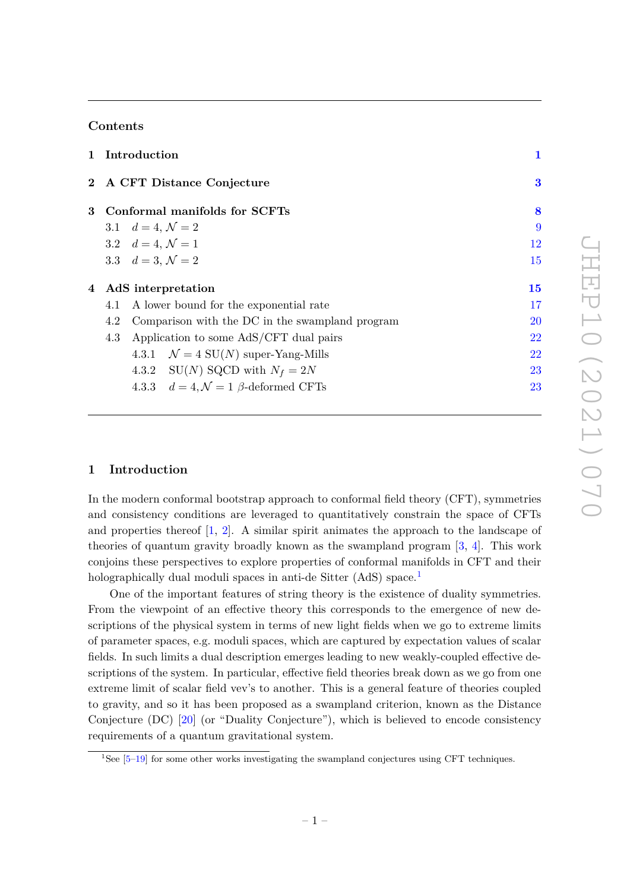# **Contents**

|   |     | 1 Introduction                                        | 1        |
|---|-----|-------------------------------------------------------|----------|
|   |     | 2 A CFT Distance Conjecture                           | $\bf{3}$ |
| 3 |     | Conformal manifolds for SCFTs                         | 8        |
|   |     | 3.1 $d = 4, \mathcal{N} = 2$                          | 9        |
|   |     | 3.2 $d = 4, \mathcal{N} = 1$                          | 12       |
|   |     | 3.3 $d = 3, \mathcal{N} = 2$                          | 15       |
|   |     | 4 AdS interpretation                                  | 15       |
|   | 4.1 | A lower bound for the exponential rate                | 17       |
|   | 4.2 | Comparison with the DC in the swampland program       | 20       |
|   | 4.3 | Application to some AdS/CFT dual pairs                | 22       |
|   |     | 4.3.1 $\mathcal{N} = 4$ SU(N) super-Yang-Mills        | 22       |
|   |     | 4.3.2 SU(N) SQCD with $N_f = 2N$                      | 23       |
|   |     | 4.3.3 $d = 4, \mathcal{N} = 1$ $\beta$ -deformed CFTs | 23       |
|   |     |                                                       |          |

# <span id="page-1-0"></span>**1 Introduction**

In the modern conformal bootstrap approach to conformal field theory (CFT), symmetries and consistency conditions are leveraged to quantitatively constrain the space of CFTs and properties thereof  $\begin{bmatrix} 1, 2 \end{bmatrix}$ . A similar spirit animates the approach to the landscape of theories of quantum gravity broadly known as the swampland program [\[3,](#page-24-2) [4\]](#page-24-3). This work conjoins these perspectives to explore properties of conformal manifolds in CFT and their holographically dual moduli spaces in anti-de Sitter (AdS) space.<sup>[1](#page-1-1)</sup>

One of the important features of string theory is the existence of duality symmetries. From the viewpoint of an effective theory this corresponds to the emergence of new descriptions of the physical system in terms of new light fields when we go to extreme limits of parameter spaces, e.g. moduli spaces, which are captured by expectation values of scalar fields. In such limits a dual description emerges leading to new weakly-coupled effective descriptions of the system. In particular, effective field theories break down as we go from one extreme limit of scalar field vev's to another. This is a general feature of theories coupled to gravity, and so it has been proposed as a swampland criterion, known as the Distance Conjecture (DC) [\[20\]](#page-25-0) (or "Duality Conjecture"), which is believed to encode consistency requirements of a quantum gravitational system.

<span id="page-1-1"></span><sup>&</sup>lt;sup>1</sup>See  $[5-19]$  $[5-19]$  for some other works investigating the swampland conjectures using CFT techniques.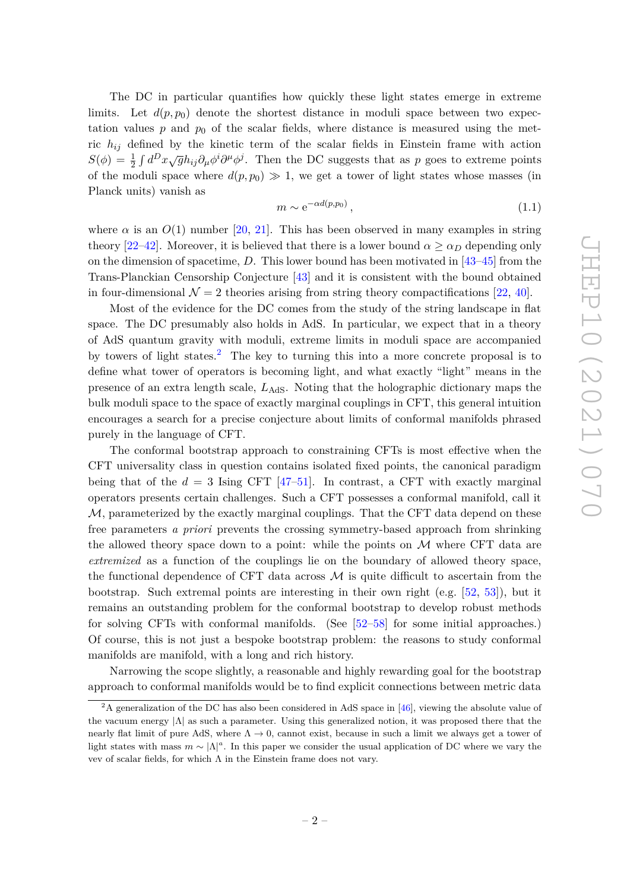The DC in particular quantifies how quickly these light states emerge in extreme limits. Let  $d(p, p_0)$  denote the shortest distance in moduli space between two expectation values  $p$  and  $p_0$  of the scalar fields, where distance is measured using the metric *hij* defined by the kinetic term of the scalar fields in Einstein frame with action  $S(\phi) = \frac{1}{2} \int d^D x \sqrt{g} h_{ij} \partial_\mu \phi^i \partial^\mu \phi^j$ . Then the DC suggests that as *p* goes to extreme points of the moduli space where  $d(p, p_0) \gg 1$ , we get a tower of light states whose masses (in Planck units) vanish as

$$
m \sim e^{-\alpha d(p, p_0)},\tag{1.1}
$$

where  $\alpha$  is an  $O(1)$  number [\[20,](#page-25-0) [21\]](#page-25-2). This has been observed in many examples in string theory [\[22](#page-25-3)[–42\]](#page-26-0). Moreover, it is believed that there is a lower bound  $\alpha > \alpha_D$  depending only on the dimension of spacetime, *D*. This lower bound has been motivated in [\[43](#page-26-1)[–45\]](#page-26-2) from the Trans-Planckian Censorship Conjecture [\[43\]](#page-26-1) and it is consistent with the bound obtained in four-dimensional  $\mathcal{N} = 2$  theories arising from string theory compactifications [\[22,](#page-25-3) [40\]](#page-26-3).

Most of the evidence for the DC comes from the study of the string landscape in flat space. The DC presumably also holds in AdS. In particular, we expect that in a theory of AdS quantum gravity with moduli, extreme limits in moduli space are accompanied by towers of light states.[2](#page-2-0) The key to turning this into a more concrete proposal is to define what tower of operators is becoming light, and what exactly "light" means in the presence of an extra length scale, *L*AdS. Noting that the holographic dictionary maps the bulk moduli space to the space of exactly marginal couplings in CFT, this general intuition encourages a search for a precise conjecture about limits of conformal manifolds phrased purely in the language of CFT.

The conformal bootstrap approach to constraining CFTs is most effective when the CFT universality class in question contains isolated fixed points, the canonical paradigm being that of the  $d = 3$  Ising CFT [\[47](#page-27-0)-51]. In contrast, a CFT with exactly marginal operators presents certain challenges. Such a CFT possesses a conformal manifold, call it  $M$ , parameterized by the exactly marginal couplings. That the CFT data depend on these free parameters *a priori* prevents the crossing symmetry-based approach from shrinking the allowed theory space down to a point: while the points on  $\mathcal M$  where CFT data are *extremized* as a function of the couplings lie on the boundary of allowed theory space, the functional dependence of CFT data across  $\mathcal M$  is quite difficult to ascertain from the bootstrap. Such extremal points are interesting in their own right (e.g. [\[52,](#page-27-2) [53\]](#page-27-3)), but it remains an outstanding problem for the conformal bootstrap to develop robust methods for solving CFTs with conformal manifolds. (See [\[52](#page-27-2)[–58\]](#page-27-4) for some initial approaches.) Of course, this is not just a bespoke bootstrap problem: the reasons to study conformal manifolds are manifold, with a long and rich history.

Narrowing the scope slightly, a reasonable and highly rewarding goal for the bootstrap approach to conformal manifolds would be to find explicit connections between metric data

<span id="page-2-0"></span><sup>&</sup>lt;sup>2</sup>A generalization of the DC has also been considered in AdS space in [\[46\]](#page-27-5), viewing the absolute value of the vacuum energy  $|\Lambda|$  as such a parameter. Using this generalized notion, it was proposed there that the nearly flat limit of pure AdS, where  $\Lambda \to 0$ , cannot exist, because in such a limit we always get a tower of light states with mass  $m \sim |\Lambda|^a$ . In this paper we consider the usual application of DC where we vary the vev of scalar fields, for which Λ in the Einstein frame does not vary.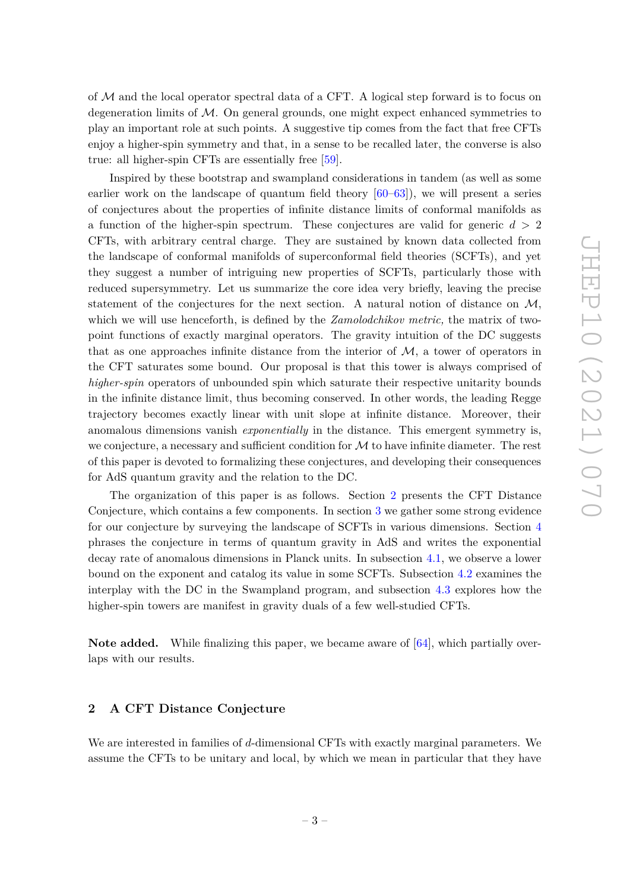of M and the local operator spectral data of a CFT. A logical step forward is to focus on degeneration limits of  $\mathcal{M}$ . On general grounds, one might expect enhanced symmetries to play an important role at such points. A suggestive tip comes from the fact that free CFTs enjoy a higher-spin symmetry and that, in a sense to be recalled later, the converse is also true: all higher-spin CFTs are essentially free [\[59\]](#page-27-6).

Inspired by these bootstrap and swampland considerations in tandem (as well as some earlier work on the landscape of quantum field theory [\[60](#page-27-7)[–63\]](#page-27-8)), we will present a series of conjectures about the properties of infinite distance limits of conformal manifolds as a function of the higher-spin spectrum. These conjectures are valid for generic *d >* 2 CFTs, with arbitrary central charge. They are sustained by known data collected from the landscape of conformal manifolds of superconformal field theories (SCFTs), and yet they suggest a number of intriguing new properties of SCFTs, particularly those with reduced supersymmetry. Let us summarize the core idea very briefly, leaving the precise statement of the conjectures for the next section. A natural notion of distance on  $\mathcal{M}$ , which we will use henceforth, is defined by the *Zamolodchikov metric,* the matrix of twopoint functions of exactly marginal operators. The gravity intuition of the DC suggests that as one approaches infinite distance from the interior of  $M$ , a tower of operators in the CFT saturates some bound. Our proposal is that this tower is always comprised of *higher-spin* operators of unbounded spin which saturate their respective unitarity bounds in the infinite distance limit, thus becoming conserved. In other words, the leading Regge trajectory becomes exactly linear with unit slope at infinite distance. Moreover, their anomalous dimensions vanish *exponentially* in the distance. This emergent symmetry is, we conjecture, a necessary and sufficient condition for  $\mathcal M$  to have infinite diameter. The rest of this paper is devoted to formalizing these conjectures, and developing their consequences for AdS quantum gravity and the relation to the DC.

The organization of this paper is as follows. Section [2](#page-3-0) presents the CFT Distance Conjecture, which contains a few components. In section [3](#page-8-0) we gather some strong evidence for our conjecture by surveying the landscape of SCFTs in various dimensions. Section [4](#page-15-1) phrases the conjecture in terms of quantum gravity in AdS and writes the exponential decay rate of anomalous dimensions in Planck units. In subsection [4.1,](#page-17-0) we observe a lower bound on the exponent and catalog its value in some SCFTs. Subsection [4.2](#page-20-0) examines the interplay with the DC in the Swampland program, and subsection [4.3](#page-22-0) explores how the higher-spin towers are manifest in gravity duals of a few well-studied CFTs.

**Note added.** While finalizing this paper, we became aware of [\[64\]](#page-27-9), which partially overlaps with our results.

### <span id="page-3-0"></span>**2 A CFT Distance Conjecture**

We are interested in families of *d*-dimensional CFTs with exactly marginal parameters. We assume the CFTs to be unitary and local, by which we mean in particular that they have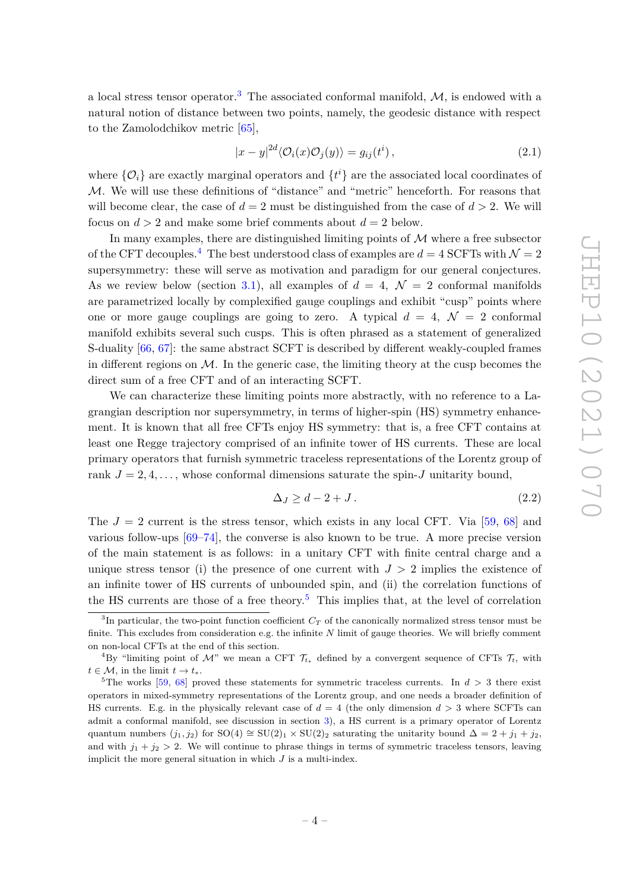a local stress tensor operator.<sup>[3](#page-4-0)</sup> The associated conformal manifold,  $M$ , is endowed with a natural notion of distance between two points, namely, the geodesic distance with respect to the Zamolodchikov metric [\[65\]](#page-28-0),

$$
|x - y|^{2d} \langle \mathcal{O}_i(x) \mathcal{O}_j(y) \rangle = g_{ij}(t^i), \qquad (2.1)
$$

where  $\{\mathcal{O}_i\}$  are exactly marginal operators and  $\{t^i\}$  are the associated local coordinates of  $M$ . We will use these definitions of "distance" and "metric" henceforth. For reasons that will become clear, the case of  $d = 2$  must be distinguished from the case of  $d > 2$ . We will focus on  $d > 2$  and make some brief comments about  $d = 2$  below.

In many examples, there are distinguished limiting points of  $\mathcal M$  where a free subsector of the CFT decouples.<sup>[4](#page-4-1)</sup> The best understood class of examples are  $d = 4$  SCFTs with  $\mathcal{N} = 2$ supersymmetry: these will serve as motivation and paradigm for our general conjectures. As we review below (section [3.1\)](#page-9-0), all examples of  $d = 4$ ,  $\mathcal{N} = 2$  conformal manifolds are parametrized locally by complexified gauge couplings and exhibit "cusp" points where one or more gauge couplings are going to zero. A typical  $d = 4$ ,  $\mathcal{N} = 2$  conformal manifold exhibits several such cusps. This is often phrased as a statement of generalized S-duality [\[66,](#page-28-1) [67\]](#page-28-2): the same abstract SCFT is described by different weakly-coupled frames in different regions on  $\mathcal{M}$ . In the generic case, the limiting theory at the cusp becomes the direct sum of a free CFT and of an interacting SCFT.

We can characterize these limiting points more abstractly, with no reference to a Lagrangian description nor supersymmetry, in terms of higher-spin (HS) symmetry enhancement. It is known that all free CFTs enjoy HS symmetry: that is, a free CFT contains at least one Regge trajectory comprised of an infinite tower of HS currents. These are local primary operators that furnish symmetric traceless representations of the Lorentz group of rank  $J = 2, 4, \ldots$ , whose conformal dimensions saturate the spin-*J* unitarity bound,

$$
\Delta J \ge d - 2 + J. \tag{2.2}
$$

The  $J = 2$  current is the stress tensor, which exists in any local CFT. Via [\[59,](#page-27-6) [68\]](#page-28-3) and various follow-ups [\[69](#page-28-4)[–74\]](#page-28-5), the converse is also known to be true. A more precise version of the main statement is as follows: in a unitary CFT with finite central charge and a unique stress tensor (i) the presence of one current with  $J > 2$  implies the existence of an infinite tower of HS currents of unbounded spin, and (ii) the correlation functions of the HS currents are those of a free theory.<sup>[5](#page-4-2)</sup> This implies that, at the level of correlation

<span id="page-4-0"></span><sup>&</sup>lt;sup>3</sup>In particular, the two-point function coefficient  $C_T$  of the canonically normalized stress tensor must be finite. This excludes from consideration e.g. the infinite *N* limit of gauge theories. We will briefly comment on non-local CFTs at the end of this section.

<span id="page-4-1"></span><sup>&</sup>lt;sup>4</sup>By "limiting point of M" we mean a CFT  $\mathcal{T}_{t*}$  defined by a convergent sequence of CFTs  $\mathcal{T}_t$ , with  $t \in \mathcal{M}$ , in the limit  $t \to t_*$ .

<span id="page-4-2"></span><sup>&</sup>lt;sup>5</sup>The works [\[59,](#page-27-6) [68\]](#page-28-3) proved these statements for symmetric traceless currents. In  $d > 3$  there exist operators in mixed-symmetry representations of the Lorentz group, and one needs a broader definition of HS currents. E.g. in the physically relevant case of  $d = 4$  (the only dimension  $d > 3$  where SCFTs can admit a conformal manifold, see discussion in section [3\)](#page-8-0), a HS current is a primary operator of Lorentz quantum numbers  $(j_1, j_2)$  for SO(4) ≅ SU(2)<sub>1</sub> × SU(2)<sub>2</sub> saturating the unitarity bound  $\Delta = 2 + j_1 + j_2$ , and with  $j_1 + j_2 > 2$ . We will continue to phrase things in terms of symmetric traceless tensors, leaving implicit the more general situation in which *J* is a multi-index.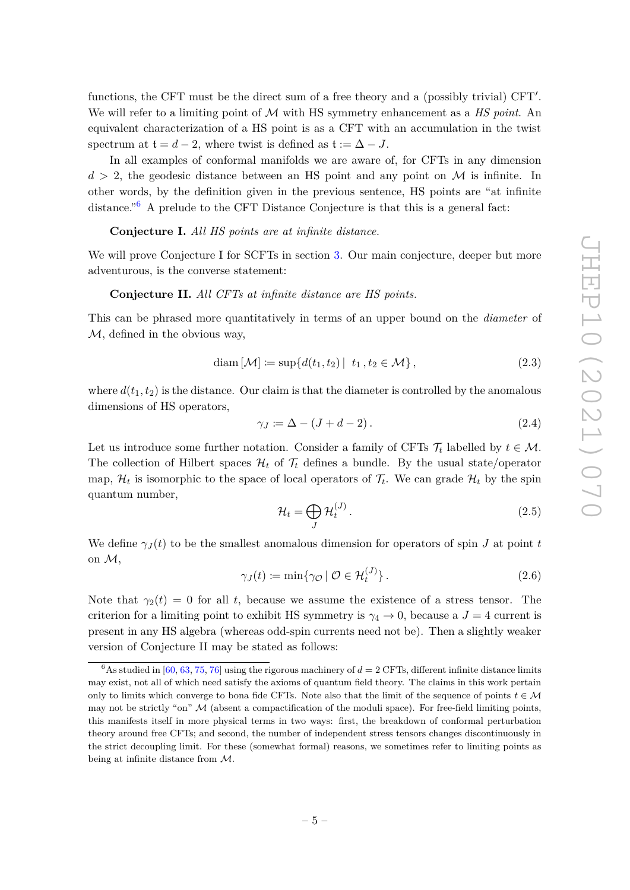functions, the CFT must be the direct sum of a free theory and a (possibly trivial) CFT'. We will refer to a limiting point of M with HS symmetry enhancement as a *HS point*. An equivalent characterization of a HS point is as a CFT with an accumulation in the twist spectrum at  $t = d - 2$ , where twist is defined as  $t := \Delta - J$ .

In all examples of conformal manifolds we are aware of, for CFTs in any dimension  $d > 2$ , the geodesic distance between an HS point and any point on M is infinite. In other words, by the definition given in the previous sentence, HS points are "at infinite distance."[6](#page-5-0) A prelude to the CFT Distance Conjecture is that this is a general fact:

#### **Conjecture I.** *All HS points are at infinite distance.*

We will prove Conjecture I for SCFTs in section [3.](#page-8-0) Our main conjecture, deeper but more adventurous, is the converse statement:

#### **Conjecture II.** *All CFTs at infinite distance are HS points.*

This can be phrased more quantitatively in terms of an upper bound on the *diameter* of  $M$ , defined in the obvious way,

$$
\text{diam}\left[\mathcal{M}\right] \coloneqq \sup\{d(t_1, t_2) \mid t_1, t_2 \in \mathcal{M}\},\tag{2.3}
$$

where  $d(t_1, t_2)$  is the distance. Our claim is that the diameter is controlled by the anomalous dimensions of HS operators,

$$
\gamma_J \coloneqq \Delta - (J + d - 2). \tag{2.4}
$$

Let us introduce some further notation. Consider a family of CFTs  $\mathcal{T}_t$  labelled by  $t \in \mathcal{M}$ . The collection of Hilbert spaces  $\mathcal{H}_t$  of  $\mathcal{T}_t$  defines a bundle. By the usual state/operator map,  $\mathcal{H}_t$  is isomorphic to the space of local operators of  $\mathcal{T}_t$ . We can grade  $\mathcal{H}_t$  by the spin quantum number,

$$
\mathcal{H}_t = \bigoplus_J \mathcal{H}_t^{(J)}.
$$
\n(2.5)

We define  $\gamma$ *J*(*t*) to be the smallest anomalous dimension for operators of spin *J* at point *t* on M,

$$
\gamma_J(t) := \min \{ \gamma_{\mathcal{O}} \mid \mathcal{O} \in \mathcal{H}_t^{(J)} \}.
$$
\n(2.6)

Note that  $\gamma_2(t) = 0$  for all t, because we assume the existence of a stress tensor. The criterion for a limiting point to exhibit HS symmetry is  $\gamma_4 \rightarrow 0$ , because a  $J = 4$  current is present in any HS algebra (whereas odd-spin currents need not be). Then a slightly weaker version of Conjecture II may be stated as follows:

<span id="page-5-0"></span> $6\overline{6}$ As studied in [\[60,](#page-27-7) [63,](#page-27-8) [75,](#page-28-6) [76\]](#page-28-7) using the rigorous machinery of  $d = 2$  CFTs, different infinite distance limits may exist, not all of which need satisfy the axioms of quantum field theory. The claims in this work pertain only to limits which converge to bona fide CFTs. Note also that the limit of the sequence of points  $t \in M$ may not be strictly "on"  $M$  (absent a compactification of the moduli space). For free-field limiting points, this manifests itself in more physical terms in two ways: first, the breakdown of conformal perturbation theory around free CFTs; and second, the number of independent stress tensors changes discontinuously in the strict decoupling limit. For these (somewhat formal) reasons, we sometimes refer to limiting points as being at infinite distance from M.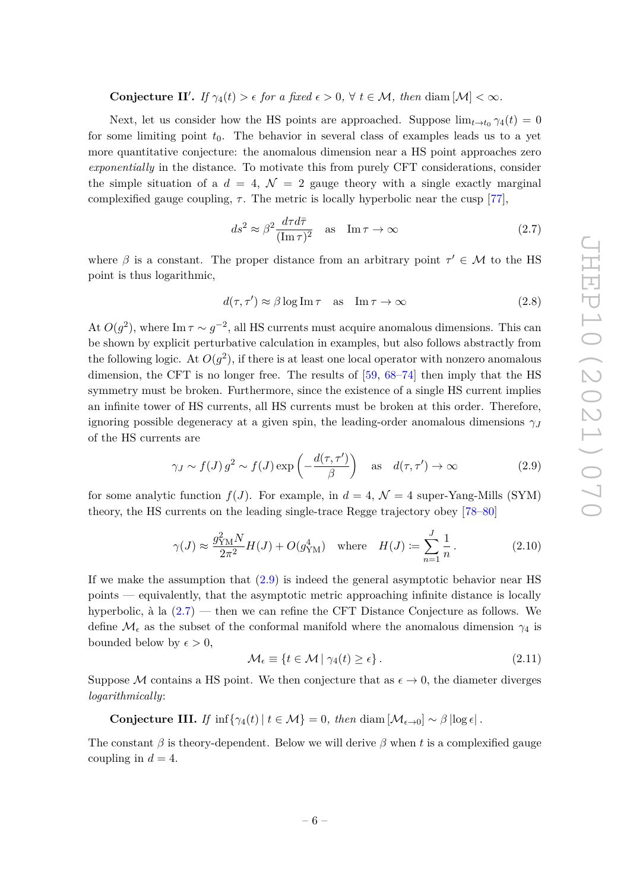# **Conjecture II'.** *If*  $\gamma_4(t) > \epsilon$  *for a fixed*  $\epsilon > 0$ ,  $\forall$   $t \in \mathcal{M}$ , *then* diam  $[\mathcal{M}] < \infty$ *.*

Next, let us consider how the HS points are approached. Suppose  $\lim_{t\to t_0} \gamma_4(t) = 0$ for some limiting point  $t_0$ . The behavior in several class of examples leads us to a yet more quantitative conjecture: the anomalous dimension near a HS point approaches zero *exponentially* in the distance. To motivate this from purely CFT considerations, consider the simple situation of a  $d = 4$ ,  $\mathcal{N} = 2$  gauge theory with a single exactly marginal complexified gauge coupling,  $\tau$ . The metric is locally hyperbolic near the cusp [\[77\]](#page-28-8),

<span id="page-6-1"></span>
$$
ds^2 \approx \beta^2 \frac{d\tau d\bar{\tau}}{(\text{Im}\,\tau)^2} \quad \text{as} \quad \text{Im}\,\tau \to \infty \tag{2.7}
$$

where  $\beta$  is a constant. The proper distance from an arbitrary point  $\tau' \in \mathcal{M}$  to the HS point is thus logarithmic,

$$
d(\tau, \tau') \approx \beta \log \operatorname{Im} \tau \quad \text{as} \quad \operatorname{Im} \tau \to \infty \tag{2.8}
$$

At  $O(g^2)$ , where Im  $\tau \sim g^{-2}$ , all HS currents must acquire anomalous dimensions. This can be shown by explicit perturbative calculation in examples, but also follows abstractly from the following logic. At  $O(g^2)$ , if there is at least one local operator with nonzero anomalous dimension, the CFT is no longer free. The results of [\[59,](#page-27-6) [68](#page-28-3)[–74\]](#page-28-5) then imply that the HS symmetry must be broken. Furthermore, since the existence of a single HS current implies an infinite tower of HS currents, all HS currents must be broken at this order. Therefore, ignoring possible degeneracy at a given spin, the leading-order anomalous dimensions  $\gamma$ *J* of the HS currents are

<span id="page-6-0"></span>
$$
\gamma_J \sim f(J) g^2 \sim f(J) \exp\left(-\frac{d(\tau, \tau')}{\beta}\right)
$$
 as  $d(\tau, \tau') \to \infty$  (2.9)

for some analytic function  $f(J)$ . For example, in  $d = 4$ ,  $\mathcal{N} = 4$  super-Yang-Mills (SYM) theory, the HS currents on the leading single-trace Regge trajectory obey [\[78–](#page-28-9)[80\]](#page-28-10)

$$
\gamma(J) \approx \frac{g_{\rm YM}^2 N}{2\pi^2} H(J) + O(g_{\rm YM}^4)
$$
 where  $H(J) \coloneqq \sum_{n=1}^J \frac{1}{n}$ . (2.10)

If we make the assumption that [\(2.9\)](#page-6-0) is indeed the general asymptotic behavior near HS points — equivalently, that the asymptotic metric approaching infinite distance is locally hyperbolic, à la [\(2.7\)](#page-6-1) — then we can refine the CFT Distance Conjecture as follows. We define  $\mathcal{M}_{\epsilon}$  as the subset of the conformal manifold where the anomalous dimension  $\gamma_4$  is bounded below by  $\epsilon > 0$ ,

<span id="page-6-2"></span>
$$
\mathcal{M}_{\epsilon} \equiv \{ t \in \mathcal{M} \mid \gamma_4(t) \ge \epsilon \}. \tag{2.11}
$$

Suppose M contains a HS point. We then conjecture that as  $\epsilon \to 0$ , the diameter diverges *logarithmically*:

**Conjecture III.** If 
$$
\inf \{ \gamma_4(t) | t \in \mathcal{M} \} = 0
$$
, then  $\text{diam} [\mathcal{M}_{\epsilon \to 0}] \sim \beta |\log \epsilon|$ .

The constant *β* is theory-dependent. Below we will derive *β* when *t* is a complexified gauge coupling in  $d = 4$ .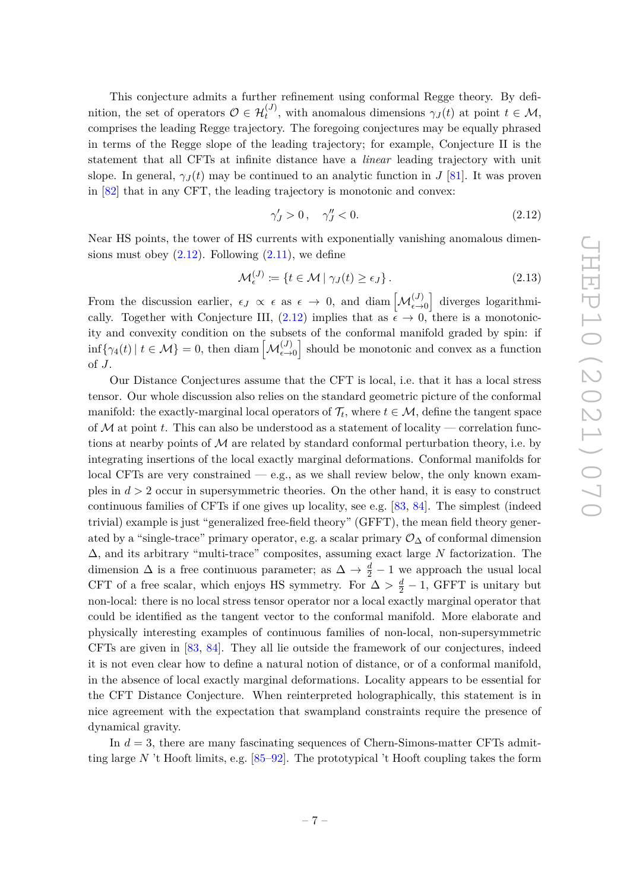This conjecture admits a further refinement using conformal Regge theory. By definition, the set of operators  $\mathcal{O} \in \mathcal{H}_t^{(J)}$ , with anomalous dimensions  $\gamma_J(t)$  at point  $t \in \mathcal{M}$ , comprises the leading Regge trajectory. The foregoing conjectures may be equally phrased in terms of the Regge slope of the leading trajectory; for example, Conjecture II is the statement that all CFTs at infinite distance have a *linear* leading trajectory with unit slope. In general,  $\gamma_J(t)$  may be continued to an analytic function in *J* [\[81\]](#page-28-11). It was proven in [\[82\]](#page-28-12) that in any CFT, the leading trajectory is monotonic and convex:

<span id="page-7-0"></span>
$$
\gamma'_J > 0 \,, \quad \gamma''_J < 0. \tag{2.12}
$$

Near HS points, the tower of HS currents with exponentially vanishing anomalous dimensions must obey  $(2.12)$ . Following  $(2.11)$ , we define

$$
\mathcal{M}_{\epsilon}^{(J)} \coloneqq \{ t \in \mathcal{M} \mid \gamma_J(t) \ge \epsilon_J \}. \tag{2.13}
$$

From the discussion earlier,  $\epsilon_J \propto \epsilon$  as  $\epsilon \to 0$ , and diam  $\left[\mathcal{M}_{\epsilon\to 0}^{(J)}\right]$  diverges logarithmically. Together with Conjecture III,  $(2.12)$  implies that as  $\epsilon \to 0$ , there is a monotonicity and convexity condition on the subsets of the conformal manifold graded by spin: if  $\inf\{\gamma_4(t) \mid t \in \mathcal{M}\}=0$ , then diam  $\left[\mathcal{M}_{\epsilon \to 0}^{(J)}\right]$  should be monotonic and convex as a function of *J*.

Our Distance Conjectures assume that the CFT is local, i.e. that it has a local stress tensor. Our whole discussion also relies on the standard geometric picture of the conformal manifold: the exactly-marginal local operators of  $\mathcal{T}_t$ , where  $t \in \mathcal{M}$ , define the tangent space of M at point *t*. This can also be understood as a statement of locality — correlation functions at nearby points of  $M$  are related by standard conformal perturbation theory, i.e. by integrating insertions of the local exactly marginal deformations. Conformal manifolds for local CFTs are very constrained  $-$  e.g., as we shall review below, the only known examples in *d >* 2 occur in supersymmetric theories. On the other hand, it is easy to construct continuous families of CFTs if one gives up locality, see e.g. [\[83,](#page-28-13) [84\]](#page-29-0). The simplest (indeed trivial) example is just "generalized free-field theory" (GFFT), the mean field theory generated by a "single-trace" primary operator, e.g. a scalar primary  $\mathcal{O}_{\Delta}$  of conformal dimension ∆, and its arbitrary "multi-trace" composites, assuming exact large *N* factorization. The dimension  $\Delta$  is a free continuous parameter; as  $\Delta \to \frac{d}{2} - 1$  we approach the usual local CFT of a free scalar, which enjoys HS symmetry. For  $\Delta > \frac{d}{2} - 1$ , GFFT is unitary but non-local: there is no local stress tensor operator nor a local exactly marginal operator that could be identified as the tangent vector to the conformal manifold. More elaborate and physically interesting examples of continuous families of non-local, non-supersymmetric CFTs are given in [\[83,](#page-28-13) [84\]](#page-29-0). They all lie outside the framework of our conjectures, indeed it is not even clear how to define a natural notion of distance, or of a conformal manifold, in the absence of local exactly marginal deformations. Locality appears to be essential for the CFT Distance Conjecture. When reinterpreted holographically, this statement is in nice agreement with the expectation that swampland constraints require the presence of dynamical gravity.

In *d* = 3, there are many fascinating sequences of Chern-Simons-matter CFTs admitting large *N* 't Hooft limits, e.g. [\[85–](#page-29-1)[92\]](#page-29-2). The prototypical 't Hooft coupling takes the form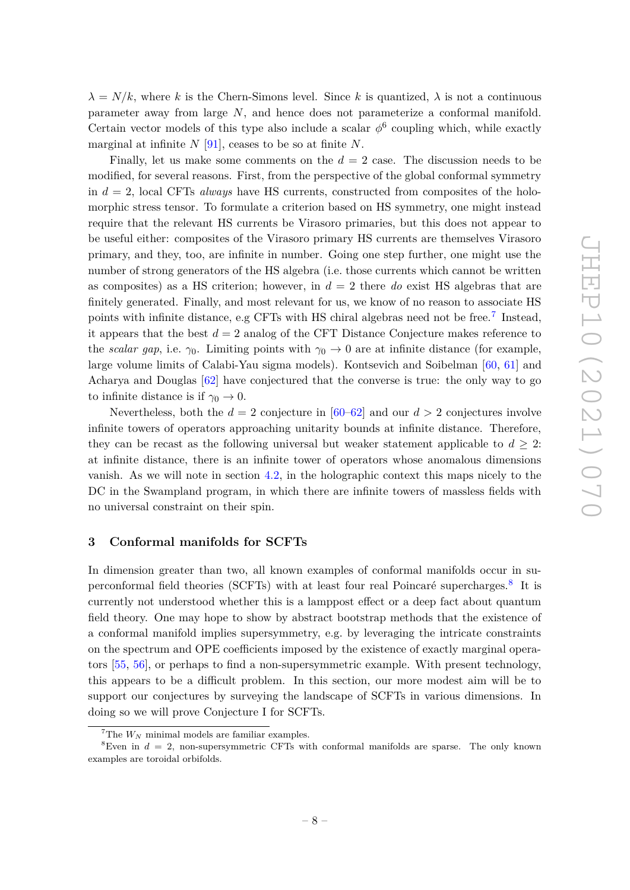$\lambda = N/k$ , where k is the Chern-Simons level. Since k is quantized,  $\lambda$  is not a continuous parameter away from large *N*, and hence does not parameterize a conformal manifold. Certain vector models of this type also include a scalar  $\phi^6$  coupling which, while exactly marginal at infinite *N* [\[91\]](#page-29-3), ceases to be so at finite *N*.

Finally, let us make some comments on the *d* = 2 case. The discussion needs to be modified, for several reasons. First, from the perspective of the global conformal symmetry in  $d = 2$ , local CFTs *always* have HS currents, constructed from composites of the holomorphic stress tensor. To formulate a criterion based on HS symmetry, one might instead require that the relevant HS currents be Virasoro primaries, but this does not appear to be useful either: composites of the Virasoro primary HS currents are themselves Virasoro primary, and they, too, are infinite in number. Going one step further, one might use the number of strong generators of the HS algebra (i.e. those currents which cannot be written as composites) as a HS criterion; however, in *d* = 2 there *do* exist HS algebras that are finitely generated. Finally, and most relevant for us, we know of no reason to associate HS points with infinite distance, e.g CFTs with HS chiral algebras need not be free.<sup>[7](#page-8-1)</sup> Instead, it appears that the best  $d = 2$  analog of the CFT Distance Conjecture makes reference to the *scalar gap*, i.e.  $\gamma_0$ . Limiting points with  $\gamma_0 \to 0$  are at infinite distance (for example, large volume limits of Calabi-Yau sigma models). Kontsevich and Soibelman [\[60,](#page-27-7) [61\]](#page-27-10) and Acharya and Douglas [\[62\]](#page-27-11) have conjectured that the converse is true: the only way to go to infinite distance is if  $\gamma_0 \to 0$ .

Nevertheless, both the  $d = 2$  conjecture in  $[60-62]$  $[60-62]$  and our  $d > 2$  conjectures involve infinite towers of operators approaching unitarity bounds at infinite distance. Therefore, they can be recast as the following universal but weaker statement applicable to  $d \geq 2$ : at infinite distance, there is an infinite tower of operators whose anomalous dimensions vanish. As we will note in section [4.2,](#page-20-0) in the holographic context this maps nicely to the DC in the Swampland program, in which there are infinite towers of massless fields with no universal constraint on their spin.

#### <span id="page-8-0"></span>**3 Conformal manifolds for SCFTs**

In dimension greater than two, all known examples of conformal manifolds occur in su-perconformal field theories (SCFTs) with at least four real Poincaré supercharges.<sup>[8](#page-8-2)</sup> It is currently not understood whether this is a lamppost effect or a deep fact about quantum field theory. One may hope to show by abstract bootstrap methods that the existence of a conformal manifold implies supersymmetry, e.g. by leveraging the intricate constraints on the spectrum and OPE coefficients imposed by the existence of exactly marginal operators [\[55,](#page-27-12) [56\]](#page-27-13), or perhaps to find a non-supersymmetric example. With present technology, this appears to be a difficult problem. In this section, our more modest aim will be to support our conjectures by surveying the landscape of SCFTs in various dimensions. In doing so we will prove Conjecture I for SCFTs.

<span id="page-8-2"></span><span id="page-8-1"></span> ${}^{7}$ The  $W_N$  minimal models are familiar examples.

<sup>&</sup>lt;sup>8</sup>Even in  $d = 2$ , non-supersymmetric CFTs with conformal manifolds are sparse. The only known examples are toroidal orbifolds.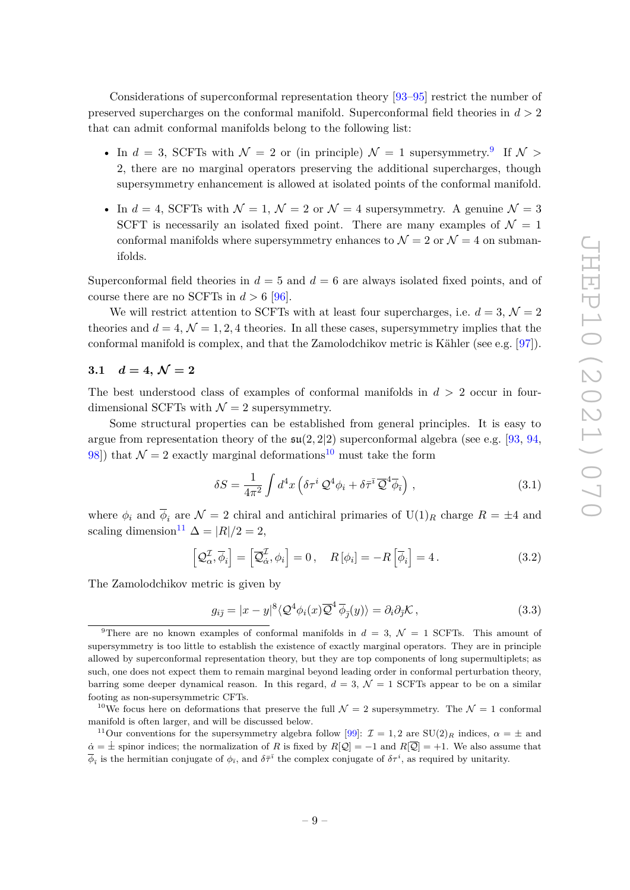Considerations of superconformal representation theory [\[93](#page-29-4)[–95\]](#page-29-5) restrict the number of preserved supercharges on the conformal manifold. Superconformal field theories in *d >* 2 that can admit conformal manifolds belong to the following list:

- In  $d = 3$ , SCFTs with  $\mathcal{N} = 2$  or (in principle)  $\mathcal{N} = 1$  supersymmetry.<sup>[9](#page-9-1)</sup> If  $\mathcal{N} >$ 2, there are no marginal operators preserving the additional supercharges, though supersymmetry enhancement is allowed at isolated points of the conformal manifold.
- In  $d = 4$ , SCFTs with  $\mathcal{N} = 1$ ,  $\mathcal{N} = 2$  or  $\mathcal{N} = 4$  supersymmetry. A genuine  $\mathcal{N} = 3$ SCFT is necessarily an isolated fixed point. There are many examples of  $\mathcal{N} = 1$ conformal manifolds where supersymmetry enhances to  $\mathcal{N}=2$  or  $\mathcal{N}=4$  on submanifolds.

Superconformal field theories in  $d = 5$  and  $d = 6$  are always isolated fixed points, and of course there are no SCFTs in  $d > 6$  [\[96\]](#page-29-6).

We will restrict attention to SCFTs with at least four supercharges, i.e.  $d = 3$ ,  $\mathcal{N} = 2$ theories and  $d = 4$ ,  $\mathcal{N} = 1, 2, 4$  theories. In all these cases, supersymmetry implies that the conformal manifold is complex, and that the Zamolodchikov metric is Kähler (see e.g. [\[97\]](#page-29-7)).

# <span id="page-9-0"></span>**3.1**  $d = 4, \mathcal{N} = 2$

The best understood class of examples of conformal manifolds in *d >* 2 occur in fourdimensional SCFTs with  $\mathcal{N}=2$  supersymmetry.

Some structural properties can be established from general principles. It is easy to argue from representation theory of the  $\mathfrak{su}(2, 2|2)$  superconformal algebra (see e.g. [\[93,](#page-29-4) [94,](#page-29-8) 98) that  $\mathcal{N} = 2$  exactly marginal deformations<sup>[10](#page-9-2)</sup> must take the form

$$
\delta S = \frac{1}{4\pi^2} \int d^4x \left( \delta \tau^i \mathcal{Q}^4 \phi_i + \delta \bar{\tau}^{\bar{i}} \overline{\mathcal{Q}}^4 \overline{\phi}_{\bar{i}} \right) , \qquad (3.1)
$$

where  $\phi_i$  and  $\overline{\phi}_i$  are  $\mathcal{N} = 2$  chiral and antichiral primaries of  $U(1)_R$  charge  $R = \pm 4$  and scaling dimension<sup>[11](#page-9-3)</sup>  $\Delta = |R|/2 = 2$ ,

$$
\left[\mathcal{Q}_{\alpha}^{\mathcal{I}}, \overline{\phi}_{i}\right] = \left[\overline{\mathcal{Q}}_{\dot{\alpha}}^{\mathcal{I}}, \phi_{i}\right] = 0, \quad R\left[\phi_{i}\right] = -R\left[\overline{\phi}_{i}\right] = 4. \tag{3.2}
$$

The Zamolodchikov metric is given by

$$
g_{i\bar{j}} = |x - y|^8 \langle \mathcal{Q}^4 \phi_i(x) \overline{\mathcal{Q}}^4 \, \overline{\phi}_{\bar{j}}(y) \rangle = \partial_i \partial_{\bar{j}} \mathcal{K}, \qquad (3.3)
$$

<span id="page-9-1"></span><sup>&</sup>lt;sup>9</sup>There are no known examples of conformal manifolds in  $d = 3$ ,  $\mathcal{N} = 1$  SCFTs. This amount of supersymmetry is too little to establish the existence of exactly marginal operators. They are in principle allowed by superconformal representation theory, but they are top components of long supermultiplets; as such, one does not expect them to remain marginal beyond leading order in conformal perturbation theory, barring some deeper dynamical reason. In this regard,  $d = 3$ ,  $\mathcal{N} = 1$  SCFTs appear to be on a similar footing as non-supersymmetric CFTs.

<span id="page-9-2"></span><sup>&</sup>lt;sup>10</sup>We focus here on deformations that preserve the full  $\mathcal{N}=2$  supersymmetry. The  $\mathcal{N}=1$  conformal manifold is often larger, and will be discussed below.

<span id="page-9-3"></span><sup>&</sup>lt;sup>11</sup>Our conventions for the supersymmetry algebra follow [\[99\]](#page-29-10):  $\mathcal{I} = 1, 2$  are SU(2)<sub>*R*</sub> indices,  $\alpha = \pm$  and  $\alpha = \pm$  spinor indices; the normalization of *R* is fixed by  $R[Q] = -1$  and  $R[\overline{Q}] = +1$ . We also assume that  $\overline{\phi}_{\bar{i}}$  is the hermitian conjugate of  $\phi_{\bar{i}}$ , and  $\delta\bar{\tau}^{\bar{i}}$  the complex conjugate of  $\delta\tau^i$ , as required by unitarity.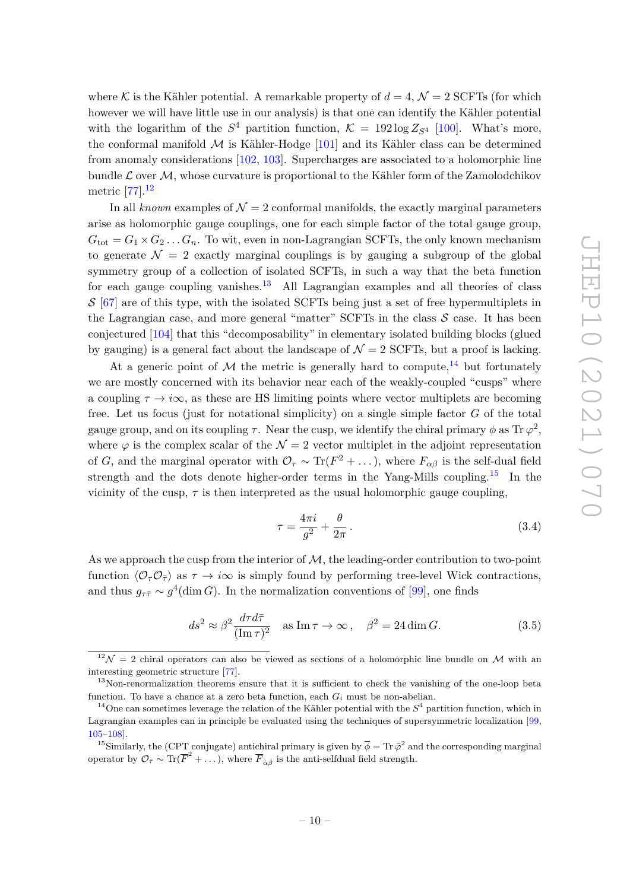where K is the Kähler potential. A remarkable property of  $d = 4$ ,  $\mathcal{N} = 2$  SCFTs (for which however we will have little use in our analysis) is that one can identify the Kähler potential with the logarithm of the  $S^4$  partition function,  $\mathcal{K} = 192 \log Z_{S^4}$  [\[100\]](#page-29-11). What's more, the conformal manifold  $M$  is Kähler-Hodge [\[101\]](#page-29-12) and its Kähler class can be determined from anomaly considerations [\[102,](#page-29-13) [103\]](#page-30-0). Supercharges are associated to a holomorphic line bundle  $\mathcal L$  over  $\mathcal M$ , whose curvature is proportional to the Kähler form of the Zamolodchikov metric [\[77\]](#page-28-8).[12](#page-10-0)

In all *known* examples of  $\mathcal{N} = 2$  conformal manifolds, the exactly marginal parameters arise as holomorphic gauge couplings, one for each simple factor of the total gauge group,  $G_{\text{tot}} = G_1 \times G_2 \dots G_n$ . To wit, even in non-Lagrangian SCFTs, the only known mechanism to generate  $\mathcal{N} = 2$  exactly marginal couplings is by gauging a subgroup of the global symmetry group of a collection of isolated SCFTs, in such a way that the beta function for each gauge coupling vanishes.<sup>[13](#page-10-1)</sup> All Lagrangian examples and all theories of class  $S$  [\[67\]](#page-28-2) are of this type, with the isolated SCFTs being just a set of free hypermultiplets in the Lagrangian case, and more general "matter"  $SCFTs$  in the class  $S$  case. It has been conjectured [\[104\]](#page-30-1) that this "decomposability" in elementary isolated building blocks (glued by gauging) is a general fact about the landscape of  $\mathcal{N}=2$  SCFTs, but a proof is lacking.

At a generic point of M the metric is generally hard to compute,  $^{14}$  $^{14}$  $^{14}$  but fortunately we are mostly concerned with its behavior near each of the weakly-coupled "cusps" where a coupling  $\tau \to i\infty$ , as these are HS limiting points where vector multiplets are becoming free. Let us focus (just for notational simplicity) on a single simple factor *G* of the total gauge group, and on its coupling  $\tau$ . Near the cusp, we identify the chiral primary  $\phi$  as  $\text{Tr }\varphi^2$ , where  $\varphi$  is the complex scalar of the  $\mathcal{N}=2$  vector multiplet in the adjoint representation of *G*, and the marginal operator with  $\mathcal{O}_{\tau} \sim \text{Tr}(F^2 + \dots)$ , where  $F_{\alpha\beta}$  is the self-dual field strength and the dots denote higher-order terms in the Yang-Mills coupling.<sup>[15](#page-10-3)</sup> In the vicinity of the cusp,  $\tau$  is then interpreted as the usual holomorphic gauge coupling,

<span id="page-10-5"></span>
$$
\tau = \frac{4\pi i}{g^2} + \frac{\theta}{2\pi}.
$$
\n(3.4)

As we approach the cusp from the interior of  $M$ , the leading-order contribution to two-point function  $\langle \mathcal{O}_\tau \mathcal{O}_{\bar{\tau}} \rangle$  as  $\tau \to i\infty$  is simply found by performing tree-level Wick contractions, and thus  $g_{\tau\bar{\tau}} \sim g^4(\dim G)$ . In the normalization conventions of [\[99\]](#page-29-10), one finds

<span id="page-10-4"></span>
$$
ds^2 \approx \beta^2 \frac{d\tau d\bar{\tau}}{(\text{Im}\,\tau)^2} \quad \text{as } \text{Im}\,\tau \to \infty \,, \quad \beta^2 = 24 \dim G. \tag{3.5}
$$

<span id="page-10-0"></span> $12\mathcal{N}=2$  chiral operators can also be viewed as sections of a holomorphic line bundle on M with an interesting geometric structure [\[77\]](#page-28-8).

<span id="page-10-1"></span><sup>&</sup>lt;sup>13</sup>Non-renormalization theorems ensure that it is sufficient to check the vanishing of the one-loop beta function. To have a chance at a zero beta function, each  $G_i$  must be non-abelian.

<span id="page-10-2"></span><sup>&</sup>lt;sup>14</sup>One can sometimes leverage the relation of the Kähler potential with the  $S<sup>4</sup>$  partition function, which in Lagrangian examples can in principle be evaluated using the techniques of supersymmetric localization [\[99,](#page-29-10) [105–](#page-30-2)[108\]](#page-30-3).

<span id="page-10-3"></span><sup>&</sup>lt;sup>15</sup>Similarly, the (CPT conjugate) antichiral primary is given by  $\overline{\phi} = \text{Tr } \overline{\phi}^2$  and the corresponding marginal operator by  $\mathcal{O}_{\bar{\tau}} \sim \text{Tr}(\overline{F}^2 + \dots)$ , where  $\overline{F}_{\dot{\alpha}\dot{\beta}}$  is the anti-selfdual field strength.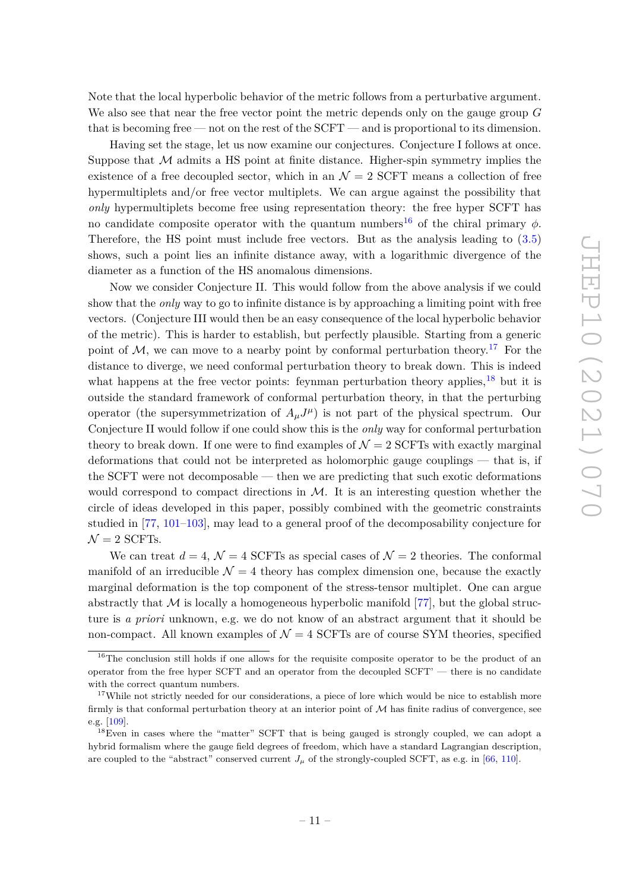Note that the local hyperbolic behavior of the metric follows from a perturbative argument. We also see that near the free vector point the metric depends only on the gauge group *G* that is becoming free — not on the rest of the SCFT — and is proportional to its dimension.

Having set the stage, let us now examine our conjectures. Conjecture I follows at once. Suppose that  $M$  admits a HS point at finite distance. Higher-spin symmetry implies the existence of a free decoupled sector, which in an  $\mathcal{N}=2$  SCFT means a collection of free hypermultiplets and/or free vector multiplets. We can argue against the possibility that *only* hypermultiplets become free using representation theory: the free hyper SCFT has no candidate composite operator with the quantum numbers<sup>[16](#page-11-0)</sup> of the chiral primary  $\phi$ . Therefore, the HS point must include free vectors. But as the analysis leading to [\(3.5\)](#page-10-4) shows, such a point lies an infinite distance away, with a logarithmic divergence of the diameter as a function of the HS anomalous dimensions.

Now we consider Conjecture II. This would follow from the above analysis if we could show that the *only* way to go to infinite distance is by approaching a limiting point with free vectors. (Conjecture III would then be an easy consequence of the local hyperbolic behavior of the metric). This is harder to establish, but perfectly plausible. Starting from a generic point of M, we can move to a nearby point by conformal perturbation theory.<sup>[17](#page-11-1)</sup> For the distance to diverge, we need conformal perturbation theory to break down. This is indeed what happens at the free vector points: feynman perturbation theory applies,  $^{18}$  $^{18}$  $^{18}$  but it is outside the standard framework of conformal perturbation theory, in that the perturbing operator (the supersymmetrization of  $A_{\mu}J^{\mu}$ ) is not part of the physical spectrum. Our Conjecture II would follow if one could show this is the *only* way for conformal perturbation theory to break down. If one were to find examples of  $\mathcal{N}=2$  SCFTs with exactly marginal deformations that could not be interpreted as holomorphic gauge couplings — that is, if the SCFT were not decomposable — then we are predicting that such exotic deformations would correspond to compact directions in  $\mathcal{M}$ . It is an interesting question whether the circle of ideas developed in this paper, possibly combined with the geometric constraints studied in [\[77,](#page-28-8) [101–](#page-29-12)[103\]](#page-30-0), may lead to a general proof of the decomposability conjecture for  $\mathcal{N}=2$  SCFTs.

We can treat  $d = 4$ ,  $\mathcal{N} = 4$  SCFTs as special cases of  $\mathcal{N} = 2$  theories. The conformal manifold of an irreducible  $\mathcal{N} = 4$  theory has complex dimension one, because the exactly marginal deformation is the top component of the stress-tensor multiplet. One can argue abstractly that  $M$  is locally a homogeneous hyperbolic manifold [\[77\]](#page-28-8), but the global structure is *a priori* unknown, e.g. we do not know of an abstract argument that it should be non-compact. All known examples of  $\mathcal{N}=4$  SCFTs are of course SYM theories, specified

<span id="page-11-0"></span> $16$ The conclusion still holds if one allows for the requisite composite operator to be the product of an operator from the free hyper SCFT and an operator from the decoupled SCFT' — there is no candidate with the correct quantum numbers.

<span id="page-11-1"></span><sup>&</sup>lt;sup>17</sup>While not strictly needed for our considerations, a piece of lore which would be nice to establish more firmly is that conformal perturbation theory at an interior point of  $M$  has finite radius of convergence, see e.g. [\[109\]](#page-30-4).

<span id="page-11-2"></span><sup>&</sup>lt;sup>18</sup>Even in cases where the "matter" SCFT that is being gauged is strongly coupled, we can adopt a hybrid formalism where the gauge field degrees of freedom, which have a standard Lagrangian description, are coupled to the "abstract" conserved current  $J_\mu$  of the strongly-coupled SCFT, as e.g. in [\[66,](#page-28-1) [110\]](#page-30-5).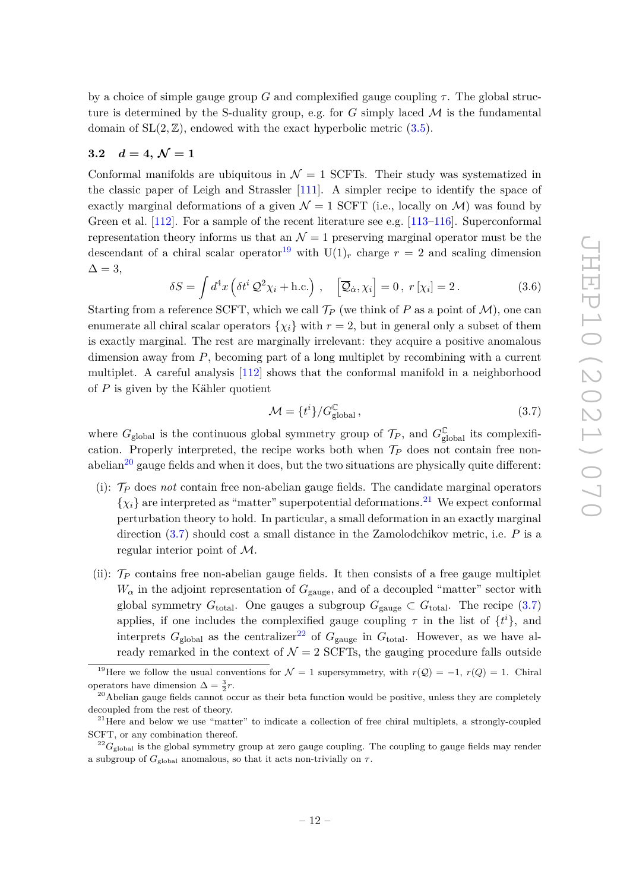by a choice of simple gauge group  $G$  and complexified gauge coupling  $\tau$ . The global structure is determined by the S-duality group, e.g. for  $G$  simply laced  $\mathcal M$  is the fundamental domain of  $SL(2, \mathbb{Z})$ , endowed with the exact hyperbolic metric  $(3.5)$ .

# <span id="page-12-0"></span>**3.2**  $d = 4, \mathcal{N} = 1$

Conformal manifolds are ubiquitous in  $\mathcal{N} = 1$  SCFTs. Their study was systematized in the classic paper of Leigh and Strassler [\[111\]](#page-30-6). A simpler recipe to identify the space of exactly marginal deformations of a given  $\mathcal{N} = 1$  SCFT (i.e., locally on  $\mathcal{M}$ ) was found by Green et al. [\[112\]](#page-30-7). For a sample of the recent literature see e.g. [\[113–](#page-30-8)[116\]](#page-30-9). Superconformal representation theory informs us that an  $\mathcal{N}=1$  preserving marginal operator must be the descendant of a chiral scalar operator<sup>[19](#page-12-1)</sup> with  $U(1)_r$  charge  $r = 2$  and scaling dimension  $\Delta = 3,$ 

$$
\delta S = \int d^4x \left( \delta t^i \mathcal{Q}^2 \chi_i + \text{h.c.} \right) , \quad \left[ \overline{\mathcal{Q}}_{\dot{\alpha}}, \chi_i \right] = 0 , \ r[\chi_i] = 2 . \tag{3.6}
$$

Starting from a reference SCFT, which we call  $\mathcal{T}_P$  (we think of P as a point of M), one can enumerate all chiral scalar operators  $\{\chi_i\}$  with  $r = 2$ , but in general only a subset of them is exactly marginal. The rest are marginally irrelevant: they acquire a positive anomalous dimension away from *P*, becoming part of a long multiplet by recombining with a current multiplet. A careful analysis [\[112\]](#page-30-7) shows that the conformal manifold in a neighborhood of *P* is given by the Kähler quotient

<span id="page-12-4"></span>
$$
\mathcal{M} = \{t^i\}/G_{\text{global}}^{\mathbb{C}},\tag{3.7}
$$

where  $G_{\text{global}}$  is the continuous global symmetry group of  $\mathcal{T}_P$ , and  $G_{\text{global}}^{\mathbb{C}}$  its complexification. Properly interpreted, the recipe works both when  $\mathcal{T}_P$  does not contain free non-abelian<sup>[20](#page-12-2)</sup> gauge fields and when it does, but the two situations are physically quite different:

- (i): T*<sup>P</sup>* does *not* contain free non-abelian gauge fields. The candidate marginal operators  $\{\chi_i\}$  are interpreted as "matter" superpotential deformations.<sup>[21](#page-12-3)</sup> We expect conformal perturbation theory to hold. In particular, a small deformation in an exactly marginal direction [\(3.7\)](#page-12-4) should cost a small distance in the Zamolodchikov metric, i.e. *P* is a regular interior point of M.
- (ii):  $\mathcal{T}_P$  contains free non-abelian gauge fields. It then consists of a free gauge multiplet  $W_{\alpha}$  in the adjoint representation of  $G_{\text{gauge}}$ , and of a decoupled "matter" sector with global symmetry  $G_{\text{total}}$ . One gauges a subgroup  $G_{\text{gauge}} \subset G_{\text{total}}$ . The recipe [\(3.7\)](#page-12-4) applies, if one includes the complexified gauge coupling  $\tau$  in the list of  $\{t^i\}$ , and interprets  $G_{\text{global}}$  as the centralizer<sup>[22](#page-12-5)</sup> of  $G_{\text{gauge}}$  in  $G_{\text{total}}$ . However, as we have already remarked in the context of  $\mathcal{N} = 2$  SCFTs, the gauging procedure falls outside

<span id="page-12-1"></span><sup>&</sup>lt;sup>19</sup>Here we follow the usual conventions for  $\mathcal{N} = 1$  supersymmetry, with  $r(\mathcal{Q}) = -1$ ,  $r(Q) = 1$ . Chiral operators have dimension  $\Delta = \frac{3}{2}r$ .

<span id="page-12-2"></span><sup>&</sup>lt;sup>20</sup>Abelian gauge fields cannot occur as their beta function would be positive, unless they are completely decoupled from the rest of theory.

<span id="page-12-3"></span><sup>&</sup>lt;sup>21</sup>Here and below we use "matter" to indicate a collection of free chiral multiplets, a strongly-coupled SCFT, or any combination thereof.

<span id="page-12-5"></span> $^{22}G_{\text{global}}$  is the global symmetry group at zero gauge coupling. The coupling to gauge fields may render a subgroup of  $G_{\text{global}}$  anomalous, so that it acts non-trivially on  $\tau$ .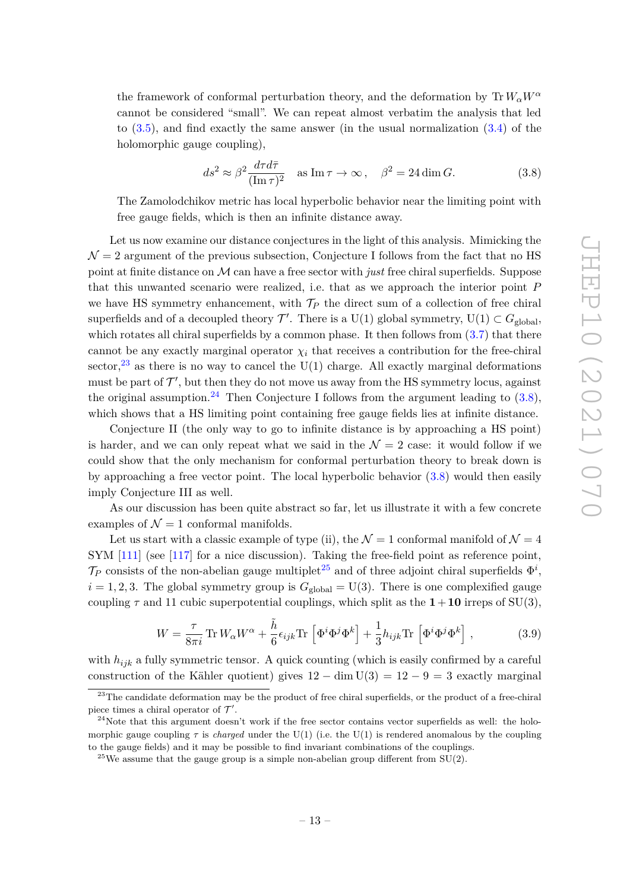the framework of conformal perturbation theory, and the deformation by  $Tr W_{\alpha}W^{\alpha}$ cannot be considered "small". We can repeat almost verbatim the analysis that led to [\(3.5\)](#page-10-4), and find exactly the same answer (in the usual normalization [\(3.4\)](#page-10-5) of the holomorphic gauge coupling),

<span id="page-13-2"></span>
$$
ds^2 \approx \beta^2 \frac{d\tau d\bar{\tau}}{(\text{Im}\,\tau)^2} \quad \text{as } \text{Im}\,\tau \to \infty \,, \quad \beta^2 = 24 \dim G. \tag{3.8}
$$

The Zamolodchikov metric has local hyperbolic behavior near the limiting point with free gauge fields, which is then an infinite distance away.

Let us now examine our distance conjectures in the light of this analysis. Mimicking the  $\mathcal{N}=2$  argument of the previous subsection, Conjecture I follows from the fact that no HS point at finite distance on M can have a free sector with *just* free chiral superfields. Suppose that this unwanted scenario were realized, i.e. that as we approach the interior point *P* we have HS symmetry enhancement, with  $\mathcal{T}_P$  the direct sum of a collection of free chiral superfields and of a decoupled theory  $\mathcal{T}'$ . There is a U(1) global symmetry, U(1)  $\subset G_{\text{global}}$ , which rotates all chiral superfields by a common phase. It then follows from  $(3.7)$  that there cannot be any exactly marginal operator  $\chi_i$  that receives a contribution for the free-chiral sector,  $^{23}$  $^{23}$  $^{23}$  as there is no way to cancel the U(1) charge. All exactly marginal deformations must be part of  $\mathcal{T}'$ , but then they do not move us away from the HS symmetry locus, against the original assumption.<sup>[24](#page-13-1)</sup> Then Conjecture I follows from the argument leading to  $(3.8)$ , which shows that a HS limiting point containing free gauge fields lies at infinite distance.

Conjecture II (the only way to go to infinite distance is by approaching a HS point) is harder, and we can only repeat what we said in the  $\mathcal{N}=2$  case: it would follow if we could show that the only mechanism for conformal perturbation theory to break down is by approaching a free vector point. The local hyperbolic behavior [\(3.8\)](#page-13-2) would then easily imply Conjecture III as well.

As our discussion has been quite abstract so far, let us illustrate it with a few concrete examples of  $\mathcal{N} = 1$  conformal manifolds.

Let us start with a classic example of type (ii), the  $\mathcal{N}=1$  conformal manifold of  $\mathcal{N}=4$ SYM [\[111\]](#page-30-6) (see [\[117\]](#page-30-10) for a nice discussion). Taking the free-field point as reference point,  $\mathcal{T}_P$  consists of the non-abelian gauge multiplet<sup>[25](#page-13-3)</sup> and of three adjoint chiral superfields  $\Phi^i$ ,  $i = 1, 2, 3$ . The global symmetry group is  $G_{\text{global}} = U(3)$ . There is one complexified gauge coupling  $\tau$  and 11 cubic superpotential couplings, which split as the  $1+10$  irreps of SU(3),

$$
W = \frac{\tau}{8\pi i} \text{Tr} \, W_{\alpha} W^{\alpha} + \frac{\tilde{h}}{6} \epsilon_{ijk} \text{Tr} \left[ \Phi^{i} \Phi^{j} \Phi^{k} \right] + \frac{1}{3} h_{ijk} \text{Tr} \left[ \Phi^{i} \Phi^{j} \Phi^{k} \right], \tag{3.9}
$$

with *hijk* a fully symmetric tensor. A quick counting (which is easily confirmed by a careful construction of the Kähler quotient) gives  $12 - \dim U(3) = 12 - 9 = 3$  exactly marginal

<span id="page-13-0"></span><sup>&</sup>lt;sup>23</sup>The candidate deformation may be the product of free chiral superfields, or the product of a free-chiral piece times a chiral operator of  $\mathcal{T}'$ .

<span id="page-13-1"></span> $24$ Note that this argument doesn't work if the free sector contains vector superfields as well: the holomorphic gauge coupling  $\tau$  is *charged* under the U(1) (i.e. the U(1) is rendered anomalous by the coupling to the gauge fields) and it may be possible to find invariant combinations of the couplings.

<span id="page-13-3"></span><sup>&</sup>lt;sup>25</sup>We assume that the gauge group is a simple non-abelian group different from  $SU(2)$ .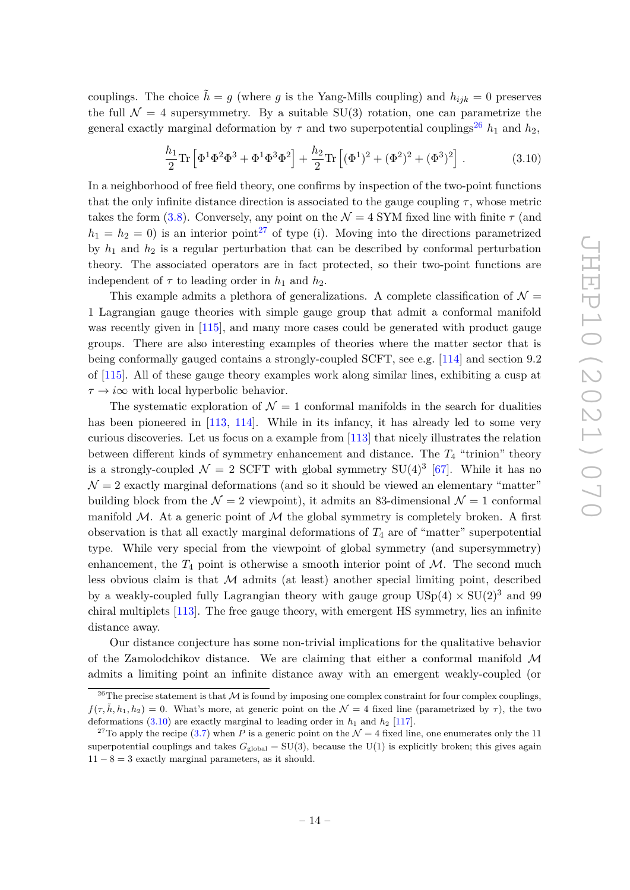couplings. The choice  $\tilde{h} = g$  (where *g* is the Yang-Mills coupling) and  $h_{ijk} = 0$  preserves the full  $\mathcal{N} = 4$  supersymmetry. By a suitable SU(3) rotation, one can parametrize the general exactly marginal deformation by  $\tau$  and two superpotential couplings<sup>[26](#page-14-0)</sup>  $h_1$  and  $h_2$ ,

<span id="page-14-2"></span>
$$
\frac{h_1}{2}\text{Tr}\left[\Phi^1\Phi^2\Phi^3 + \Phi^1\Phi^3\Phi^2\right] + \frac{h_2}{2}\text{Tr}\left[(\Phi^1)^2 + (\Phi^2)^2 + (\Phi^3)^2\right].\tag{3.10}
$$

In a neighborhood of free field theory, one confirms by inspection of the two-point functions that the only infinite distance direction is associated to the gauge coupling  $\tau$ , whose metric takes the form [\(3.8\)](#page-13-2). Conversely, any point on the  $\mathcal{N} = 4$  SYM fixed line with finite  $\tau$  (and  $h_1 = h_2 = 0$ ) is an interior point<sup>[27](#page-14-1)</sup> of type (i). Moving into the directions parametrized by  $h_1$  and  $h_2$  is a regular perturbation that can be described by conformal perturbation theory. The associated operators are in fact protected, so their two-point functions are independent of  $\tau$  to leading order in  $h_1$  and  $h_2$ .

This example admits a plethora of generalizations. A complete classification of  $\mathcal{N} =$ 1 Lagrangian gauge theories with simple gauge group that admit a conformal manifold was recently given in  $[115]$ , and many more cases could be generated with product gauge groups. There are also interesting examples of theories where the matter sector that is being conformally gauged contains a strongly-coupled SCFT, see e.g. [\[114\]](#page-30-12) and section 9.2 of [\[115\]](#page-30-11). All of these gauge theory examples work along similar lines, exhibiting a cusp at *τ* → *i*∞ with local hyperbolic behavior.

The systematic exploration of  $\mathcal{N} = 1$  conformal manifolds in the search for dualities has been pioneered in [\[113,](#page-30-8) [114\]](#page-30-12). While in its infancy, it has already led to some very curious discoveries. Let us focus on a example from [\[113\]](#page-30-8) that nicely illustrates the relation between different kinds of symmetry enhancement and distance. The *T*<sup>4</sup> "trinion" theory is a strongly-coupled  $\mathcal{N}=2$  SCFT with global symmetry SU(4)<sup>3</sup> [\[67\]](#page-28-2). While it has no  $\mathcal{N}=2$  exactly marginal deformations (and so it should be viewed an elementary "matter" building block from the  $\mathcal{N} = 2$  viewpoint), it admits an 83-dimensional  $\mathcal{N} = 1$  conformal manifold  $M$ . At a generic point of  $M$  the global symmetry is completely broken. A first observation is that all exactly marginal deformations of  $T_4$  are of "matter" superpotential type. While very special from the viewpoint of global symmetry (and supersymmetry) enhancement, the  $T_4$  point is otherwise a smooth interior point of  $M$ . The second much less obvious claim is that  $M$  admits (at least) another special limiting point, described by a weakly-coupled fully Lagrangian theory with gauge group  $USp(4) \times SU(2)^3$  and 99 chiral multiplets [\[113\]](#page-30-8). The free gauge theory, with emergent HS symmetry, lies an infinite distance away.

Our distance conjecture has some non-trivial implications for the qualitative behavior of the Zamolodchikov distance. We are claiming that either a conformal manifold  $\mathcal M$ admits a limiting point an infinite distance away with an emergent weakly-coupled (or

<span id="page-14-0"></span><sup>&</sup>lt;sup>26</sup>The precise statement is that  $M$  is found by imposing one complex constraint for four complex couplings,  $f(\tau, \tilde{h}, h_1, h_2) = 0$ . What's more, at generic point on the  $\mathcal{N} = 4$  fixed line (parametrized by  $\tau$ ), the two deformations  $(3.10)$  are exactly marginal to leading order in  $h_1$  and  $h_2$  [\[117\]](#page-30-10).

<span id="page-14-1"></span><sup>&</sup>lt;sup>27</sup>To apply the recipe [\(3.7\)](#page-12-4) when *P* is a generic point on the  $\mathcal{N} = 4$  fixed line, one enumerates only the 11 superpotential couplings and takes  $G_{\text{global}} = SU(3)$ , because the U(1) is explicitly broken; this gives again  $11 - 8 = 3$  exactly marginal parameters, as it should.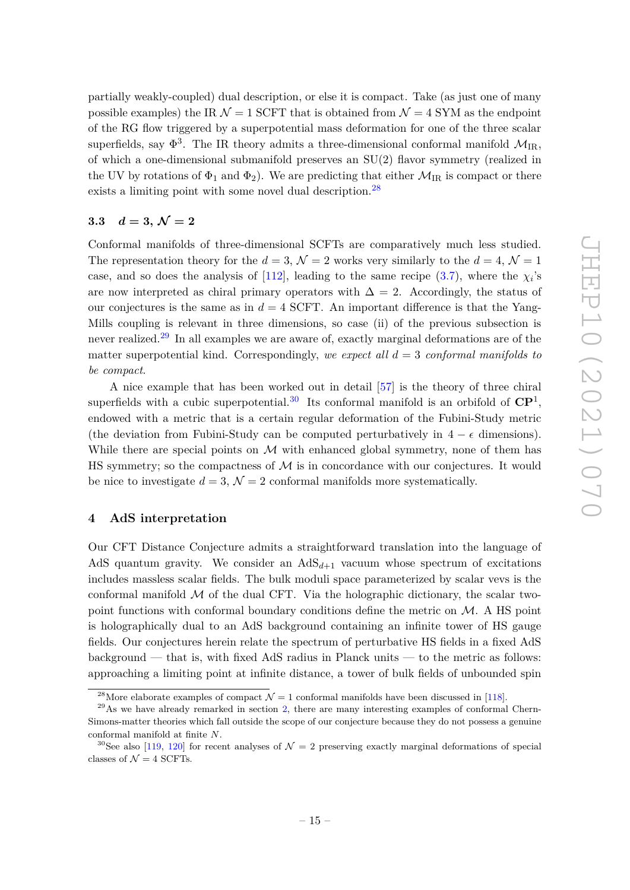partially weakly-coupled) dual description, or else it is compact. Take (as just one of many possible examples) the IR  $\mathcal{N} = 1$  SCFT that is obtained from  $\mathcal{N} = 4$  SYM as the endpoint of the RG flow triggered by a superpotential mass deformation for one of the three scalar superfields, say  $\Phi^3$ . The IR theory admits a three-dimensional conformal manifold  $\mathcal{M}_{IR}$ , of which a one-dimensional submanifold preserves an SU(2) flavor symmetry (realized in the UV by rotations of  $\Phi_1$  and  $\Phi_2$ ). We are predicting that either  $\mathcal{M}_{IR}$  is compact or there exists a limiting point with some novel dual description.<sup>[28](#page-15-2)</sup>

# <span id="page-15-0"></span>**3.3**  $d = 3, \mathcal{N} = 2$

Conformal manifolds of three-dimensional SCFTs are comparatively much less studied. The representation theory for the  $d = 3$ ,  $\mathcal{N} = 2$  works very similarly to the  $d = 4$ ,  $\mathcal{N} = 1$ case, and so does the analysis of [\[112\]](#page-30-7), leading to the same recipe  $(3.7)$ , where the  $\chi_i$ 's are now interpreted as chiral primary operators with  $\Delta = 2$ . Accordingly, the status of our conjectures is the same as in  $d = 4$  SCFT. An important difference is that the Yang-Mills coupling is relevant in three dimensions, so case (ii) of the previous subsection is never realized.[29](#page-15-3) In all examples we are aware of, exactly marginal deformations are of the matter superpotential kind. Correspondingly, *we expect all d* = 3 *conformal manifolds to be compact*.

A nice example that has been worked out in detail [\[57\]](#page-27-14) is the theory of three chiral superfields with a cubic superpotential.<sup>[30](#page-15-4)</sup> Its conformal manifold is an orbifold of  $\mathbb{C}\mathbb{P}^1$ , endowed with a metric that is a certain regular deformation of the Fubini-Study metric (the deviation from Fubini-Study can be computed perturbatively in  $4 - \epsilon$  dimensions). While there are special points on  $\mathcal M$  with enhanced global symmetry, none of them has HS symmetry; so the compactness of  $\mathcal M$  is in concordance with our conjectures. It would be nice to investigate  $d = 3$ ,  $\mathcal{N} = 2$  conformal manifolds more systematically.

## <span id="page-15-1"></span>**4 AdS interpretation**

Our CFT Distance Conjecture admits a straightforward translation into the language of AdS quantum gravity. We consider an  $AdS_{d+1}$  vacuum whose spectrum of excitations includes massless scalar fields. The bulk moduli space parameterized by scalar vevs is the conformal manifold  $\mathcal M$  of the dual CFT. Via the holographic dictionary, the scalar twopoint functions with conformal boundary conditions define the metric on  $\mathcal{M}$ . A HS point is holographically dual to an AdS background containing an infinite tower of HS gauge fields. Our conjectures herein relate the spectrum of perturbative HS fields in a fixed AdS background — that is, with fixed AdS radius in Planck units — to the metric as follows: approaching a limiting point at infinite distance, a tower of bulk fields of unbounded spin

<span id="page-15-3"></span><span id="page-15-2"></span><sup>&</sup>lt;sup>28</sup>More elaborate examples of compact  $\mathcal{N} = 1$  conformal manifolds have been discussed in [\[118\]](#page-30-13).

 $^{29}$ As we have already remarked in section [2,](#page-3-0) there are many interesting examples of conformal Chern-Simons-matter theories which fall outside the scope of our conjecture because they do not possess a genuine conformal manifold at finite *N*.

<span id="page-15-4"></span><sup>&</sup>lt;sup>30</sup>See also [\[119,](#page-30-14) [120\]](#page-30-15) for recent analyses of  $\mathcal{N}=2$  preserving exactly marginal deformations of special classes of  $\mathcal{N} = 4$  SCFTs.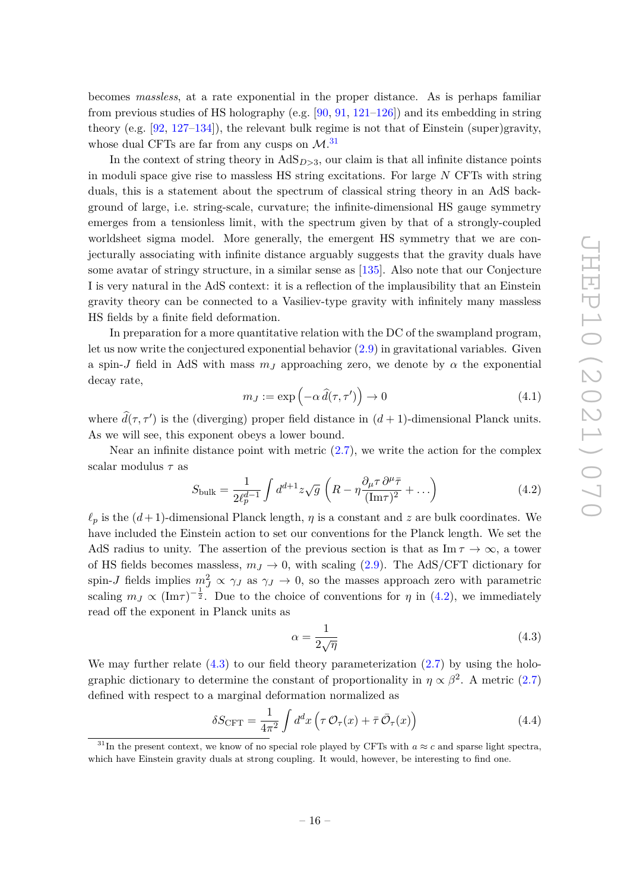becomes *massless*, at a rate exponential in the proper distance. As is perhaps familiar from previous studies of HS holography (e.g.  $[90, 91, 121-126]$  $[90, 91, 121-126]$  $[90, 91, 121-126]$  $[90, 91, 121-126]$  $[90, 91, 121-126]$  $[90, 91, 121-126]$ ) and its embedding in string theory (e.g. [\[92,](#page-29-2) [127–](#page-31-1)[134\]](#page-31-2)), the relevant bulk regime is not that of Einstein (super)gravity, whose dual CFTs are far from any cusps on  $\mathcal{M}.^{31}$  $\mathcal{M}.^{31}$  $\mathcal{M}.^{31}$ 

In the context of string theory in  $AdS_{D>3}$ , our claim is that all infinite distance points in moduli space give rise to massless HS string excitations. For large *N* CFTs with string duals, this is a statement about the spectrum of classical string theory in an AdS background of large, i.e. string-scale, curvature; the infinite-dimensional HS gauge symmetry emerges from a tensionless limit, with the spectrum given by that of a strongly-coupled worldsheet sigma model. More generally, the emergent HS symmetry that we are conjecturally associating with infinite distance arguably suggests that the gravity duals have some avatar of stringy structure, in a similar sense as [\[135\]](#page-31-3). Also note that our Conjecture I is very natural in the AdS context: it is a reflection of the implausibility that an Einstein gravity theory can be connected to a Vasiliev-type gravity with infinitely many massless HS fields by a finite field deformation.

In preparation for a more quantitative relation with the DC of the swampland program, let us now write the conjectured exponential behavior [\(2.9\)](#page-6-0) in gravitational variables. Given a spin-*J* field in AdS with mass  $m<sub>J</sub>$  approaching zero, we denote by  $\alpha$  the exponential decay rate,

$$
m_J := \exp\left(-\alpha \,\hat{d}(\tau,\tau')\right) \to 0\tag{4.1}
$$

where  $\hat{d}(\tau, \tau')$  is the (diverging) proper field distance in  $(d+1)$ -dimensional Planck units. As we will see, this exponent obeys a lower bound.

Near an infinite distance point with metric  $(2.7)$ , we write the action for the complex scalar modulus *τ* as

<span id="page-16-1"></span>
$$
S_{\text{bulk}} = \frac{1}{2\ell_p^{d-1}} \int d^{d+1}z \sqrt{g} \left( R - \eta \frac{\partial_\mu \tau}{(\text{Im}\tau)^2} + \dots \right) \tag{4.2}
$$

 $\ell_p$  is the  $(d+1)$ -dimensional Planck length, *η* is a constant and *z* are bulk coordinates. We have included the Einstein action to set our conventions for the Planck length. We set the AdS radius to unity. The assertion of the previous section is that as  $\text{Im } \tau \to \infty$ , a tower of HS fields becomes massless,  $m_J \rightarrow 0$ , with scaling [\(2.9\)](#page-6-0). The AdS/CFT dictionary for spin-*J* fields implies  $m_j^2 \propto \gamma_J$  as  $\gamma_J \to 0$ , so the masses approach zero with parametric scaling  $m_J \propto (\text{Im}\tau)^{-\frac{1}{2}}$ . Due to the choice of conventions for *η* in [\(4.2\)](#page-16-1), we immediately read off the exponent in Planck units as

<span id="page-16-2"></span>
$$
\alpha = \frac{1}{2\sqrt{\eta}}\tag{4.3}
$$

We may further relate  $(4.3)$  to our field theory parameterization  $(2.7)$  by using the holographic dictionary to determine the constant of proportionality in  $\eta \propto \beta^2$ . A metric [\(2.7\)](#page-6-1) defined with respect to a marginal deformation normalized as

$$
\delta S_{\text{CFT}} = \frac{1}{4\pi^2} \int d^d x \left( \tau \mathcal{O}_\tau(x) + \bar{\tau} \bar{\mathcal{O}}_\tau(x) \right) \tag{4.4}
$$

<span id="page-16-0"></span><sup>&</sup>lt;sup>31</sup>In the present context, we know of no special role played by CFTs with  $a \approx c$  and sparse light spectra, which have Einstein gravity duals at strong coupling. It would, however, be interesting to find one.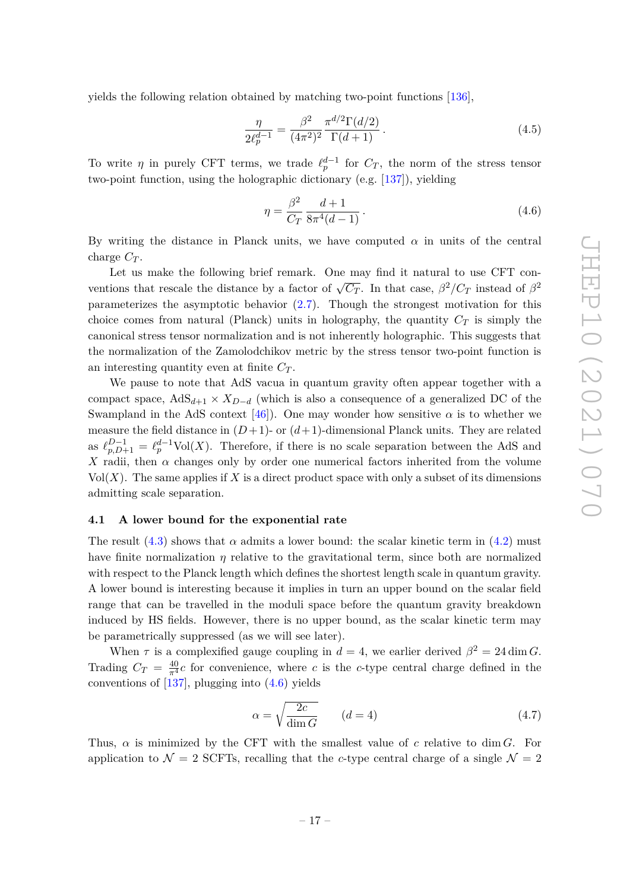yields the following relation obtained by matching two-point functions [\[136\]](#page-31-4),

$$
\frac{\eta}{2\ell_p^{d-1}} = \frac{\beta^2}{(4\pi^2)^2} \frac{\pi^{d/2} \Gamma(d/2)}{\Gamma(d+1)}.
$$
\n(4.5)

To write  $\eta$  in purely CFT terms, we trade  $\ell_p^{d-1}$  for  $C_T$ , the norm of the stress tensor two-point function, using the holographic dictionary (e.g. [\[137\]](#page-31-5)), yielding

<span id="page-17-1"></span>
$$
\eta = \frac{\beta^2}{C_T} \frac{d+1}{8\pi^4(d-1)}.
$$
\n(4.6)

By writing the distance in Planck units, we have computed  $\alpha$  in units of the central charge *C<sup>T</sup>* .

Let us make the following brief remark. One may find it natural to use CFT conventions that rescale the distance by a factor of  $\sqrt{C_T}$ . In that case,  $\beta^2/C_T$  instead of  $\beta^2$ parameterizes the asymptotic behavior [\(2.7\)](#page-6-1). Though the strongest motivation for this choice comes from natural (Planck) units in holography, the quantity  $C_T$  is simply the canonical stress tensor normalization and is not inherently holographic. This suggests that the normalization of the Zamolodchikov metric by the stress tensor two-point function is an interesting quantity even at finite *C<sup>T</sup>* .

We pause to note that AdS vacua in quantum gravity often appear together with a compact space,  $AdS_{d+1} \times X_{D-d}$  (which is also a consequence of a generalized DC of the Swampland in the AdS context  $[46]$ . One may wonder how sensitive  $\alpha$  is to whether we measure the field distance in  $(D+1)$ - or  $(d+1)$ -dimensional Planck units. They are related as  $\ell_{p,D+1}^{D-1} = \ell_p^{d-1} \text{Vol}(X)$ . Therefore, if there is no scale separation between the AdS and *X* radii, then  $\alpha$  changes only by order one numerical factors inherited from the volume  $Vol(X)$ . The same applies if X is a direct product space with only a subset of its dimensions admitting scale separation.

#### <span id="page-17-0"></span>**4.1 A lower bound for the exponential rate**

The result  $(4.3)$  shows that  $\alpha$  admits a lower bound: the scalar kinetic term in  $(4.2)$  must have finite normalization  $\eta$  relative to the gravitational term, since both are normalized with respect to the Planck length which defines the shortest length scale in quantum gravity. A lower bound is interesting because it implies in turn an upper bound on the scalar field range that can be travelled in the moduli space before the quantum gravity breakdown induced by HS fields. However, there is no upper bound, as the scalar kinetic term may be parametrically suppressed (as we will see later).

When  $\tau$  is a complexified gauge coupling in  $d = 4$ , we earlier derived  $\beta^2 = 24 \dim G$ . Trading  $C_T = \frac{40}{\pi^4}c$  for convenience, where *c* is the *c*-type central charge defined in the conventions of  $[137]$ , plugging into  $(4.6)$  yields

<span id="page-17-2"></span>
$$
\alpha = \sqrt{\frac{2c}{\dim G}} \qquad (d = 4)
$$
\n(4.7)

Thus,  $\alpha$  is minimized by the CFT with the smallest value of *c* relative to dim *G*. For application to  $\mathcal{N} = 2$  SCFTs, recalling that the *c*-type central charge of a single  $\mathcal{N} = 2$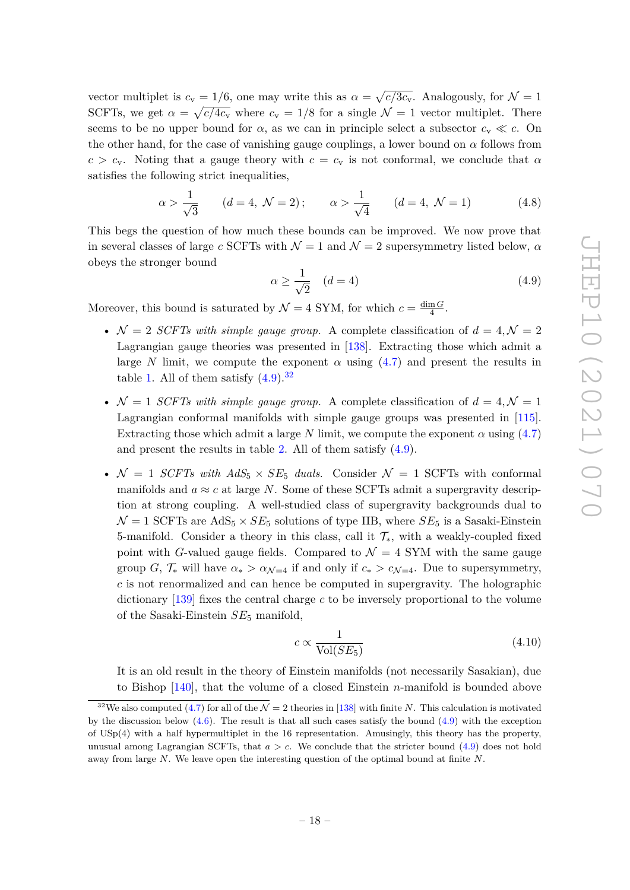vector multiplet is  $c_v = 1/6$ , one may write this as  $\alpha = \sqrt{c/3c_v}$ . Analogously, for  $\mathcal{N} = 1$ SCFTs, we get  $\alpha = \sqrt{c/4c_v}$  where  $c_v = 1/8$  for a single  $\mathcal{N} = 1$  vector multiplet. There seems to be no upper bound for  $\alpha$ , as we can in principle select a subsector  $c_v \ll c$ . On the other hand, for the case of vanishing gauge couplings, a lower bound on  $\alpha$  follows from  $c > c_v$ . Noting that a gauge theory with  $c = c_v$  is not conformal, we conclude that  $\alpha$ satisfies the following strict inequalities,

$$
\alpha > \frac{1}{\sqrt{3}}
$$
  $(d = 4, \ N = 2);$   $\alpha > \frac{1}{\sqrt{4}}$   $(d = 4, \ N = 1)$  (4.8)

This begs the question of how much these bounds can be improved. We now prove that in several classes of large *c* SCFTs with  $\mathcal{N} = 1$  and  $\mathcal{N} = 2$  supersymmetry listed below,  $\alpha$ obeys the stronger bound

<span id="page-18-0"></span>
$$
\alpha \ge \frac{1}{\sqrt{2}} \quad (d=4)
$$
\n<sup>(4.9)</sup>

Moreover, this bound is saturated by  $\mathcal{N} = 4$  SYM, for which  $c = \frac{\dim G}{4}$  $\frac{mG}{4}$ .

- $\mathcal{N} = 2$  *SCFTs with simple gauge group.* A complete classification of  $d = 4, \mathcal{N} = 2$ Lagrangian gauge theories was presented in [\[138\]](#page-31-6). Extracting those which admit a large *N* limit, we compute the exponent  $\alpha$  using [\(4.7\)](#page-17-2) and present the results in table [1.](#page-19-0) All of them satisfy  $(4.9)^{32}$  $(4.9)^{32}$  $(4.9)^{32}$  $(4.9)^{32}$
- $\mathcal{N} = 1$  *SCFTs with simple gauge group.* A complete classification of  $d = 4, \mathcal{N} = 1$ Lagrangian conformal manifolds with simple gauge groups was presented in [\[115\]](#page-30-11). Extracting those which admit a large *N* limit, we compute the exponent  $\alpha$  using [\(4.7\)](#page-17-2) and present the results in table [2.](#page-19-1) All of them satisfy [\(4.9\)](#page-18-0).
- $\mathcal{N} = 1$  *SCFTs with AdS*<sub>5</sub>  $\times$  *SE*<sub>5</sub> *duals.* Consider  $\mathcal{N} = 1$  SCFTs with conformal manifolds and  $a \approx c$  at large *N*. Some of these SCFTs admit a supergravity description at strong coupling. A well-studied class of supergravity backgrounds dual to  $\mathcal{N} = 1$  SCFTs are AdS<sub>5</sub>  $\times$  *SE*<sub>5</sub> solutions of type IIB, where *SE*<sub>5</sub> is a Sasaki-Einstein 5-manifold. Consider a theory in this class, call it  $\mathcal{T}_{*}$ , with a weakly-coupled fixed point with *G*-valued gauge fields. Compared to  $\mathcal{N} = 4$  SYM with the same gauge group *G*,  $\mathcal{T}_{*}$  will have  $\alpha_{*} > \alpha_{\mathcal{N}=4}$  if and only if  $c_{*} > c_{\mathcal{N}=4}$ . Due to supersymmetry, *c* is not renormalized and can hence be computed in supergravity. The holographic dictionary [\[139\]](#page-31-7) fixes the central charge *c* to be inversely proportional to the volume of the Sasaki-Einstein *SE*<sup>5</sup> manifold,

<span id="page-18-2"></span>
$$
c \propto \frac{1}{\text{Vol}(SE_5)}\tag{4.10}
$$

It is an old result in the theory of Einstein manifolds (not necessarily Sasakian), due to Bishop [\[140\]](#page-31-8), that the volume of a closed Einstein *n*-manifold is bounded above

<span id="page-18-1"></span><sup>&</sup>lt;sup>32</sup>We also computed [\(4.7\)](#page-17-2) for all of the  $\mathcal{N} = 2$  theories in [\[138\]](#page-31-6) with finite *N*. This calculation is motivated by the discussion below  $(4.6)$ . The result is that all such cases satisfy the bound  $(4.9)$  with the exception of USp(4) with a half hypermultiplet in the 16 representation. Amusingly, this theory has the property, unusual among Lagrangian SCFTs, that  $a > c$ . We conclude that the stricter bound  $(4.9)$  does not hold away from large *N*. We leave open the interesting question of the optimal bound at finite *N*.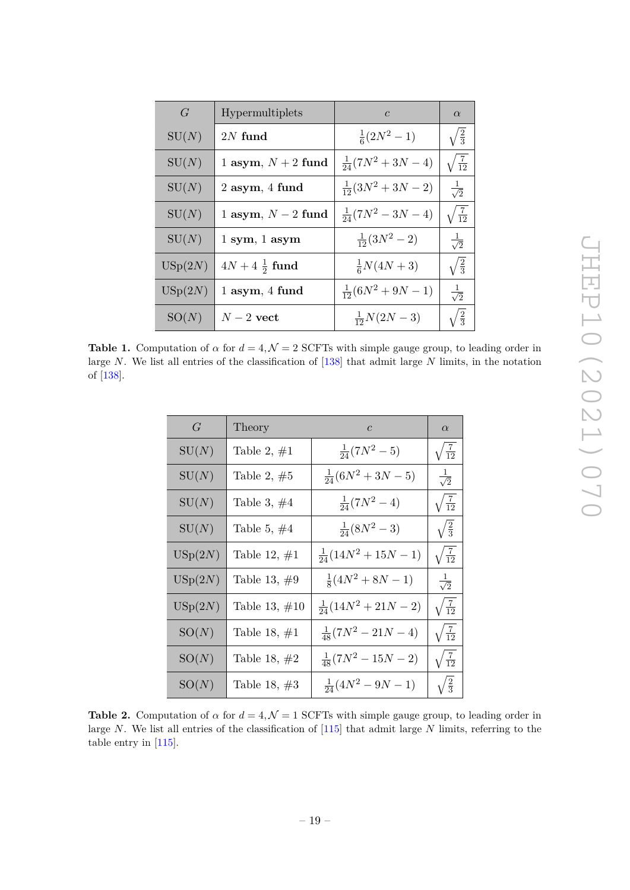<span id="page-19-0"></span>

| G       | Hypermultiplets                 | $\mathcal{C}$             | $\alpha$              |
|---------|---------------------------------|---------------------------|-----------------------|
| SU(N)   | $2N$ fund                       | $\frac{1}{6}(2N^2-1)$     | $\sqrt{\frac{2}{3}}$  |
| SU(N)   | 1 asym, $N+2$ fund              | $\frac{1}{24}(7N^2+3N-4)$ | $\sqrt{\frac{7}{12}}$ |
| SU(N)   | $2$ asym, $4$ fund              | $\frac{1}{12}(3N^2+3N-2)$ | $\frac{1}{\sqrt{2}}$  |
| SU(N)   | 1 asym, $N-2$ fund              | $\frac{1}{24}(7N^2-3N-4)$ | $\sqrt{\frac{7}{12}}$ |
| SU(N)   | $1 \text{ sym}, 1 \text{ asym}$ | $\frac{1}{12}(3N^2-2)$    | $\frac{1}{\sqrt{2}}$  |
| USp(2N) | $4N + 4\frac{1}{2}$ fund        | $\frac{1}{6}N(4N+3)$      | $\sqrt{\frac{2}{3}}$  |
| USp(2N) | $1$ asym, $4$ fund              | $\frac{1}{12}(6N^2+9N-1)$ | $\frac{1}{\sqrt{2}}$  |
| SO(N)   | $N-2$ vect                      | $\frac{1}{12}N(2N-3)$     | $\sqrt{\frac{2}{3}}$  |

<span id="page-19-1"></span>**Table 1.** Computation of  $\alpha$  for  $d = 4, \mathcal{N} = 2$  SCFTs with simple gauge group, to leading order in large *N*. We list all entries of the classification of [\[138\]](#page-31-6) that admit large *N* limits, in the notation of [\[138\]](#page-31-6).

| $G_{-}$            | Theory           | $\mathcal{C}$               | $\alpha$              |
|--------------------|------------------|-----------------------------|-----------------------|
| ${\rm SU}(N)$      | Table 2, $\#1$   | $\frac{1}{24}(7N^2-5)$      | $\sqrt{\frac{7}{12}}$ |
| SU(N)              | Table 2, $#5$    | $\frac{1}{24}(6N^2+3N-5)$   | $\frac{1}{\sqrt{2}}$  |
| SU(N)              | Table 3, $\#4$   | $\frac{1}{24}(7N^2-4)$      | $\sqrt{\frac{7}{12}}$ |
| SU(N)              | Table 5, $\#4$   | $\frac{1}{24}(8N^2-3)$      | $\sqrt{\frac{2}{3}}$  |
| $\mathrm{USp}(2N)$ | Table 12, $\#1$  | $\frac{1}{24}(14N^2+15N-1)$ | $\sqrt{\frac{7}{12}}$ |
| USp(2N)            | Table 13, $#9$   | $\frac{1}{8}(4N^2+8N-1)$    | $\frac{1}{\sqrt{2}}$  |
| $\mathrm{USp}(2N)$ | Table 13, $\#10$ | $\frac{1}{24}(14N^2+21N-2)$ | $\sqrt{\frac{7}{12}}$ |
| SO(N)              | Table 18, $\#1$  | $\frac{1}{48}(7N^2-21N-4)$  | $\sqrt{\frac{7}{12}}$ |
| SO(N)              | Table 18, $#2$   | $\frac{1}{48}(7N^2-15N-2)$  | $\sqrt{\frac{7}{12}}$ |
| SO(N)              | Table 18, $#3$   | $\frac{1}{24}(4N^2-9N-1)$   | $\sqrt{\frac{2}{3}}$  |

**Table 2.** Computation of  $\alpha$  for  $d = 4$ ,  $\mathcal{N} = 1$  SCFTs with simple gauge group, to leading order in large *N*. We list all entries of the classification of [\[115\]](#page-30-11) that admit large *N* limits, referring to the table entry in [\[115\]](#page-30-11).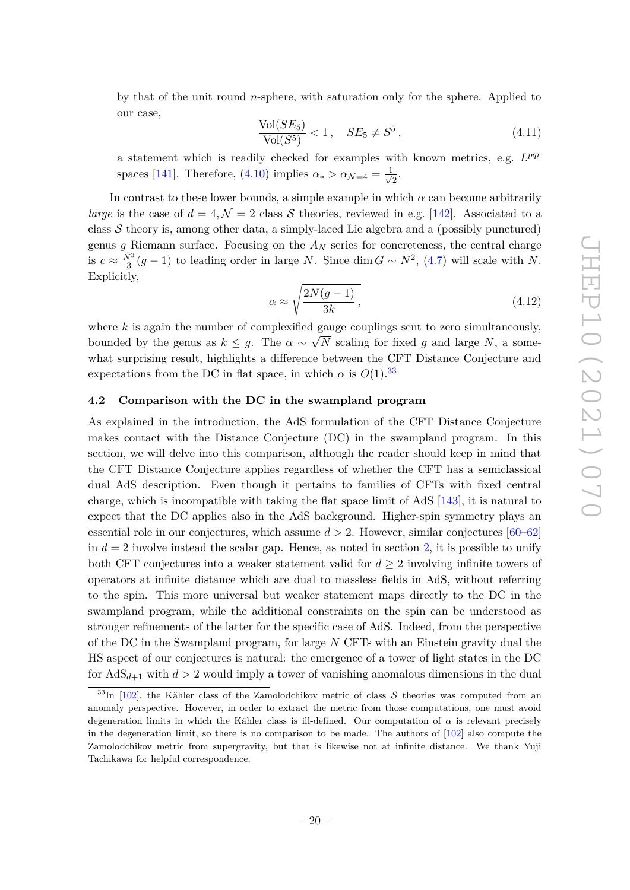by that of the unit round *n*-sphere, with saturation only for the sphere. Applied to our case,

$$
\frac{\text{Vol}(SE_5)}{\text{Vol}(S^5)} < 1, \quad SE_5 \neq S^5 \,,\tag{4.11}
$$

a statement which is readily checked for examples with known metrics, e.g. *L pqr* spaces [\[141\]](#page-32-0). Therefore, [\(4.10\)](#page-18-2) implies  $\alpha_* > \alpha_{\mathcal{N}=4} = \frac{1}{\sqrt{2}}$  $\frac{1}{2}$ .

In contrast to these lower bounds, a simple example in which  $\alpha$  can become arbitrarily *large* is the case of  $d = 4, \mathcal{N} = 2$  class S theories, reviewed in e.g. [\[142\]](#page-32-1). Associated to a class  $\mathcal S$  theory is, among other data, a simply-laced Lie algebra and a (possibly punctured) genus *g* Riemann surface. Focusing on the  $A_N$  series for concreteness, the central charge is  $c \approx \frac{N^3}{3}$  $\frac{\partial^{3}}{\partial 3}(g-1)$  to leading order in large *N*. Since dim  $G \sim N^{2}$ , [\(4.7\)](#page-17-2) will scale with *N*. Explicitly,

$$
\alpha \approx \sqrt{\frac{2N(g-1)}{3k}},\tag{4.12}
$$

where  $k$  is again the number of complexified gauge couplings sent to zero simultaneously, bounded by the genus as  $k \leq g$ . The  $\alpha \sim$ ع⊥<br>⁄ *N* scaling for fixed *g* and large *N*, a somewhat surprising result, highlights a difference between the CFT Distance Conjecture and expectations from the DC in flat space, in which  $\alpha$  is  $O(1)$ .<sup>[33](#page-20-1)</sup>

## <span id="page-20-0"></span>**4.2 Comparison with the DC in the swampland program**

As explained in the introduction, the AdS formulation of the CFT Distance Conjecture makes contact with the Distance Conjecture (DC) in the swampland program. In this section, we will delve into this comparison, although the reader should keep in mind that the CFT Distance Conjecture applies regardless of whether the CFT has a semiclassical dual AdS description. Even though it pertains to families of CFTs with fixed central charge, which is incompatible with taking the flat space limit of AdS [\[143\]](#page-32-2), it is natural to expect that the DC applies also in the AdS background. Higher-spin symmetry plays an essential role in our conjectures, which assume *d >* 2. However, similar conjectures [\[60–](#page-27-7)[62\]](#page-27-11) in  $d = 2$  involve instead the scalar gap. Hence, as noted in section [2,](#page-3-0) it is possible to unify both CFT conjectures into a weaker statement valid for  $d \geq 2$  involving infinite towers of operators at infinite distance which are dual to massless fields in AdS, without referring to the spin. This more universal but weaker statement maps directly to the DC in the swampland program, while the additional constraints on the spin can be understood as stronger refinements of the latter for the specific case of AdS. Indeed, from the perspective of the DC in the Swampland program, for large *N* CFTs with an Einstein gravity dual the HS aspect of our conjectures is natural: the emergence of a tower of light states in the DC for  $AdS_{d+1}$  with  $d > 2$  would imply a tower of vanishing anomalous dimensions in the dual

<span id="page-20-1"></span><sup>&</sup>lt;sup>33</sup>In [\[102\]](#page-29-13), the Kähler class of the Zamolodchikov metric of class  $S$  theories was computed from an anomaly perspective. However, in order to extract the metric from those computations, one must avoid degeneration limits in which the Kähler class is ill-defined. Our computation of  $\alpha$  is relevant precisely in the degeneration limit, so there is no comparison to be made. The authors of [\[102\]](#page-29-13) also compute the Zamolodchikov metric from supergravity, but that is likewise not at infinite distance. We thank Yuji Tachikawa for helpful correspondence.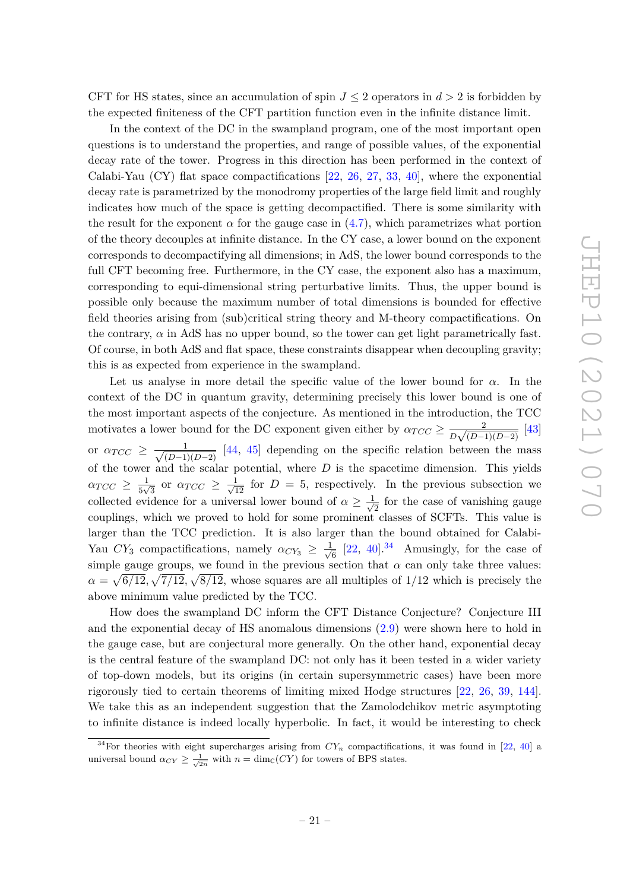CFT for HS states, since an accumulation of spin  $J \leq 2$  operators in  $d > 2$  is forbidden by the expected finiteness of the CFT partition function even in the infinite distance limit.

In the context of the DC in the swampland program, one of the most important open questions is to understand the properties, and range of possible values, of the exponential decay rate of the tower. Progress in this direction has been performed in the context of Calabi-Yau  $(CY)$  flat space compactifications [\[22,](#page-25-3) [26,](#page-25-4) [27,](#page-26-4) [33,](#page-26-5) [40\]](#page-26-3), where the exponential decay rate is parametrized by the monodromy properties of the large field limit and roughly indicates how much of the space is getting decompactified. There is some similarity with the result for the exponent  $\alpha$  for the gauge case in  $(4.7)$ , which parametrizes what portion of the theory decouples at infinite distance. In the CY case, a lower bound on the exponent corresponds to decompactifying all dimensions; in AdS, the lower bound corresponds to the full CFT becoming free. Furthermore, in the CY case, the exponent also has a maximum, corresponding to equi-dimensional string perturbative limits. Thus, the upper bound is possible only because the maximum number of total dimensions is bounded for effective field theories arising from (sub)critical string theory and M-theory compactifications. On the contrary,  $\alpha$  in AdS has no upper bound, so the tower can get light parametrically fast. Of course, in both AdS and flat space, these constraints disappear when decoupling gravity; this is as expected from experience in the swampland.

Let us analyse in more detail the specific value of the lower bound for  $\alpha$ . In the context of the DC in quantum gravity, determining precisely this lower bound is one of the most important aspects of the conjecture. As mentioned in the introduction, the TCC motivates a lower bound for the DC exponent given either by  $\alpha_{TCC} \ge \frac{2}{R\sqrt{(D+1)}}$  $\frac{2}{D\sqrt{(D-1)(D-2)}}$  [\[43\]](#page-26-1) or  $\alpha_{TCC} \geq \frac{1}{\sqrt{(D-1)}}$  $\frac{1}{(D-1)(D-2)}$  [\[44,](#page-26-6) [45\]](#page-26-2) depending on the specific relation between the mass of the tower and the scalar potential, where *D* is the spacetime dimension. This yields  $\alpha_{TCC} \geq \frac{1}{5M}$  $\frac{1}{5\sqrt{3}}$  or  $\alpha_{TCC} \geq \frac{1}{\sqrt{12}}$  for  $D = 5$ , respectively. In the previous subsection we collected evidence for a universal lower bound of  $\alpha \geq \frac{1}{\sqrt{2}}$  $\frac{1}{2}$  for the case of vanishing gauge couplings, which we proved to hold for some prominent classes of SCFTs. This value is larger than the TCC prediction. It is also larger than the bound obtained for Calabi-Yau  $CY_3$  compactifications, namely  $\alpha_{CY_3} \geq \frac{1}{\sqrt{3}}$  $\frac{1}{6}$  [\[22,](#page-25-3) [40\]](#page-26-3).<sup>[34](#page-21-0)</sup> Amusingly, for the case of simple gauge groups, we found in the previous section that  $\alpha$  can only take three values:  $\alpha = \sqrt{6/12}, \sqrt{7/12}, \sqrt{8/12}$ , whose squares are all multiples of 1/12 which is precisely the above minimum value predicted by the TCC.

How does the swampland DC inform the CFT Distance Conjecture? Conjecture III and the exponential decay of HS anomalous dimensions [\(2.9\)](#page-6-0) were shown here to hold in the gauge case, but are conjectural more generally. On the other hand, exponential decay is the central feature of the swampland DC: not only has it been tested in a wider variety of top-down models, but its origins (in certain supersymmetric cases) have been more rigorously tied to certain theorems of limiting mixed Hodge structures [\[22,](#page-25-3) [26,](#page-25-4) [39,](#page-26-7) [144\]](#page-32-3). We take this as an independent suggestion that the Zamolodchikov metric asymptoting to infinite distance is indeed locally hyperbolic. In fact, it would be interesting to check

<span id="page-21-0"></span><sup>&</sup>lt;sup>34</sup>For theories with eight supercharges arising from  $CY_n$  compactifications, it was found in [\[22,](#page-25-3) [40\]](#page-26-3) a universal bound  $\alpha_{CY} \geq \frac{1}{\sqrt{2n}}$  with  $n = \dim_{\mathbb{C}}(CY)$  for towers of BPS states.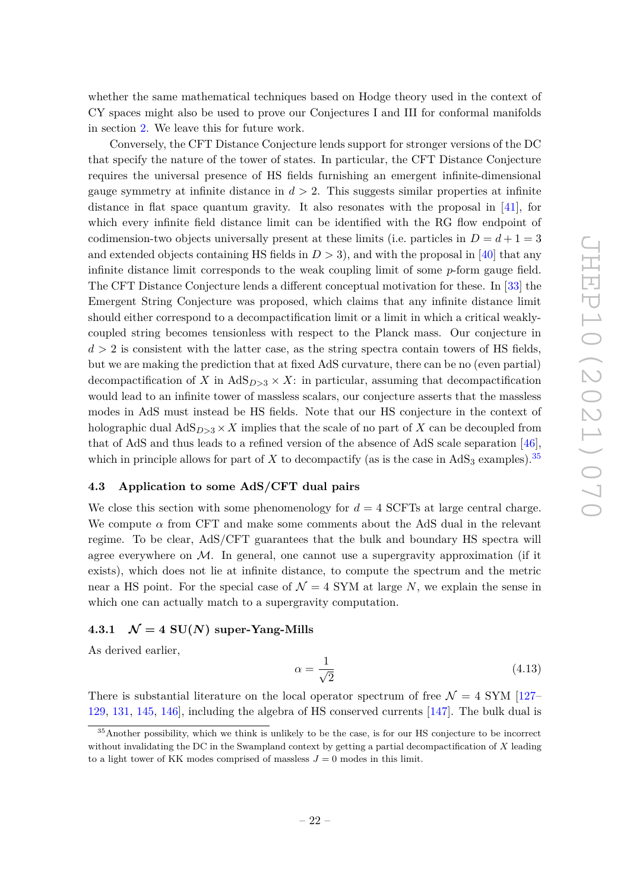whether the same mathematical techniques based on Hodge theory used in the context of CY spaces might also be used to prove our Conjectures I and III for conformal manifolds in section [2.](#page-3-0) We leave this for future work.

Conversely, the CFT Distance Conjecture lends support for stronger versions of the DC that specify the nature of the tower of states. In particular, the CFT Distance Conjecture requires the universal presence of HS fields furnishing an emergent infinite-dimensional gauge symmetry at infinite distance in  $d > 2$ . This suggests similar properties at infinite distance in flat space quantum gravity. It also resonates with the proposal in [\[41\]](#page-26-8), for which every infinite field distance limit can be identified with the RG flow endpoint of codimension-two objects universally present at these limits (i.e. particles in  $D = d + 1 = 3$ and extended objects containing HS fields in  $D > 3$ , and with the proposal in [\[40\]](#page-26-3) that any infinite distance limit corresponds to the weak coupling limit of some *p*-form gauge field. The CFT Distance Conjecture lends a different conceptual motivation for these. In [\[33\]](#page-26-5) the Emergent String Conjecture was proposed, which claims that any infinite distance limit should either correspond to a decompactification limit or a limit in which a critical weaklycoupled string becomes tensionless with respect to the Planck mass. Our conjecture in  $d > 2$  is consistent with the latter case, as the string spectra contain towers of HS fields, but we are making the prediction that at fixed AdS curvature, there can be no (even partial) decompactification of *X* in  $AdS_{D>3} \times X$ : in particular, assuming that decompactification would lead to an infinite tower of massless scalars, our conjecture asserts that the massless modes in AdS must instead be HS fields. Note that our HS conjecture in the context of holographic dual  $AdS_{D>3} \times X$  implies that the scale of no part of X can be decoupled from that of AdS and thus leads to a refined version of the absence of AdS scale separation [\[46\]](#page-27-5), which in principle allows for part of *X* to decompactify (as is the case in  $AdS_3$  examples).<sup>[35](#page-22-2)</sup>

## <span id="page-22-0"></span>**4.3 Application to some AdS/CFT dual pairs**

We close this section with some phenomenology for  $d = 4$  SCFTs at large central charge. We compute  $\alpha$  from CFT and make some comments about the AdS dual in the relevant regime. To be clear, AdS/CFT guarantees that the bulk and boundary HS spectra will agree everywhere on  $M$ . In general, one cannot use a supergravity approximation (if it exists), which does not lie at infinite distance, to compute the spectrum and the metric near a HS point. For the special case of  $\mathcal{N} = 4$  SYM at large N, we explain the sense in which one can actually match to a supergravity computation.

## <span id="page-22-1"></span>**4.3.1**  $\mathcal{N} = 4$  SU(*N*) super-Yang-Mills

As derived earlier,

$$
\alpha = \frac{1}{\sqrt{2}}\tag{4.13}
$$

There is substantial literature on the local operator spectrum of free  $\mathcal{N} = 4$  SYM [\[127–](#page-31-1) [129,](#page-31-9) [131,](#page-31-10) [145,](#page-32-4) [146\]](#page-32-5), including the algebra of HS conserved currents [\[147\]](#page-32-6). The bulk dual is

<span id="page-22-2"></span><sup>&</sup>lt;sup>35</sup>Another possibility, which we think is unlikely to be the case, is for our HS conjecture to be incorrect without invalidating the DC in the Swampland context by getting a partial decompactification of *X* leading to a light tower of KK modes comprised of massless  $J = 0$  modes in this limit.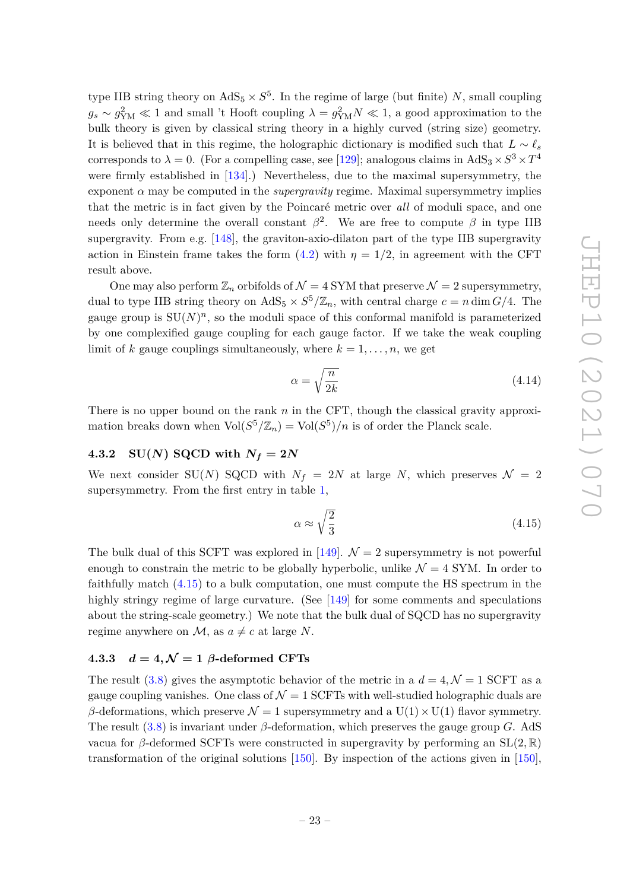type IIB string theory on  $AdS_5 \times S^5$ . In the regime of large (but finite) *N*, small coupling  $g_s \sim g_{\text{YM}}^2 \ll 1$  and small 't Hooft coupling  $\lambda = g_{\text{YM}}^2 N \ll 1$ , a good approximation to the bulk theory is given by classical string theory in a highly curved (string size) geometry. It is believed that in this regime, the holographic dictionary is modified such that  $L \sim \ell_s$ corresponds to  $\lambda = 0$ . (For a compelling case, see [\[129\]](#page-31-9); analogous claims in AdS<sub>3</sub> ×  $S^3 \times T^4$ were firmly established in [\[134\]](#page-31-2).) Nevertheless, due to the maximal supersymmetry, the exponent  $\alpha$  may be computed in the *supergravity* regime. Maximal supersymmetry implies that the metric is in fact given by the Poincaré metric over *all* of moduli space, and one needs only determine the overall constant  $\beta^2$ . We are free to compute  $\beta$  in type IIB supergravity. From e.g.  $[148]$ , the graviton-axio-dilaton part of the type IIB supergravity action in Einstein frame takes the form  $(4.2)$  with  $\eta = 1/2$ , in agreement with the CFT result above.

One may also perform  $\mathbb{Z}_n$  orbifolds of  $\mathcal{N}=4$  SYM that preserve  $\mathcal{N}=2$  supersymmetry, dual to type IIB string theory on  $AdS_5 \times S^5/\mathbb{Z}_n$ , with central charge  $c = n \dim G/4$ . The gauge group is  $SU(N)^n$ , so the moduli space of this conformal manifold is parameterized by one complexified gauge coupling for each gauge factor. If we take the weak coupling limit of *k* gauge couplings simultaneously, where  $k = 1, \ldots, n$ , we get

$$
\alpha = \sqrt{\frac{n}{2k}}\tag{4.14}
$$

There is no upper bound on the rank *n* in the CFT, though the classical gravity approximation breaks down when  $\text{Vol}(S^5/\mathbb{Z}_n) = \text{Vol}(S^5)/n$  is of order the Planck scale.

# <span id="page-23-0"></span>**4.3.2 SU(***N***) SQCD** with  $N_f = 2N$

We next consider SU(*N*) SQCD with  $N_f = 2N$  at large *N*, which preserves  $\mathcal{N} = 2$ supersymmetry. From the first entry in table [1,](#page-19-0)

<span id="page-23-2"></span>
$$
\alpha \approx \sqrt{\frac{2}{3}}\tag{4.15}
$$

The bulk dual of this SCFT was explored in [\[149\]](#page-32-8).  $\mathcal{N}=2$  supersymmetry is not powerful enough to constrain the metric to be globally hyperbolic, unlike  $\mathcal{N} = 4$  SYM. In order to faithfully match [\(4.15\)](#page-23-2) to a bulk computation, one must compute the HS spectrum in the highly stringy regime of large curvature. (See [\[149\]](#page-32-8) for some comments and speculations about the string-scale geometry.) We note that the bulk dual of SQCD has no supergravity regime anywhere on  $\mathcal{M}$ , as  $a \neq c$  at large *N*.

# <span id="page-23-1"></span>**4.3.3**  $d = 4, \mathcal{N} = 1$   $\beta$ -deformed CFTs

The result [\(3.8\)](#page-13-2) gives the asymptotic behavior of the metric in a  $d = 4, \mathcal{N} = 1$  SCFT as a gauge coupling vanishes. One class of  $\mathcal{N} = 1$  SCFTs with well-studied holographic duals are *β*-deformations, which preserve  $\mathcal{N} = 1$  supersymmetry and a U(1)  $\times$  U(1) flavor symmetry. The result [\(3.8\)](#page-13-2) is invariant under *β*-deformation, which preserves the gauge group *G*. AdS vacua for *β*-deformed SCFTs were constructed in supergravity by performing an SL(2*,* R) transformation of the original solutions [\[150\]](#page-32-9). By inspection of the actions given in [\[150\]](#page-32-9),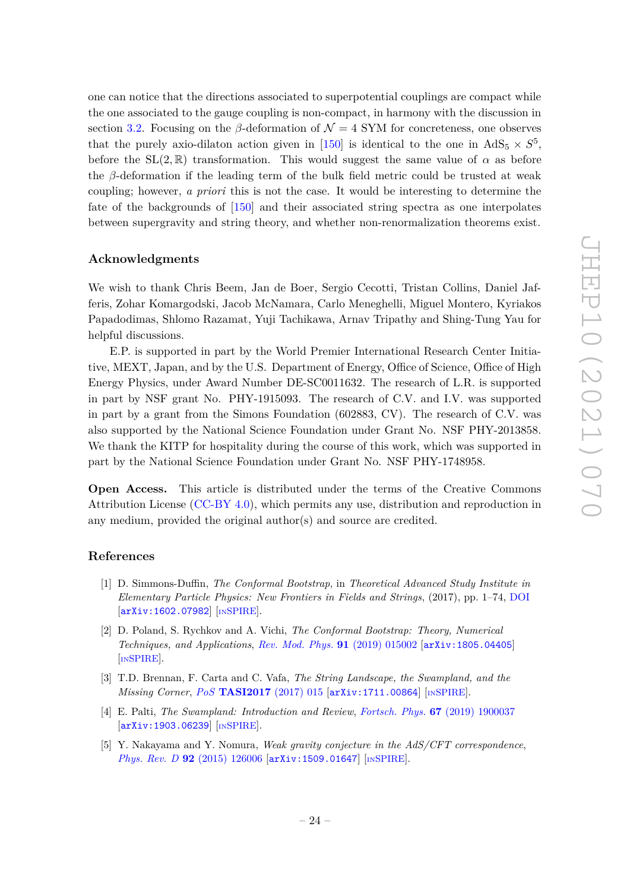one can notice that the directions associated to superpotential couplings are compact while the one associated to the gauge coupling is non-compact, in harmony with the discussion in section [3.2.](#page-12-0) Focusing on the *β*-deformation of  $\mathcal{N} = 4$  SYM for concreteness, one observes that the purely axio-dilaton action given in [\[150\]](#page-32-9) is identical to the one in  $AdS_5 \times S^5$ , before the  $SL(2,\mathbb{R})$  transformation. This would suggest the same value of  $\alpha$  as before the *β*-deformation if the leading term of the bulk field metric could be trusted at weak coupling; however, *a priori* this is not the case. It would be interesting to determine the fate of the backgrounds of [\[150\]](#page-32-9) and their associated string spectra as one interpolates between supergravity and string theory, and whether non-renormalization theorems exist.

#### **Acknowledgments**

We wish to thank Chris Beem, Jan de Boer, Sergio Cecotti, Tristan Collins, Daniel Jafferis, Zohar Komargodski, Jacob McNamara, Carlo Meneghelli, Miguel Montero, Kyriakos Papadodimas, Shlomo Razamat, Yuji Tachikawa, Arnav Tripathy and Shing-Tung Yau for helpful discussions.

E.P. is supported in part by the World Premier International Research Center Initiative, MEXT, Japan, and by the U.S. Department of Energy, Office of Science, Office of High Energy Physics, under Award Number DE-SC0011632. The research of L.R. is supported in part by NSF grant No. PHY-1915093. The research of C.V. and I.V. was supported in part by a grant from the Simons Foundation (602883, CV). The research of C.V. was also supported by the National Science Foundation under Grant No. NSF PHY-2013858. We thank the KITP for hospitality during the course of this work, which was supported in part by the National Science Foundation under Grant No. NSF PHY-1748958.

**Open Access.** This article is distributed under the terms of the Creative Commons Attribution License [\(CC-BY 4.0\)](https://creativecommons.org/licenses/by/4.0/), which permits any use, distribution and reproduction in any medium, provided the original author(s) and source are credited.

#### **References**

- <span id="page-24-0"></span>[1] D. Simmons-Duffin, *The Conformal Bootstrap*, in *Theoretical Advanced Study Institute in Elementary Particle Physics: New Frontiers in Fields and Strings*, (2017), pp. 1–74, [DOI](https://doi.org/10.1142/9789813149441_0001) [[arXiv:1602.07982](https://arxiv.org/abs/1602.07982)] [IN[SPIRE](https://inspirehep.net/search?p=find+EPRINT%2BarXiv%3A1602.07982)].
- <span id="page-24-1"></span>[2] D. Poland, S. Rychkov and A. Vichi, *The Conformal Bootstrap: Theory, Numerical Techniques, and Applications*, *[Rev. Mod. Phys.](https://doi.org/10.1103/RevModPhys.91.015002)* **91** (2019) 015002 [[arXiv:1805.04405](https://arxiv.org/abs/1805.04405)] [IN[SPIRE](https://inspirehep.net/search?p=find+EPRINT%2BarXiv%3A1805.04405)].
- <span id="page-24-2"></span>[3] T.D. Brennan, F. Carta and C. Vafa, *The String Landscape, the Swampland, and the Missing Corner*, *PoS* **[TASI2017](https://doi.org/10.22323/1.305.0015)** (2017) 015 [[arXiv:1711.00864](https://arxiv.org/abs/1711.00864)] [IN[SPIRE](https://inspirehep.net/search?p=find+EPRINT%2BarXiv%3A1711.00864)].
- <span id="page-24-3"></span>[4] E. Palti, *The Swampland: Introduction and Review*, *Fortsch. Phys.* **67** [\(2019\) 1900037](https://doi.org/10.1002/prop.201900037) [[arXiv:1903.06239](https://arxiv.org/abs/1903.06239)] [IN[SPIRE](https://inspirehep.net/search?p=find+EPRINT%2BarXiv%3A1903.06239)].
- <span id="page-24-4"></span>[5] Y. Nakayama and Y. Nomura, *Weak gravity conjecture in the AdS/CFT correspondence*, *Phys. Rev. D* **92** [\(2015\) 126006](https://doi.org/10.1103/PhysRevD.92.126006) [[arXiv:1509.01647](https://arxiv.org/abs/1509.01647)] [IN[SPIRE](https://inspirehep.net/search?p=find+EPRINT%2BarXiv%3A1509.01647)].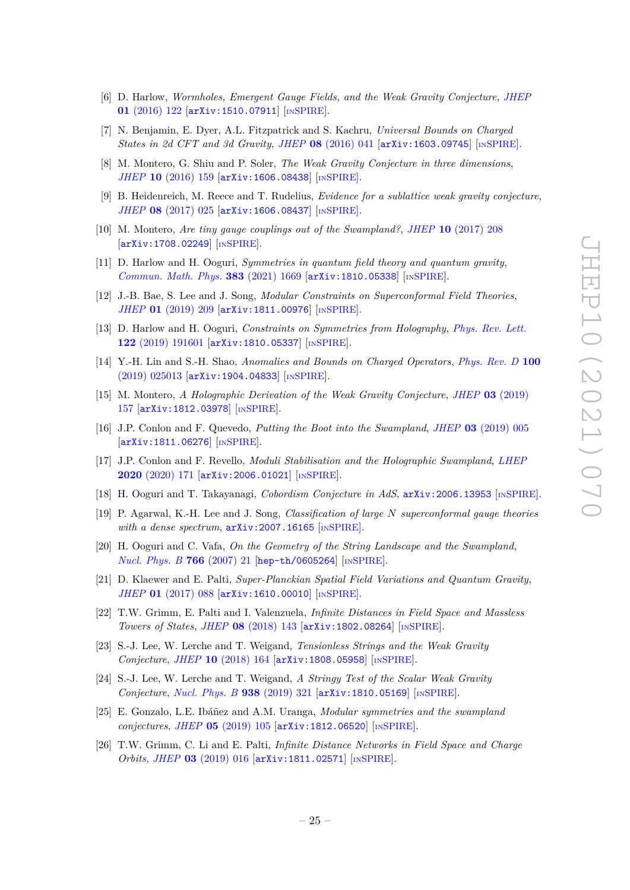- [6] D. Harlow, *Wormholes, Emergent Gauge Fields, and the Weak Gravity Conjecture*, *[JHEP](https://doi.org/10.1007/JHEP01(2016)122)* **01** [\(2016\) 122](https://doi.org/10.1007/JHEP01(2016)122) [[arXiv:1510.07911](https://arxiv.org/abs/1510.07911)] [IN[SPIRE](https://inspirehep.net/search?p=find+EPRINT%2BarXiv%3A1510.07911)].
- [7] N. Benjamin, E. Dyer, A.L. Fitzpatrick and S. Kachru, *Universal Bounds on Charged States in 2d CFT and 3d Gravity*, *JHEP* **08** [\(2016\) 041](https://doi.org/10.1007/JHEP08(2016)041) [[arXiv:1603.09745](https://arxiv.org/abs/1603.09745)] [IN[SPIRE](https://inspirehep.net/search?p=find+EPRINT%2BarXiv%3A1603.09745)].
- [8] M. Montero, G. Shiu and P. Soler, *The Weak Gravity Conjecture in three dimensions*, *JHEP* **10** [\(2016\) 159](https://doi.org/10.1007/JHEP10(2016)159) [[arXiv:1606.08438](https://arxiv.org/abs/1606.08438)] [IN[SPIRE](https://inspirehep.net/search?p=find+EPRINT%2BarXiv%3A1606.08438)].
- [9] B. Heidenreich, M. Reece and T. Rudelius, *Evidence for a sublattice weak gravity conjecture*, *JHEP* **08** [\(2017\) 025](https://doi.org/10.1007/JHEP08(2017)025) [[arXiv:1606.08437](https://arxiv.org/abs/1606.08437)] [IN[SPIRE](https://inspirehep.net/search?p=find+EPRINT%2BarXiv%3A1606.08437)].
- [10] M. Montero, *Are tiny gauge couplings out of the Swampland?*, *JHEP* **10** [\(2017\) 208](https://doi.org/10.1007/JHEP10(2017)208) [[arXiv:1708.02249](https://arxiv.org/abs/1708.02249)] [IN[SPIRE](https://inspirehep.net/search?p=find+EPRINT%2BarXiv%3A1708.02249)].
- [11] D. Harlow and H. Ooguri, *Symmetries in quantum field theory and quantum gravity*, *[Commun. Math. Phys.](https://doi.org/10.1007/s00220-021-04040-y)* **383** (2021) 1669 [[arXiv:1810.05338](https://arxiv.org/abs/1810.05338)] [IN[SPIRE](https://inspirehep.net/search?p=find+EPRINT%2BarXiv%3A1810.05338)].
- [12] J.-B. Bae, S. Lee and J. Song, *Modular Constraints on Superconformal Field Theories*, *JHEP* **01** [\(2019\) 209](https://doi.org/10.1007/JHEP01(2019)209) [[arXiv:1811.00976](https://arxiv.org/abs/1811.00976)] [IN[SPIRE](https://inspirehep.net/search?p=find+EPRINT%2BarXiv%3A1811.00976)].
- [13] D. Harlow and H. Ooguri, *Constraints on Symmetries from Holography*, *[Phys. Rev. Lett.](https://doi.org/10.1103/PhysRevLett.122.191601)* **122** [\(2019\) 191601](https://doi.org/10.1103/PhysRevLett.122.191601) [[arXiv:1810.05337](https://arxiv.org/abs/1810.05337)] [IN[SPIRE](https://inspirehep.net/search?p=find+EPRINT%2BarXiv%3A1810.05337)].
- [14] Y.-H. Lin and S.-H. Shao, *Anomalies and Bounds on Charged Operators*, *[Phys. Rev. D](https://doi.org/10.1103/PhysRevD.100.025013)* **100** [\(2019\) 025013](https://doi.org/10.1103/PhysRevD.100.025013) [[arXiv:1904.04833](https://arxiv.org/abs/1904.04833)] [IN[SPIRE](https://inspirehep.net/search?p=find+EPRINT%2BarXiv%3A1904.04833)].
- [15] M. Montero, *A Holographic Derivation of the Weak Gravity Conjecture*, *JHEP* **03** [\(2019\)](https://doi.org/10.1007/JHEP03(2019)157) [157](https://doi.org/10.1007/JHEP03(2019)157) [[arXiv:1812.03978](https://arxiv.org/abs/1812.03978)] [IN[SPIRE](https://inspirehep.net/search?p=find+EPRINT%2BarXiv%3A1812.03978)].
- [16] J.P. Conlon and F. Quevedo, *Putting the Boot into the Swampland*, *JHEP* **03** [\(2019\) 005](https://doi.org/10.1007/JHEP03(2019)005) [[arXiv:1811.06276](https://arxiv.org/abs/1811.06276)] [IN[SPIRE](https://inspirehep.net/search?p=find+EPRINT%2BarXiv%3A1811.06276)].
- [17] J.P. Conlon and F. Revello, *Moduli Stabilisation and the Holographic Swampland*, *[LHEP](https://doi.org/10.31526/lhep.2020.171)* **2020** [\(2020\) 171](https://doi.org/10.31526/lhep.2020.171) [[arXiv:2006.01021](https://arxiv.org/abs/2006.01021)] [IN[SPIRE](https://inspirehep.net/search?p=find+EPRINT%2BarXiv%3A2006.01021)].
- [18] H. Ooguri and T. Takayanagi, *Cobordism Conjecture in AdS*, [arXiv:2006.13953](https://arxiv.org/abs/2006.13953) [IN[SPIRE](https://inspirehep.net/search?p=find+EPRINT%2BarXiv%3A2006.13953)].
- <span id="page-25-1"></span>[19] P. Agarwal, K.-H. Lee and J. Song, *Classification of large N superconformal gauge theories with a dense spectrum*,  $arXiv:2007.16165$  [IN[SPIRE](https://inspirehep.net/search?p=find+EPRINT%2BarXiv%3A2007.16165)].
- <span id="page-25-0"></span>[20] H. Ooguri and C. Vafa, *On the Geometry of the String Landscape and the Swampland*, *[Nucl. Phys. B](https://doi.org/10.1016/j.nuclphysb.2006.10.033)* **766** (2007) 21 [[hep-th/0605264](https://arxiv.org/abs/hep-th/0605264)] [IN[SPIRE](https://inspirehep.net/search?p=find+EPRINT%2Bhep-th%2F0605264)].
- <span id="page-25-2"></span>[21] D. Klaewer and E. Palti, *Super-Planckian Spatial Field Variations and Quantum Gravity*, *JHEP* **01** [\(2017\) 088](https://doi.org/10.1007/JHEP01(2017)088) [[arXiv:1610.00010](https://arxiv.org/abs/1610.00010)] [IN[SPIRE](https://inspirehep.net/search?p=find+EPRINT%2BarXiv%3A1610.00010)].
- <span id="page-25-3"></span>[22] T.W. Grimm, E. Palti and I. Valenzuela, *Infinite Distances in Field Space and Massless Towers of States*, *JHEP* **08** [\(2018\) 143](https://doi.org/10.1007/JHEP08(2018)143) [[arXiv:1802.08264](https://arxiv.org/abs/1802.08264)] [IN[SPIRE](https://inspirehep.net/search?p=find+EPRINT%2BarXiv%3A1802.08264)].
- [23] S.-J. Lee, W. Lerche and T. Weigand, *Tensionless Strings and the Weak Gravity Conjecture*, *JHEP* **10** [\(2018\) 164](https://doi.org/10.1007/JHEP10(2018)164) [[arXiv:1808.05958](https://arxiv.org/abs/1808.05958)] [IN[SPIRE](https://inspirehep.net/search?p=find+EPRINT%2BarXiv%3A1808.05958)].
- [24] S.-J. Lee, W. Lerche and T. Weigand, *A Stringy Test of the Scalar Weak Gravity Conjecture*, *[Nucl. Phys. B](https://doi.org/10.1016/j.nuclphysb.2018.11.001)* **938** (2019) 321 [[arXiv:1810.05169](https://arxiv.org/abs/1810.05169)] [IN[SPIRE](https://inspirehep.net/search?p=find+EPRINT%2BarXiv%3A1810.05169)].
- [25] E. Gonzalo, L.E. Ibáñez and A.M. Uranga, *Modular symmetries and the swampland conjectures*, *JHEP* **05** [\(2019\) 105](https://doi.org/10.1007/JHEP05(2019)105) [[arXiv:1812.06520](https://arxiv.org/abs/1812.06520)] [IN[SPIRE](https://inspirehep.net/search?p=find+EPRINT%2BarXiv%3A1812.06520)].
- <span id="page-25-4"></span>[26] T.W. Grimm, C. Li and E. Palti, *Infinite Distance Networks in Field Space and Charge Orbits*, *JHEP* **03** [\(2019\) 016](https://doi.org/10.1007/JHEP03(2019)016) [[arXiv:1811.02571](https://arxiv.org/abs/1811.02571)] [IN[SPIRE](https://inspirehep.net/search?p=find+EPRINT%2BarXiv%3A1811.02571)].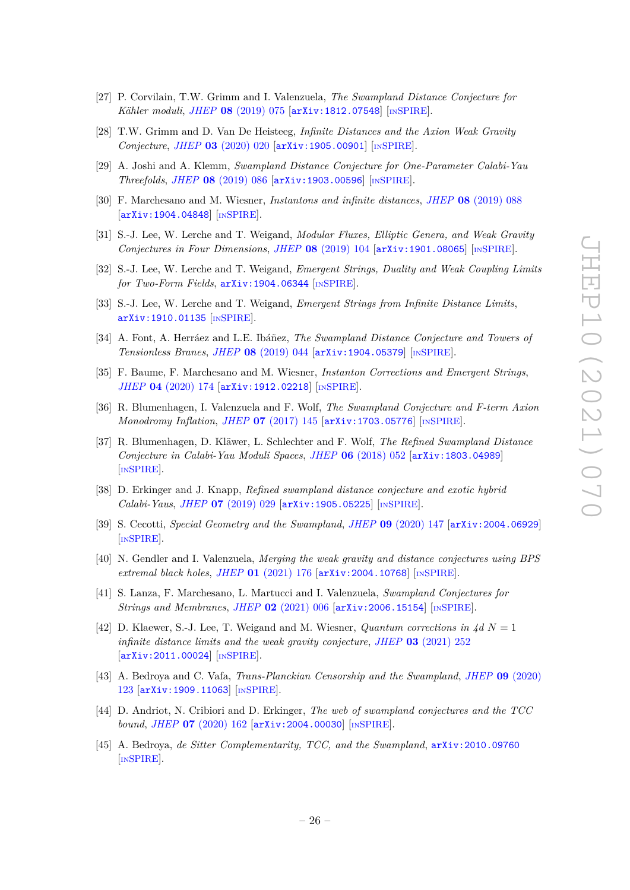- <span id="page-26-4"></span>[27] P. Corvilain, T.W. Grimm and I. Valenzuela, *The Swampland Distance Conjecture for Kähler moduli*, *JHEP* **08** [\(2019\) 075](https://doi.org/10.1007/JHEP08(2019)075) [[arXiv:1812.07548](https://arxiv.org/abs/1812.07548)] [IN[SPIRE](https://inspirehep.net/search?p=find+EPRINT%2BarXiv%3A1812.07548)].
- [28] T.W. Grimm and D. Van De Heisteeg, *Infinite Distances and the Axion Weak Gravity Conjecture*, *JHEP* **03** [\(2020\) 020](https://doi.org/10.1007/JHEP03(2020)020) [[arXiv:1905.00901](https://arxiv.org/abs/1905.00901)] [IN[SPIRE](https://inspirehep.net/search?p=find+EPRINT%2BarXiv%3A1905.00901)].
- [29] A. Joshi and A. Klemm, *Swampland Distance Conjecture for One-Parameter Calabi-Yau Threefolds*, *JHEP* **08** [\(2019\) 086](https://doi.org/10.1007/JHEP08(2019)086) [[arXiv:1903.00596](https://arxiv.org/abs/1903.00596)] [IN[SPIRE](https://inspirehep.net/search?p=find+EPRINT%2BarXiv%3A1903.00596)].
- [30] F. Marchesano and M. Wiesner, *Instantons and infinite distances*, *JHEP* **08** [\(2019\) 088](https://doi.org/10.1007/JHEP08(2019)088) [[arXiv:1904.04848](https://arxiv.org/abs/1904.04848)] [IN[SPIRE](https://inspirehep.net/search?p=find+EPRINT%2BarXiv%3A1904.04848)].
- [31] S.-J. Lee, W. Lerche and T. Weigand, *Modular Fluxes, Elliptic Genera, and Weak Gravity Conjectures in Four Dimensions*, *JHEP* **08** [\(2019\) 104](https://doi.org/10.1007/JHEP08(2019)104) [[arXiv:1901.08065](https://arxiv.org/abs/1901.08065)] [IN[SPIRE](https://inspirehep.net/search?p=find+EPRINT%2BarXiv%3A1901.08065)].
- [32] S.-J. Lee, W. Lerche and T. Weigand, *Emergent Strings, Duality and Weak Coupling Limits for Two-Form Fields*, [arXiv:1904.06344](https://arxiv.org/abs/1904.06344) [IN[SPIRE](https://inspirehep.net/search?p=find+EPRINT%2BarXiv%3A1904.06344)].
- <span id="page-26-5"></span>[33] S.-J. Lee, W. Lerche and T. Weigand, *Emergent Strings from Infinite Distance Limits*, [arXiv:1910.01135](https://arxiv.org/abs/1910.01135) [IN[SPIRE](https://inspirehep.net/search?p=find+EPRINT%2BarXiv%3A1910.01135)].
- [34] A. Font, A. Herráez and L.E. Ibáñez, *The Swampland Distance Conjecture and Towers of Tensionless Branes*, *JHEP* **08** [\(2019\) 044](https://doi.org/10.1007/JHEP08(2019)044) [[arXiv:1904.05379](https://arxiv.org/abs/1904.05379)] [IN[SPIRE](https://inspirehep.net/search?p=find+EPRINT%2BarXiv%3A1904.05379)].
- [35] F. Baume, F. Marchesano and M. Wiesner, *Instanton Corrections and Emergent Strings*, *JHEP* **04** [\(2020\) 174](https://doi.org/10.1007/JHEP04(2020)174) [[arXiv:1912.02218](https://arxiv.org/abs/1912.02218)] [IN[SPIRE](https://inspirehep.net/search?p=find+EPRINT%2BarXiv%3A1912.02218)].
- [36] R. Blumenhagen, I. Valenzuela and F. Wolf, *The Swampland Conjecture and F-term Axion Monodromy Inflation, JHEP* 07 [\(2017\) 145](https://doi.org/10.1007/JHEP07(2017)145) [[arXiv:1703.05776](https://arxiv.org/abs/1703.05776)] [IN[SPIRE](https://inspirehep.net/search?p=find+EPRINT%2BarXiv%3A1703.05776)].
- [37] R. Blumenhagen, D. Kläwer, L. Schlechter and F. Wolf, *The Refined Swampland Distance Conjecture in Calabi-Yau Moduli Spaces*, *JHEP* **06** [\(2018\) 052](https://doi.org/10.1007/JHEP06(2018)052) [[arXiv:1803.04989](https://arxiv.org/abs/1803.04989)] [IN[SPIRE](https://inspirehep.net/search?p=find+EPRINT%2BarXiv%3A1803.04989)].
- [38] D. Erkinger and J. Knapp, *Refined swampland distance conjecture and exotic hybrid Calabi-Yaus*, *JHEP* **07** [\(2019\) 029](https://doi.org/10.1007/JHEP07(2019)029) [[arXiv:1905.05225](https://arxiv.org/abs/1905.05225)] [IN[SPIRE](https://inspirehep.net/search?p=find+EPRINT%2BarXiv%3A1905.05225)].
- <span id="page-26-7"></span>[39] S. Cecotti, *Special Geometry and the Swampland*, *JHEP* **09** [\(2020\) 147](https://doi.org/10.1007/JHEP09(2020)147) [[arXiv:2004.06929](https://arxiv.org/abs/2004.06929)] [IN[SPIRE](https://inspirehep.net/search?p=find+EPRINT%2BarXiv%3A2004.06929)].
- <span id="page-26-3"></span>[40] N. Gendler and I. Valenzuela, *Merging the weak gravity and distance conjectures using BPS extremal black holes*, *JHEP* **01** [\(2021\) 176](https://doi.org/10.1007/JHEP01(2021)176) [[arXiv:2004.10768](https://arxiv.org/abs/2004.10768)] [IN[SPIRE](https://inspirehep.net/search?p=find+EPRINT%2BarXiv%3A2004.10768)].
- <span id="page-26-8"></span>[41] S. Lanza, F. Marchesano, L. Martucci and I. Valenzuela, *Swampland Conjectures for Strings and Membranes*, *JHEP* **02** [\(2021\) 006](https://doi.org/10.1007/JHEP02(2021)006) [[arXiv:2006.15154](https://arxiv.org/abs/2006.15154)] [IN[SPIRE](https://inspirehep.net/search?p=find+EPRINT%2BarXiv%3A2006.15154)].
- <span id="page-26-0"></span>[42] D. Klaewer, S.-J. Lee, T. Weigand and M. Wiesner, *Quantum corrections in 4d*  $N = 1$ *infinite distance limits and the weak gravity conjecture*, *JHEP* **03** [\(2021\) 252](https://doi.org/10.1007/JHEP03(2021)252) [[arXiv:2011.00024](https://arxiv.org/abs/2011.00024)] [IN[SPIRE](https://inspirehep.net/search?p=find+EPRINT%2BarXiv%3A2011.00024)].
- <span id="page-26-1"></span>[43] A. Bedroya and C. Vafa, *Trans-Planckian Censorship and the Swampland*, *JHEP* **09** [\(2020\)](https://doi.org/10.1007/JHEP09(2020)123) [123](https://doi.org/10.1007/JHEP09(2020)123) [[arXiv:1909.11063](https://arxiv.org/abs/1909.11063)] [IN[SPIRE](https://inspirehep.net/search?p=find+EPRINT%2BarXiv%3A1909.11063)].
- <span id="page-26-6"></span>[44] D. Andriot, N. Cribiori and D. Erkinger, *The web of swampland conjectures and the TCC bound*, *JHEP* **07** [\(2020\) 162](https://doi.org/10.1007/JHEP07(2020)162) [[arXiv:2004.00030](https://arxiv.org/abs/2004.00030)] [IN[SPIRE](https://inspirehep.net/search?p=find+EPRINT%2BarXiv%3A2004.00030)].
- <span id="page-26-2"></span>[45] A. Bedroya, *de Sitter Complementarity, TCC, and the Swampland*, [arXiv:2010.09760](https://arxiv.org/abs/2010.09760) [IN[SPIRE](https://inspirehep.net/search?p=find+EPRINT%2BarXiv%3A2010.09760)].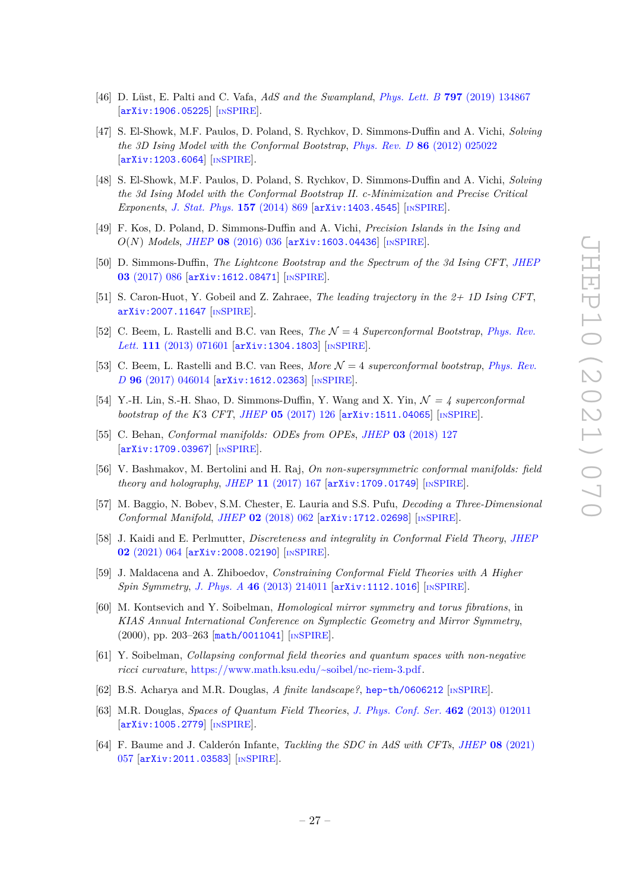- <span id="page-27-5"></span>[46] D. Lüst, E. Palti and C. Vafa, *AdS and the Swampland*, *Phys. Lett. B* **797** [\(2019\) 134867](https://doi.org/10.1016/j.physletb.2019.134867) [[arXiv:1906.05225](https://arxiv.org/abs/1906.05225)] [IN[SPIRE](https://inspirehep.net/search?p=find+EPRINT%2BarXiv%3A1906.05225)].
- <span id="page-27-0"></span>[47] S. El-Showk, M.F. Paulos, D. Poland, S. Rychkov, D. Simmons-Duffin and A. Vichi, *Solving the 3D Ising Model with the Conformal Bootstrap*, *Phys. Rev. D* **86** [\(2012\) 025022](https://doi.org/10.1103/PhysRevD.86.025022) [[arXiv:1203.6064](https://arxiv.org/abs/1203.6064)] [IN[SPIRE](https://inspirehep.net/search?p=find+EPRINT%2BarXiv%3A1203.6064)].
- [48] S. El-Showk, M.F. Paulos, D. Poland, S. Rychkov, D. Simmons-Duffin and A. Vichi, *Solving the 3d Ising Model with the Conformal Bootstrap II. c-Minimization and Precise Critical Exponents*, *[J. Stat. Phys.](https://doi.org/10.1007/s10955-014-1042-7)* **157** (2014) 869 [[arXiv:1403.4545](https://arxiv.org/abs/1403.4545)] [IN[SPIRE](https://inspirehep.net/search?p=find+EPRINT%2BarXiv%3A1403.4545)].
- [49] F. Kos, D. Poland, D. Simmons-Duffin and A. Vichi, *Precision Islands in the Ising and O*(*N*) *Models*, *JHEP* **08** [\(2016\) 036](https://doi.org/10.1007/JHEP08(2016)036) [[arXiv:1603.04436](https://arxiv.org/abs/1603.04436)] [IN[SPIRE](https://inspirehep.net/search?p=find+EPRINT%2BarXiv%3A1603.04436)].
- [50] D. Simmons-Duffin, *The Lightcone Bootstrap and the Spectrum of the 3d Ising CFT*, *[JHEP](https://doi.org/10.1007/JHEP03(2017)086)* **03** [\(2017\) 086](https://doi.org/10.1007/JHEP03(2017)086) [[arXiv:1612.08471](https://arxiv.org/abs/1612.08471)] [IN[SPIRE](https://inspirehep.net/search?p=find+EPRINT%2BarXiv%3A1612.08471)].
- <span id="page-27-1"></span>[51] S. Caron-Huot, Y. Gobeil and Z. Zahraee, *The leading trajectory in the 2+ 1D Ising CFT*, [arXiv:2007.11647](https://arxiv.org/abs/2007.11647) [IN[SPIRE](https://inspirehep.net/search?p=find+EPRINT%2BarXiv%3A2007.11647)].
- <span id="page-27-2"></span>[52] C. Beem, L. Rastelli and B.C. van Rees, *The* N = 4 *Superconformal Bootstrap*, *[Phys. Rev.](https://doi.org/10.1103/PhysRevLett.111.071601) Lett.* **111** [\(2013\) 071601](https://doi.org/10.1103/PhysRevLett.111.071601) [[arXiv:1304.1803](https://arxiv.org/abs/1304.1803)] [IN[SPIRE](https://inspirehep.net/search?p=find+EPRINT%2BarXiv%3A1304.1803)].
- <span id="page-27-3"></span>[53] C. Beem, L. Rastelli and B.C. van Rees, *More* N = 4 *superconformal bootstrap*, *[Phys. Rev.](https://doi.org/10.1103/PhysRevD.96.046014) D* **96** [\(2017\) 046014](https://doi.org/10.1103/PhysRevD.96.046014) [[arXiv:1612.02363](https://arxiv.org/abs/1612.02363)] [IN[SPIRE](https://inspirehep.net/search?p=find+EPRINT%2BarXiv%3A1612.02363)].
- [54] Y.-H. Lin, S.-H. Shao, D. Simmons-Duffin, Y. Wang and X. Yin,  $\mathcal{N} = 4$  superconformal *bootstrap of the K*3 *CFT*, *JHEP* **05** [\(2017\) 126](https://doi.org/10.1007/JHEP05(2017)126) [[arXiv:1511.04065](https://arxiv.org/abs/1511.04065)] [IN[SPIRE](https://inspirehep.net/search?p=find+EPRINT%2BarXiv%3A1511.04065)].
- <span id="page-27-12"></span>[55] C. Behan, *Conformal manifolds: ODEs from OPEs*, *JHEP* **03** [\(2018\) 127](https://doi.org/10.1007/JHEP03(2018)127) [[arXiv:1709.03967](https://arxiv.org/abs/1709.03967)] [IN[SPIRE](https://inspirehep.net/search?p=find+EPRINT%2BarXiv%3A1709.03967)].
- <span id="page-27-13"></span>[56] V. Bashmakov, M. Bertolini and H. Raj, *On non-supersymmetric conformal manifolds: field theory and holography*, *JHEP* **11** [\(2017\) 167](https://doi.org/10.1007/JHEP11(2017)167) [[arXiv:1709.01749](https://arxiv.org/abs/1709.01749)] [IN[SPIRE](https://inspirehep.net/search?p=find+EPRINT%2BarXiv%3A1709.01749)].
- <span id="page-27-14"></span>[57] M. Baggio, N. Bobev, S.M. Chester, E. Lauria and S.S. Pufu, *Decoding a Three-Dimensional Conformal Manifold*, *JHEP* **02** [\(2018\) 062](https://doi.org/10.1007/JHEP02(2018)062) [[arXiv:1712.02698](https://arxiv.org/abs/1712.02698)] [IN[SPIRE](https://inspirehep.net/search?p=find+EPRINT%2BarXiv%3A1712.02698)].
- <span id="page-27-4"></span>[58] J. Kaidi and E. Perlmutter, *Discreteness and integrality in Conformal Field Theory*, *[JHEP](https://doi.org/10.1007/JHEP02(2021)064)* **02** [\(2021\) 064](https://doi.org/10.1007/JHEP02(2021)064) [[arXiv:2008.02190](https://arxiv.org/abs/2008.02190)] [IN[SPIRE](https://inspirehep.net/search?p=find+EPRINT%2BarXiv%3A2008.02190)].
- <span id="page-27-6"></span>[59] J. Maldacena and A. Zhiboedov, *Constraining Conformal Field Theories with A Higher Spin Symmetry*, *J. Phys. A* **46** [\(2013\) 214011](https://doi.org/10.1088/1751-8113/46/21/214011) [[arXiv:1112.1016](https://arxiv.org/abs/1112.1016)] [IN[SPIRE](https://inspirehep.net/search?p=find+EPRINT%2BarXiv%3A1112.1016)].
- <span id="page-27-7"></span>[60] M. Kontsevich and Y. Soibelman, *Homological mirror symmetry and torus fibrations*, in *KIAS Annual International Conference on Symplectic Geometry and Mirror Symmetry*, (2000), pp. 203–263 [[math/0011041](https://arxiv.org/abs/math/0011041)] [IN[SPIRE](https://inspirehep.net/search?p=find+EPRINT%2Bmath%2F0011041)].
- <span id="page-27-10"></span>[61] Y. Soibelman, *Collapsing conformal field theories and quantum spaces with non-negative ricci curvature*, [https://www.math.ksu.edu/~soibel/nc-riem-3.pdf.](https://www.math.ksu.edu/~soibel/nc-riem-3.pdf)
- <span id="page-27-11"></span>[62] B.S. Acharya and M.R. Douglas, *A finite landscape?*, [hep-th/0606212](https://arxiv.org/abs/hep-th/0606212) [IN[SPIRE](https://inspirehep.net/search?p=find+EPRINT%2Bhep-th%2F0606212)].
- <span id="page-27-8"></span>[63] M.R. Douglas, *Spaces of Quantum Field Theories*, *[J. Phys. Conf. Ser.](https://doi.org/10.1088/1742-6596/462/1/012011)* **462** (2013) 012011 [[arXiv:1005.2779](https://arxiv.org/abs/1005.2779)] [IN[SPIRE](https://inspirehep.net/search?p=find+EPRINT%2BarXiv%3A1005.2779)].
- <span id="page-27-9"></span>[64] F. Baume and J. Calderón Infante, *Tackling the SDC in AdS with CFTs*, *JHEP* **08** [\(2021\)](https://doi.org/10.1007/JHEP08(2021)057) [057](https://doi.org/10.1007/JHEP08(2021)057) [[arXiv:2011.03583](https://arxiv.org/abs/2011.03583)] [IN[SPIRE](https://inspirehep.net/search?p=find+EPRINT%2BarXiv%3A2011.03583)].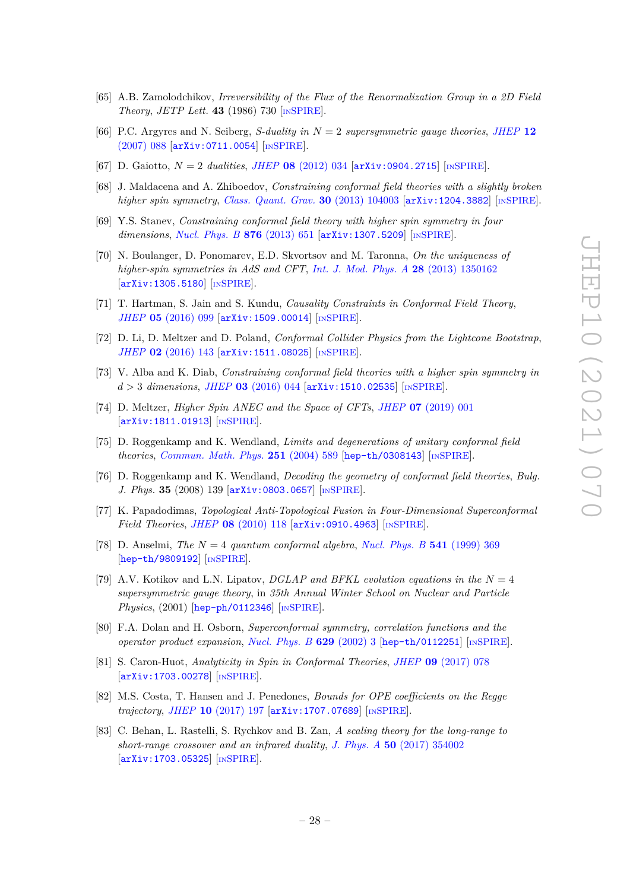- <span id="page-28-0"></span>[65] A.B. Zamolodchikov, *Irreversibility of the Flux of the Renormalization Group in a 2D Field Theory*, *JETP Lett.* **43** (1986) 730 [IN[SPIRE](https://inspirehep.net/search?p=find+J%20%22JETP%20Lett.%2C43%2C730%22)].
- <span id="page-28-1"></span>[66] P.C. Argyres and N. Seiberg, *S-duality in N* = 2 *supersymmetric gauge theories*, *[JHEP](https://doi.org/10.1088/1126-6708/2007/12/088)* **12** [\(2007\) 088](https://doi.org/10.1088/1126-6708/2007/12/088) [[arXiv:0711.0054](https://arxiv.org/abs/0711.0054)] [IN[SPIRE](https://inspirehep.net/search?p=find+EPRINT%2BarXiv%3A0711.0054)].
- <span id="page-28-2"></span>[67] D. Gaiotto, *N* = 2 *dualities*, *JHEP* **08** [\(2012\) 034](https://doi.org/10.1007/JHEP08(2012)034) [[arXiv:0904.2715](https://arxiv.org/abs/0904.2715)] [IN[SPIRE](https://inspirehep.net/search?p=find+EPRINT%2BarXiv%3A0904.2715)].
- <span id="page-28-3"></span>[68] J. Maldacena and A. Zhiboedov, *Constraining conformal field theories with a slightly broken higher spin symmetry*, *[Class. Quant. Grav.](https://doi.org/10.1088/0264-9381/30/10/104003)* **30** (2013) 104003 [[arXiv:1204.3882](https://arxiv.org/abs/1204.3882)] [IN[SPIRE](https://inspirehep.net/search?p=find+EPRINT%2BarXiv%3A1204.3882)].
- <span id="page-28-4"></span>[69] Y.S. Stanev, *Constraining conformal field theory with higher spin symmetry in four dimensions*, *[Nucl. Phys. B](https://doi.org/10.1016/j.nuclphysb.2013.09.002)* **876** (2013) 651 [[arXiv:1307.5209](https://arxiv.org/abs/1307.5209)] [IN[SPIRE](https://inspirehep.net/search?p=find+EPRINT%2BarXiv%3A1307.5209)].
- [70] N. Boulanger, D. Ponomarev, E.D. Skvortsov and M. Taronna, *On the uniqueness of higher-spin symmetries in AdS and CFT*, *[Int. J. Mod. Phys. A](https://doi.org/10.1142/S0217751X13501625)* **28** (2013) 1350162 [[arXiv:1305.5180](https://arxiv.org/abs/1305.5180)] [IN[SPIRE](https://inspirehep.net/search?p=find+EPRINT%2BarXiv%3A1305.5180)].
- [71] T. Hartman, S. Jain and S. Kundu, *Causality Constraints in Conformal Field Theory*, *JHEP* **05** [\(2016\) 099](https://doi.org/10.1007/JHEP05(2016)099) [[arXiv:1509.00014](https://arxiv.org/abs/1509.00014)] [IN[SPIRE](https://inspirehep.net/search?p=find+EPRINT%2BarXiv%3A1509.00014)].
- [72] D. Li, D. Meltzer and D. Poland, *Conformal Collider Physics from the Lightcone Bootstrap*, *JHEP* **02** [\(2016\) 143](https://doi.org/10.1007/JHEP02(2016)143) [[arXiv:1511.08025](https://arxiv.org/abs/1511.08025)] [IN[SPIRE](https://inspirehep.net/search?p=find+EPRINT%2BarXiv%3A1511.08025)].
- [73] V. Alba and K. Diab, *Constraining conformal field theories with a higher spin symmetry in d >* 3 *dimensions*, *JHEP* **03** [\(2016\) 044](https://doi.org/10.1007/JHEP03(2016)044) [[arXiv:1510.02535](https://arxiv.org/abs/1510.02535)] [IN[SPIRE](https://inspirehep.net/search?p=find+EPRINT%2BarXiv%3A1510.02535)].
- <span id="page-28-5"></span>[74] D. Meltzer, *Higher Spin ANEC and the Space of CFTs*, *JHEP* **07** [\(2019\) 001](https://doi.org/10.1007/JHEP07(2019)001) [[arXiv:1811.01913](https://arxiv.org/abs/1811.01913)] [IN[SPIRE](https://inspirehep.net/search?p=find+EPRINT%2BarXiv%3A1811.01913)].
- <span id="page-28-6"></span>[75] D. Roggenkamp and K. Wendland, *Limits and degenerations of unitary conformal field theories*, *[Commun. Math. Phys.](https://doi.org/10.1007/s00220-004-1131-6)* **251** (2004) 589 [[hep-th/0308143](https://arxiv.org/abs/hep-th/0308143)] [IN[SPIRE](https://inspirehep.net/search?p=find+EPRINT%2Bhep-th%2F0308143)].
- <span id="page-28-7"></span>[76] D. Roggenkamp and K. Wendland, *Decoding the geometry of conformal field theories*, *Bulg. J. Phys.* **35** (2008) 139 [[arXiv:0803.0657](https://arxiv.org/abs/0803.0657)] [IN[SPIRE](https://inspirehep.net/search?p=find+EPRINT%2BarXiv%3A0803.0657)].
- <span id="page-28-8"></span>[77] K. Papadodimas, *Topological Anti-Topological Fusion in Four-Dimensional Superconformal Field Theories*, *JHEP* **08** [\(2010\) 118](https://doi.org/10.1007/JHEP08(2010)118) [[arXiv:0910.4963](https://arxiv.org/abs/0910.4963)] [IN[SPIRE](https://inspirehep.net/search?p=find+EPRINT%2BarXiv%3A0910.4963)].
- <span id="page-28-9"></span>[78] D. Anselmi, *The N* = 4 *quantum conformal algebra*, *[Nucl. Phys. B](https://doi.org/10.1016/S0550-3213(98)00848-7)* **541** (1999) 369 [[hep-th/9809192](https://arxiv.org/abs/hep-th/9809192)] [IN[SPIRE](https://inspirehep.net/search?p=find+EPRINT%2Bhep-th%2F9809192)].
- [79] A.V. Kotikov and L.N. Lipatov, *DGLAP and BFKL evolution equations in the*  $N = 4$ *supersymmetric gauge theory*, in *35th Annual Winter School on Nuclear and Particle Physics*, (2001) [[hep-ph/0112346](https://arxiv.org/abs/hep-ph/0112346)] [IN[SPIRE](https://inspirehep.net/search?p=find+EPRINT%2Bhep-ph%2F0112346)].
- <span id="page-28-10"></span>[80] F.A. Dolan and H. Osborn, *Superconformal symmetry, correlation functions and the operator product expansion*, *[Nucl. Phys. B](https://doi.org/10.1016/S0550-3213(02)00096-2)* **629** (2002) 3 [[hep-th/0112251](https://arxiv.org/abs/hep-th/0112251)] [IN[SPIRE](https://inspirehep.net/search?p=find+EPRINT%2Bhep-th%2F0112251)].
- <span id="page-28-11"></span>[81] S. Caron-Huot, *Analyticity in Spin in Conformal Theories*, *JHEP* **09** [\(2017\) 078](https://doi.org/10.1007/JHEP09(2017)078) [[arXiv:1703.00278](https://arxiv.org/abs/1703.00278)] [IN[SPIRE](https://inspirehep.net/search?p=find+EPRINT%2BarXiv%3A1703.00278)].
- <span id="page-28-12"></span>[82] M.S. Costa, T. Hansen and J. Penedones, *Bounds for OPE coefficients on the Regge trajectory*, *JHEP* **10** [\(2017\) 197](https://doi.org/10.1007/JHEP10(2017)197) [[arXiv:1707.07689](https://arxiv.org/abs/1707.07689)] [IN[SPIRE](https://inspirehep.net/search?p=find+EPRINT%2BarXiv%3A1707.07689)].
- <span id="page-28-13"></span>[83] C. Behan, L. Rastelli, S. Rychkov and B. Zan, *A scaling theory for the long-range to short-range crossover and an infrared duality*, *J. Phys. A* **50** [\(2017\) 354002](https://doi.org/10.1088/1751-8121/aa8099) [[arXiv:1703.05325](https://arxiv.org/abs/1703.05325)] [IN[SPIRE](https://inspirehep.net/search?p=find+EPRINT%2BarXiv%3A1703.05325)].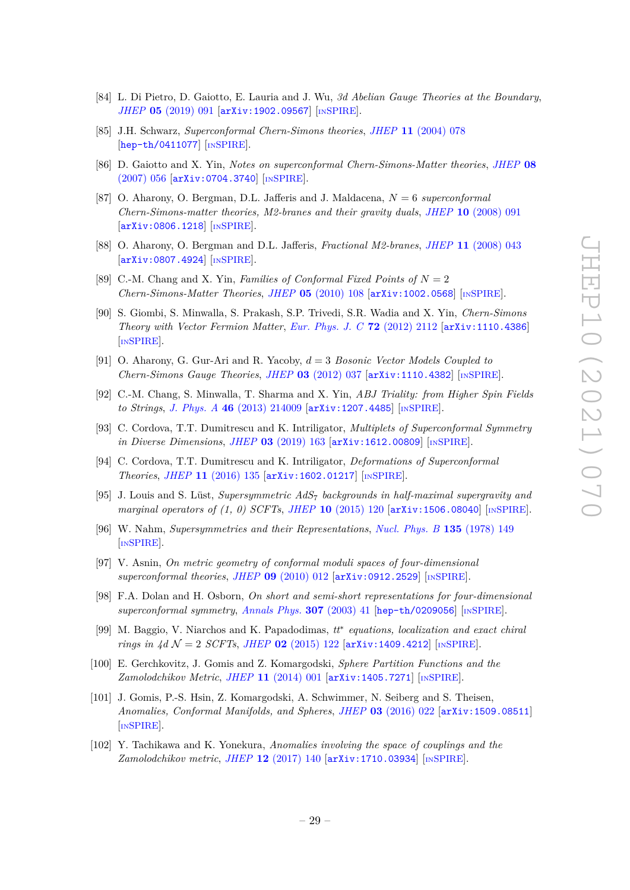- <span id="page-29-0"></span>[84] L. Di Pietro, D. Gaiotto, E. Lauria and J. Wu, *3d Abelian Gauge Theories at the Boundary*, *JHEP* **05** [\(2019\) 091](https://doi.org/10.1007/JHEP05(2019)091) [[arXiv:1902.09567](https://arxiv.org/abs/1902.09567)] [IN[SPIRE](https://inspirehep.net/search?p=find+EPRINT%2BarXiv%3A1902.09567)].
- <span id="page-29-1"></span>[85] J.H. Schwarz, *Superconformal Chern-Simons theories*, *JHEP* **11** [\(2004\) 078](https://doi.org/10.1088/1126-6708/2004/11/078) [[hep-th/0411077](https://arxiv.org/abs/hep-th/0411077)] [IN[SPIRE](https://inspirehep.net/search?p=find+EPRINT%2Bhep-th%2F0411077)].
- [86] D. Gaiotto and X. Yin, *Notes on superconformal Chern-Simons-Matter theories*, *[JHEP](https://doi.org/10.1088/1126-6708/2007/08/056)* **08** [\(2007\) 056](https://doi.org/10.1088/1126-6708/2007/08/056) [[arXiv:0704.3740](https://arxiv.org/abs/0704.3740)] [IN[SPIRE](https://inspirehep.net/search?p=find+EPRINT%2BarXiv%3A0704.3740)].
- [87] O. Aharony, O. Bergman, D.L. Jafferis and J. Maldacena, *N* = 6 *superconformal Chern-Simons-matter theories, M2-branes and their gravity duals*, *JHEP* **10** [\(2008\) 091](https://doi.org/10.1088/1126-6708/2008/10/091) [[arXiv:0806.1218](https://arxiv.org/abs/0806.1218)] [IN[SPIRE](https://inspirehep.net/search?p=find+EPRINT%2BarXiv%3A0806.1218)].
- [88] O. Aharony, O. Bergman and D.L. Jafferis, *Fractional M2-branes*, *JHEP* **11** [\(2008\) 043](https://doi.org/10.1088/1126-6708/2008/11/043) [[arXiv:0807.4924](https://arxiv.org/abs/0807.4924)] [IN[SPIRE](https://inspirehep.net/search?p=find+EPRINT%2BarXiv%3A0807.4924)].
- [89] C.-M. Chang and X. Yin, *Families of Conformal Fixed Points of*  $N = 2$ *Chern-Simons-Matter Theories*, *JHEP* **05** [\(2010\) 108](https://doi.org/10.1007/JHEP05(2010)108) [[arXiv:1002.0568](https://arxiv.org/abs/1002.0568)] [IN[SPIRE](https://inspirehep.net/search?p=find+EPRINT%2BarXiv%3A1002.0568)].
- <span id="page-29-14"></span>[90] S. Giombi, S. Minwalla, S. Prakash, S.P. Trivedi, S.R. Wadia and X. Yin, *Chern-Simons Theory with Vector Fermion Matter*, *[Eur. Phys. J. C](https://doi.org/10.1140/epjc/s10052-012-2112-0)* **72** (2012) 2112 [[arXiv:1110.4386](https://arxiv.org/abs/1110.4386)] [IN[SPIRE](https://inspirehep.net/search?p=find+EPRINT%2BarXiv%3A1110.4386)].
- <span id="page-29-3"></span>[91] O. Aharony, G. Gur-Ari and R. Yacoby, *d* = 3 *Bosonic Vector Models Coupled to Chern-Simons Gauge Theories*, *JHEP* **03** [\(2012\) 037](https://doi.org/10.1007/JHEP03(2012)037) [[arXiv:1110.4382](https://arxiv.org/abs/1110.4382)] [IN[SPIRE](https://inspirehep.net/search?p=find+EPRINT%2BarXiv%3A1110.4382)].
- <span id="page-29-2"></span>[92] C.-M. Chang, S. Minwalla, T. Sharma and X. Yin, *ABJ Triality: from Higher Spin Fields to Strings*, *J. Phys. A* **46** [\(2013\) 214009](https://doi.org/10.1088/1751-8113/46/21/214009) [[arXiv:1207.4485](https://arxiv.org/abs/1207.4485)] [IN[SPIRE](https://inspirehep.net/search?p=find+EPRINT%2BarXiv%3A1207.4485)].
- <span id="page-29-4"></span>[93] C. Cordova, T.T. Dumitrescu and K. Intriligator, *Multiplets of Superconformal Symmetry in Diverse Dimensions*, *JHEP* **03** [\(2019\) 163](https://doi.org/10.1007/JHEP03(2019)163) [[arXiv:1612.00809](https://arxiv.org/abs/1612.00809)] [IN[SPIRE](https://inspirehep.net/search?p=find+EPRINT%2BarXiv%3A1612.00809)].
- <span id="page-29-8"></span>[94] C. Cordova, T.T. Dumitrescu and K. Intriligator, *Deformations of Superconformal Theories*, *JHEP* **11** [\(2016\) 135](https://doi.org/10.1007/JHEP11(2016)135) [[arXiv:1602.01217](https://arxiv.org/abs/1602.01217)] [IN[SPIRE](https://inspirehep.net/search?p=find+EPRINT%2BarXiv%3A1602.01217)].
- <span id="page-29-5"></span>[95] J. Louis and S. Lüst, *Supersymmetric AdS*<sup>7</sup> *backgrounds in half-maximal supergravity and marginal operators of (1, 0) SCFTs*, *JHEP* **10** [\(2015\) 120](https://doi.org/10.1007/JHEP10(2015)120) [[arXiv:1506.08040](https://arxiv.org/abs/1506.08040)] [IN[SPIRE](https://inspirehep.net/search?p=find+EPRINT%2BarXiv%3A1506.08040)].
- <span id="page-29-6"></span>[96] W. Nahm, *Supersymmetries and their Representations*, *[Nucl. Phys. B](https://doi.org/10.1016/0550-3213(78)90218-3)* **135** (1978) 149 [IN[SPIRE](https://inspirehep.net/search?p=find+J%20%22Nucl.Phys.%2CB135%2C149%22)].
- <span id="page-29-7"></span>[97] V. Asnin, *On metric geometry of conformal moduli spaces of four-dimensional superconformal theories*, *JHEP* **09** [\(2010\) 012](https://doi.org/10.1007/JHEP09(2010)012) [[arXiv:0912.2529](https://arxiv.org/abs/0912.2529)] [IN[SPIRE](https://inspirehep.net/search?p=find+EPRINT%2BarXiv%3A0912.2529)].
- <span id="page-29-9"></span>[98] F.A. Dolan and H. Osborn, *On short and semi-short representations for four-dimensional superconformal symmetry*, *[Annals Phys.](https://doi.org/10.1016/S0003-4916(03)00074-5)* **307** (2003) 41 [[hep-th/0209056](https://arxiv.org/abs/hep-th/0209056)] [IN[SPIRE](https://inspirehep.net/search?p=find+EPRINT%2Bhep-th%2F0209056)].
- <span id="page-29-10"></span>[99] M. Baggio, V. Niarchos and K. Papadodimas, *tt*<sup>∗</sup> *equations, localization and exact chiral rings in*  $4d$   $\mathcal{N} = 2$  *SCFTs*, *JHEP* **02** [\(2015\) 122](https://doi.org/10.1007/JHEP02(2015)122) [[arXiv:1409.4212](https://arxiv.org/abs/1409.4212)] [IN[SPIRE](https://inspirehep.net/search?p=find+EPRINT%2BarXiv%3A1409.4212)].
- <span id="page-29-11"></span>[100] E. Gerchkovitz, J. Gomis and Z. Komargodski, *Sphere Partition Functions and the Zamolodchikov Metric*, *JHEP* **11** [\(2014\) 001](https://doi.org/10.1007/JHEP11(2014)001) [[arXiv:1405.7271](https://arxiv.org/abs/1405.7271)] [IN[SPIRE](https://inspirehep.net/search?p=find+EPRINT%2BarXiv%3A1405.7271)].
- <span id="page-29-12"></span>[101] J. Gomis, P.-S. Hsin, Z. Komargodski, A. Schwimmer, N. Seiberg and S. Theisen, *Anomalies, Conformal Manifolds, and Spheres*, *JHEP* **03** [\(2016\) 022](https://doi.org/10.1007/JHEP03(2016)022) [[arXiv:1509.08511](https://arxiv.org/abs/1509.08511)] [IN[SPIRE](https://inspirehep.net/search?p=find+EPRINT%2BarXiv%3A1509.08511)].
- <span id="page-29-13"></span>[102] Y. Tachikawa and K. Yonekura, *Anomalies involving the space of couplings and the Zamolodchikov metric*, *JHEP* **12** [\(2017\) 140](https://doi.org/10.1007/JHEP12(2017)140) [[arXiv:1710.03934](https://arxiv.org/abs/1710.03934)] [IN[SPIRE](https://inspirehep.net/search?p=find+EPRINT%2BarXiv%3A1710.03934)].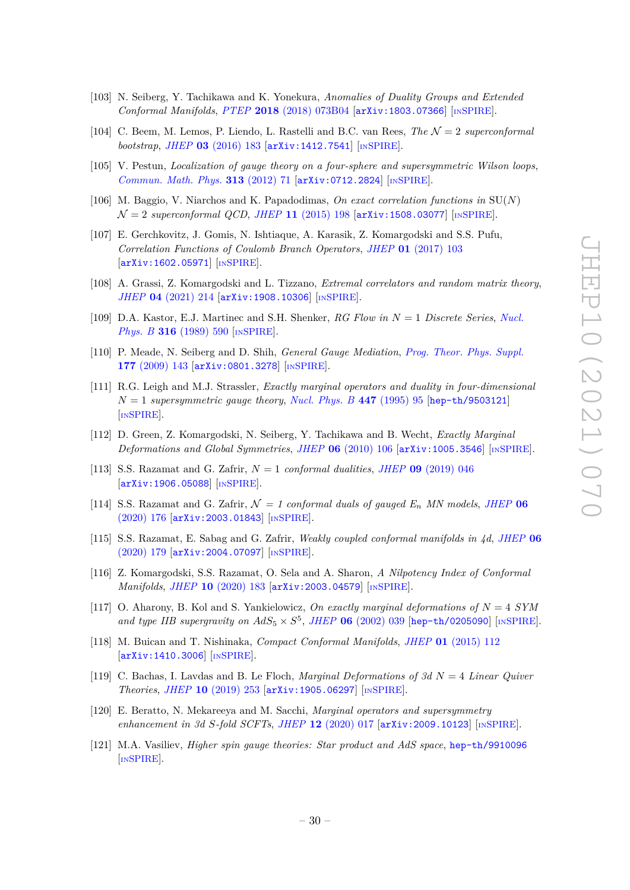- <span id="page-30-0"></span>[103] N. Seiberg, Y. Tachikawa and K. Yonekura, *Anomalies of Duality Groups and Extended Conformal Manifolds*, *PTEP* **2018** [\(2018\) 073B04](https://doi.org/10.1093/ptep/pty069) [[arXiv:1803.07366](https://arxiv.org/abs/1803.07366)] [IN[SPIRE](https://inspirehep.net/search?p=find+EPRINT%2BarXiv%3A1803.07366)].
- <span id="page-30-1"></span>[104] C. Beem, M. Lemos, P. Liendo, L. Rastelli and B.C. van Rees, *The* N = 2 *superconformal bootstrap*, *JHEP* **03** [\(2016\) 183](https://doi.org/10.1007/JHEP03(2016)183) [[arXiv:1412.7541](https://arxiv.org/abs/1412.7541)] [IN[SPIRE](https://inspirehep.net/search?p=find+EPRINT%2BarXiv%3A1412.7541)].
- <span id="page-30-2"></span>[105] V. Pestun, *Localization of gauge theory on a four-sphere and supersymmetric Wilson loops*, *[Commun. Math. Phys.](https://doi.org/10.1007/s00220-012-1485-0)* **313** (2012) 71 [[arXiv:0712.2824](https://arxiv.org/abs/0712.2824)] [IN[SPIRE](https://inspirehep.net/search?p=find+EPRINT%2BarXiv%3A0712.2824)].
- [106] M. Baggio, V. Niarchos and K. Papadodimas, *On exact correlation functions in* SU(*N*)  $\mathcal{N} = 2$  *superconformal QCD*, *JHEP* 11 [\(2015\) 198](https://doi.org/10.1007/JHEP11(2015)198)  $\left[ \frac{\text{arXiv:1508.03077}}{\text{mSPIRE}} \right]$  $\left[ \frac{\text{arXiv:1508.03077}}{\text{mSPIRE}} \right]$  $\left[ \frac{\text{arXiv:1508.03077}}{\text{mSPIRE}} \right]$  $\left[ \frac{\text{arXiv:1508.03077}}{\text{mSPIRE}} \right]$  $\left[ \frac{\text{arXiv:1508.03077}}{\text{mSPIRE}} \right]$ .
- [107] E. Gerchkovitz, J. Gomis, N. Ishtiaque, A. Karasik, Z. Komargodski and S.S. Pufu, *Correlation Functions of Coulomb Branch Operators*, *JHEP* **01** [\(2017\) 103](https://doi.org/10.1007/JHEP01(2017)103) [[arXiv:1602.05971](https://arxiv.org/abs/1602.05971)] [IN[SPIRE](https://inspirehep.net/search?p=find+EPRINT%2BarXiv%3A1602.05971)].
- <span id="page-30-3"></span>[108] A. Grassi, Z. Komargodski and L. Tizzano, *Extremal correlators and random matrix theory*, *JHEP* **04** [\(2021\) 214](https://doi.org/10.1007/JHEP04(2021)214) [[arXiv:1908.10306](https://arxiv.org/abs/1908.10306)] [IN[SPIRE](https://inspirehep.net/search?p=find+EPRINT%2BarXiv%3A1908.10306)].
- <span id="page-30-4"></span>[109] D.A. Kastor, E.J. Martinec and S.H. Shenker, *RG Flow in N* = 1 *Discrete Series*, *[Nucl.](https://doi.org/10.1016/0550-3213(89)90060-6) Phys. B* **316** [\(1989\) 590](https://doi.org/10.1016/0550-3213(89)90060-6) [IN[SPIRE](https://inspirehep.net/search?p=find+J%20%22Nucl.Phys.%2CB316%2C590%22)].
- <span id="page-30-5"></span>[110] P. Meade, N. Seiberg and D. Shih, *General Gauge Mediation*, *[Prog. Theor. Phys. Suppl.](https://doi.org/10.1143/PTPS.177.143)* **177** [\(2009\) 143](https://doi.org/10.1143/PTPS.177.143) [[arXiv:0801.3278](https://arxiv.org/abs/0801.3278)] [IN[SPIRE](https://inspirehep.net/search?p=find+EPRINT%2BarXiv%3A0801.3278)].
- <span id="page-30-6"></span>[111] R.G. Leigh and M.J. Strassler, *Exactly marginal operators and duality in four-dimensional*  $N = 1$  *supersymmetric gauge theory, [Nucl. Phys. B](https://doi.org/10.1016/0550-3213(95)00261-P)* 447 (1995) 95 [[hep-th/9503121](https://arxiv.org/abs/hep-th/9503121)] [IN[SPIRE](https://inspirehep.net/search?p=find+EPRINT%2Bhep-th%2F9503121)].
- <span id="page-30-7"></span>[112] D. Green, Z. Komargodski, N. Seiberg, Y. Tachikawa and B. Wecht, *Exactly Marginal Deformations and Global Symmetries*, *JHEP* **06** [\(2010\) 106](https://doi.org/10.1007/JHEP06(2010)106) [[arXiv:1005.3546](https://arxiv.org/abs/1005.3546)] [IN[SPIRE](https://inspirehep.net/search?p=find+EPRINT%2BarXiv%3A1005.3546)].
- <span id="page-30-8"></span>[113] S.S. Razamat and G. Zafrir, *N* = 1 *conformal dualities*, *JHEP* **09** [\(2019\) 046](https://doi.org/10.1007/JHEP09(2019)046) [[arXiv:1906.05088](https://arxiv.org/abs/1906.05088)] [IN[SPIRE](https://inspirehep.net/search?p=find+EPRINT%2BarXiv%3A1906.05088)].
- <span id="page-30-12"></span> $[114]$  S.S. Razamat and G. Zafrir,  $\mathcal{N} = 1$  conformal duals of gauged  $E_n$  *MN* models, *[JHEP](https://doi.org/10.1007/JHEP06(2020)176)* 06 [\(2020\) 176](https://doi.org/10.1007/JHEP06(2020)176) [[arXiv:2003.01843](https://arxiv.org/abs/2003.01843)] [IN[SPIRE](https://inspirehep.net/search?p=find+EPRINT%2BarXiv%3A2003.01843)].
- <span id="page-30-11"></span>[115] S.S. Razamat, E. Sabag and G. Zafrir, *Weakly coupled conformal manifolds in 4d*, *[JHEP](https://doi.org/10.1007/JHEP06(2020)179)* **06** [\(2020\) 179](https://doi.org/10.1007/JHEP06(2020)179) [[arXiv:2004.07097](https://arxiv.org/abs/2004.07097)] [IN[SPIRE](https://inspirehep.net/search?p=find+EPRINT%2BarXiv%3A2004.07097)].
- <span id="page-30-9"></span>[116] Z. Komargodski, S.S. Razamat, O. Sela and A. Sharon, *A Nilpotency Index of Conformal Manifolds*, *JHEP* **10** [\(2020\) 183](https://doi.org/10.1007/JHEP10(2020)183) [[arXiv:2003.04579](https://arxiv.org/abs/2003.04579)] [IN[SPIRE](https://inspirehep.net/search?p=find+EPRINT%2BarXiv%3A2003.04579)].
- <span id="page-30-10"></span>[117] O. Aharony, B. Kol and S. Yankielowicz, *On exactly marginal deformations of N* = 4 *SYM* and type IIB supergravity on  $AdS_5 \times S^5$ , *JHEP* **06** [\(2002\) 039](https://doi.org/10.1088/1126-6708/2002/06/039) [[hep-th/0205090](https://arxiv.org/abs/hep-th/0205090)] [IN[SPIRE](https://inspirehep.net/search?p=find+EPRINT%2Bhep-th%2F0205090)].
- <span id="page-30-13"></span>[118] M. Buican and T. Nishinaka, *Compact Conformal Manifolds*, *JHEP* **01** [\(2015\) 112](https://doi.org/10.1007/JHEP01(2015)112) [[arXiv:1410.3006](https://arxiv.org/abs/1410.3006)] [IN[SPIRE](https://inspirehep.net/search?p=find+EPRINT%2BarXiv%3A1410.3006)].
- <span id="page-30-14"></span>[119] C. Bachas, I. Lavdas and B. Le Floch, *Marginal Deformations of 3d N* = 4 *Linear Quiver Theories*, *JHEP* **10** [\(2019\) 253](https://doi.org/10.1007/JHEP10(2019)253) [[arXiv:1905.06297](https://arxiv.org/abs/1905.06297)] [IN[SPIRE](https://inspirehep.net/search?p=find+EPRINT%2BarXiv%3A1905.06297)].
- <span id="page-30-15"></span>[120] E. Beratto, N. Mekareeya and M. Sacchi, *Marginal operators and supersymmetry enhancement in 3d S-fold SCFTs*, *JHEP* **12** [\(2020\) 017](https://doi.org/10.1007/JHEP12(2020)017) [[arXiv:2009.10123](https://arxiv.org/abs/2009.10123)] [IN[SPIRE](https://inspirehep.net/search?p=find+EPRINT%2BarXiv%3A2009.10123)].
- <span id="page-30-16"></span>[121] M.A. Vasiliev, *Higher spin gauge theories: Star product and AdS space*, [hep-th/9910096](https://arxiv.org/abs/hep-th/9910096) [IN[SPIRE](https://inspirehep.net/search?p=find+EPRINT%2Bhep-th%2F9910096)].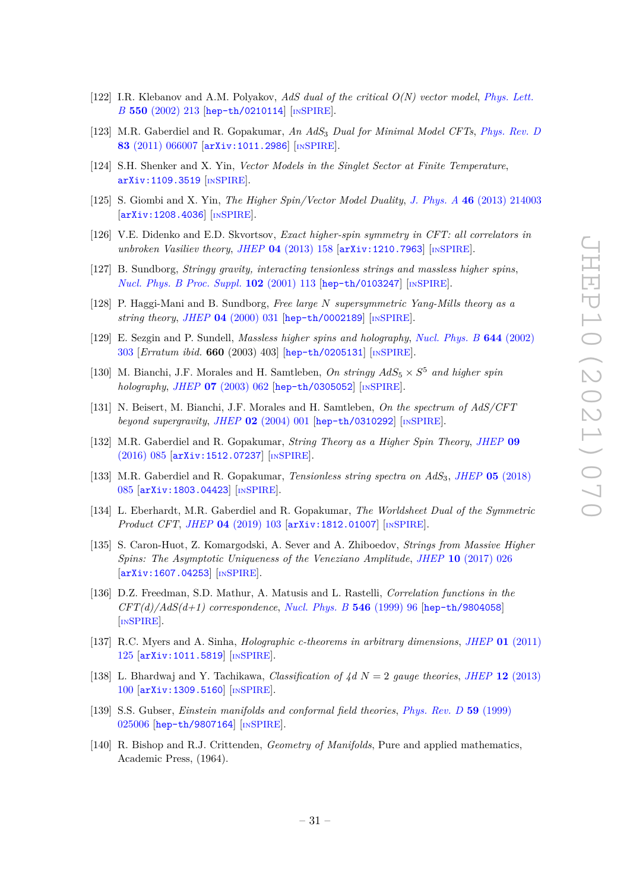- [122] I.R. Klebanov and A.M. Polyakov, *AdS dual of the critical O(N) vector model*, *[Phys. Lett.](https://doi.org/10.1016/S0370-2693(02)02980-5) B* **550** [\(2002\) 213](https://doi.org/10.1016/S0370-2693(02)02980-5) [[hep-th/0210114](https://arxiv.org/abs/hep-th/0210114)] [IN[SPIRE](https://inspirehep.net/search?p=find+EPRINT%2Bhep-th%2F0210114)].
- [123] M.R. Gaberdiel and R. Gopakumar, *An AdS*<sup>3</sup> *Dual for Minimal Model CFTs*, *[Phys. Rev. D](https://doi.org/10.1103/PhysRevD.83.066007)* **83** [\(2011\) 066007](https://doi.org/10.1103/PhysRevD.83.066007) [[arXiv:1011.2986](https://arxiv.org/abs/1011.2986)] [IN[SPIRE](https://inspirehep.net/search?p=find+EPRINT%2BarXiv%3A1011.2986)].
- [124] S.H. Shenker and X. Yin, *Vector Models in the Singlet Sector at Finite Temperature*, [arXiv:1109.3519](https://arxiv.org/abs/1109.3519) [IN[SPIRE](https://inspirehep.net/search?p=find+EPRINT%2BarXiv%3A1109.3519)].
- [125] S. Giombi and X. Yin, *The Higher Spin/Vector Model Duality*, *J. Phys. A* **46** [\(2013\) 214003](https://doi.org/10.1088/1751-8113/46/21/214003) [[arXiv:1208.4036](https://arxiv.org/abs/1208.4036)] [IN[SPIRE](https://inspirehep.net/search?p=find+EPRINT%2BarXiv%3A1208.4036)].
- <span id="page-31-0"></span>[126] V.E. Didenko and E.D. Skvortsov, *Exact higher-spin symmetry in CFT: all correlators in unbroken Vasiliev theory*, *JHEP* **04** [\(2013\) 158](https://doi.org/10.1007/JHEP04(2013)158) [[arXiv:1210.7963](https://arxiv.org/abs/1210.7963)] [IN[SPIRE](https://inspirehep.net/search?p=find+EPRINT%2BarXiv%3A1210.7963)].
- <span id="page-31-1"></span>[127] B. Sundborg, *Stringy gravity, interacting tensionless strings and massless higher spins*, *[Nucl. Phys. B Proc. Suppl.](https://doi.org/10.1016/S0920-5632(01)01545-6)* **102** (2001) 113 [[hep-th/0103247](https://arxiv.org/abs/hep-th/0103247)] [IN[SPIRE](https://inspirehep.net/search?p=find+EPRINT%2Bhep-th%2F0103247)].
- [128] P. Haggi-Mani and B. Sundborg, *Free large N supersymmetric Yang-Mills theory as a string theory*, *JHEP* **04** [\(2000\) 031](https://doi.org/10.1088/1126-6708/2000/04/031) [[hep-th/0002189](https://arxiv.org/abs/hep-th/0002189)] [IN[SPIRE](https://inspirehep.net/search?p=find+EPRINT%2Bhep-th%2F0002189)].
- <span id="page-31-9"></span>[129] E. Sezgin and P. Sundell, *Massless higher spins and holography*, *[Nucl. Phys. B](https://doi.org/10.1016/S0550-3213(02)00739-3)* **644** (2002) [303](https://doi.org/10.1016/S0550-3213(02)00739-3) [*Erratum ibid.* **660** (2003) 403] [[hep-th/0205131](https://arxiv.org/abs/hep-th/0205131)] [IN[SPIRE](https://inspirehep.net/search?p=find+EPRINT%2Bhep-th%2F0205131)].
- [130] M. Bianchi, J.F. Morales and H. Samtleben, *On stringy*  $AdS_5 \times S^5$  and higher spin *holography*, *JHEP* **07** [\(2003\) 062](https://doi.org/10.1088/1126-6708/2003/07/062) [[hep-th/0305052](https://arxiv.org/abs/hep-th/0305052)] [IN[SPIRE](https://inspirehep.net/search?p=find+EPRINT%2Bhep-th%2F0305052)].
- <span id="page-31-10"></span>[131] N. Beisert, M. Bianchi, J.F. Morales and H. Samtleben, *On the spectrum of AdS/CFT beyond supergravity*, *JHEP* **02** [\(2004\) 001](https://doi.org/10.1088/1126-6708/2004/02/001) [[hep-th/0310292](https://arxiv.org/abs/hep-th/0310292)] [IN[SPIRE](https://inspirehep.net/search?p=find+EPRINT%2Bhep-th%2F0310292)].
- [132] M.R. Gaberdiel and R. Gopakumar, *String Theory as a Higher Spin Theory*, *[JHEP](https://doi.org/10.1007/JHEP09(2016)085)* **09** [\(2016\) 085](https://doi.org/10.1007/JHEP09(2016)085) [[arXiv:1512.07237](https://arxiv.org/abs/1512.07237)] [IN[SPIRE](https://inspirehep.net/search?p=find+EPRINT%2BarXiv%3A1512.07237)].
- [133] M.R. Gaberdiel and R. Gopakumar, *Tensionless string spectra on AdS*3, *JHEP* **05** [\(2018\)](https://doi.org/10.1007/JHEP05(2018)085) [085](https://doi.org/10.1007/JHEP05(2018)085) [[arXiv:1803.04423](https://arxiv.org/abs/1803.04423)] [IN[SPIRE](https://inspirehep.net/search?p=find+EPRINT%2BarXiv%3A1803.04423)].
- <span id="page-31-2"></span>[134] L. Eberhardt, M.R. Gaberdiel and R. Gopakumar, *The Worldsheet Dual of the Symmetric Product CFT*, *JHEP* **04** [\(2019\) 103](https://doi.org/10.1007/JHEP04(2019)103) [[arXiv:1812.01007](https://arxiv.org/abs/1812.01007)] [IN[SPIRE](https://inspirehep.net/search?p=find+EPRINT%2BarXiv%3A1812.01007)].
- <span id="page-31-3"></span>[135] S. Caron-Huot, Z. Komargodski, A. Sever and A. Zhiboedov, *Strings from Massive Higher Spins: The Asymptotic Uniqueness of the Veneziano Amplitude*, *JHEP* **10** [\(2017\) 026](https://doi.org/10.1007/JHEP10(2017)026) [[arXiv:1607.04253](https://arxiv.org/abs/1607.04253)] [IN[SPIRE](https://inspirehep.net/search?p=find+EPRINT%2BarXiv%3A1607.04253)].
- <span id="page-31-4"></span>[136] D.Z. Freedman, S.D. Mathur, A. Matusis and L. Rastelli, *Correlation functions in the CFT(d)/AdS(d+1) correspondence*, *[Nucl. Phys. B](https://doi.org/10.1016/S0550-3213(99)00053-X)* **546** (1999) 96 [[hep-th/9804058](https://arxiv.org/abs/hep-th/9804058)] [IN[SPIRE](https://inspirehep.net/search?p=find+EPRINT%2Bhep-th%2F9804058)].
- <span id="page-31-5"></span>[137] R.C. Myers and A. Sinha, *Holographic c-theorems in arbitrary dimensions*, *JHEP* **01** [\(2011\)](https://doi.org/10.1007/JHEP01(2011)125) [125](https://doi.org/10.1007/JHEP01(2011)125) [[arXiv:1011.5819](https://arxiv.org/abs/1011.5819)] [IN[SPIRE](https://inspirehep.net/search?p=find+EPRINT%2BarXiv%3A1011.5819)].
- <span id="page-31-6"></span>[138] L. Bhardwaj and Y. Tachikawa, *Classification of 4d N* = 2 *gauge theories*, *JHEP* **12** [\(2013\)](https://doi.org/10.1007/JHEP12(2013)100) [100](https://doi.org/10.1007/JHEP12(2013)100) [[arXiv:1309.5160](https://arxiv.org/abs/1309.5160)] [IN[SPIRE](https://inspirehep.net/search?p=find+EPRINT%2BarXiv%3A1309.5160)].
- <span id="page-31-7"></span>[139] S.S. Gubser, *Einstein manifolds and conformal field theories*, *[Phys. Rev. D](https://doi.org/10.1103/PhysRevD.59.025006)* **59** (1999) [025006](https://doi.org/10.1103/PhysRevD.59.025006) [[hep-th/9807164](https://arxiv.org/abs/hep-th/9807164)] [IN[SPIRE](https://inspirehep.net/search?p=find+EPRINT%2Bhep-th%2F9807164)].
- <span id="page-31-8"></span>[140] R. Bishop and R.J. Crittenden, *Geometry of Manifolds*, Pure and applied mathematics, Academic Press, (1964).